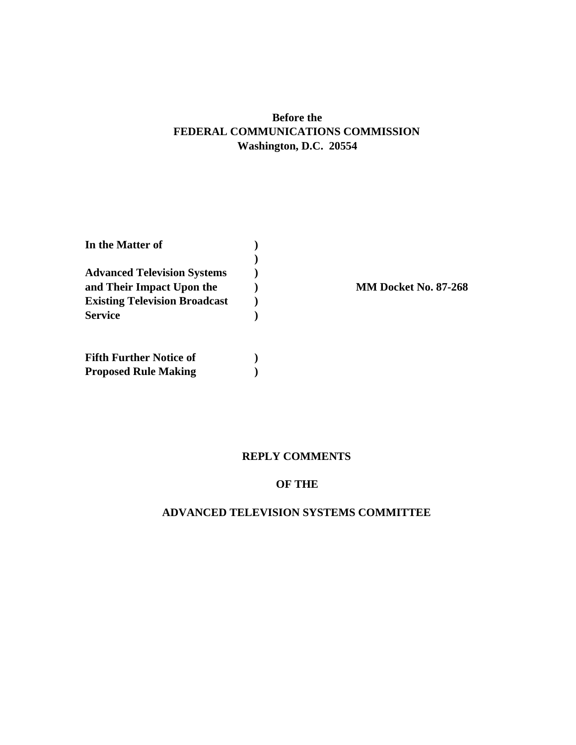## **Before the FEDERAL COMMUNICATIONS COMMISSION Washington, D.C. 20554**

| In the Matter of                     |  |  |
|--------------------------------------|--|--|
|                                      |  |  |
| <b>Advanced Television Systems</b>   |  |  |
| and Their Impact Upon the            |  |  |
| <b>Existing Television Broadcast</b> |  |  |
| <b>Service</b>                       |  |  |
|                                      |  |  |
| <b>Fifth Further Notice of</b>       |  |  |
| <b>Proposed Rule Making</b>          |  |  |

**MM Docket No. 87-268** 

### **REPLY COMMENTS**

## **OF THE**

### **ADVANCED TELEVISION SYSTEMS COMMITTEE**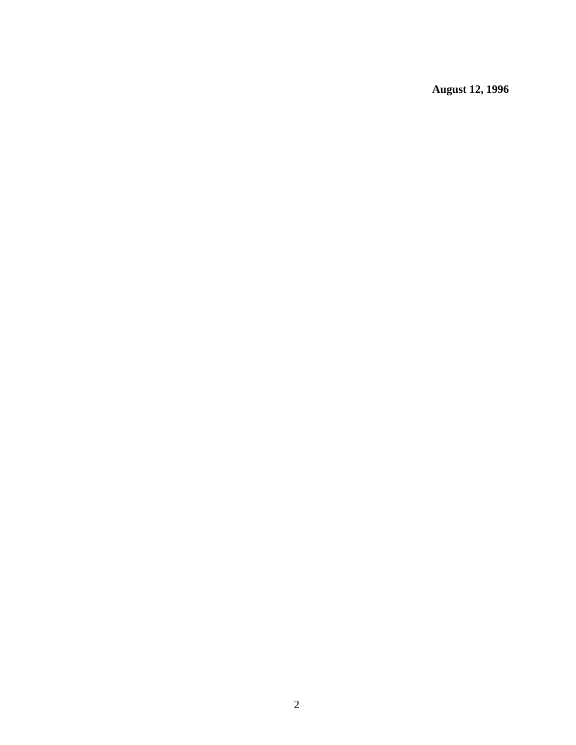**August 12, 1996**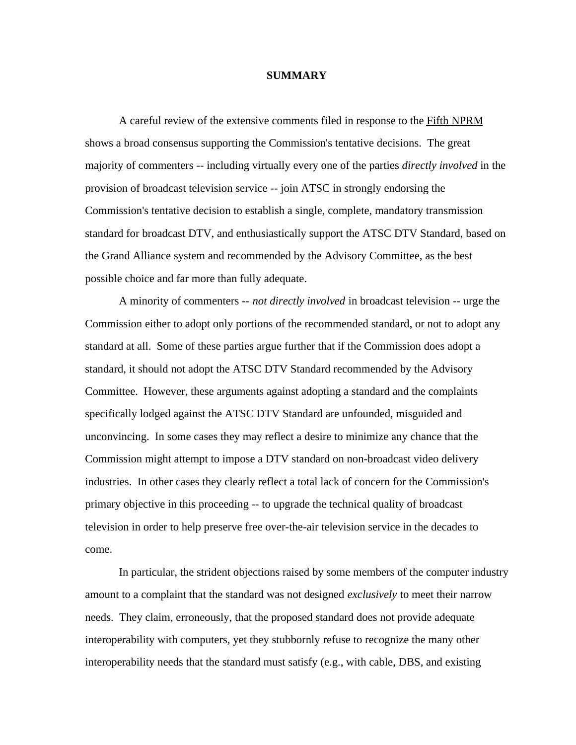#### **SUMMARY**

A careful review of the extensive comments filed in response to the Fifth NPRM shows a broad consensus supporting the Commission's tentative decisions. The great majority of commenters -- including virtually every one of the parties *directly involved* in the provision of broadcast television service -- join ATSC in strongly endorsing the Commission's tentative decision to establish a single, complete, mandatory transmission standard for broadcast DTV, and enthusiastically support the ATSC DTV Standard, based on the Grand Alliance system and recommended by the Advisory Committee, as the best possible choice and far more than fully adequate.

A minority of commenters -- *not directly involved* in broadcast television -- urge the Commission either to adopt only portions of the recommended standard, or not to adopt any standard at all. Some of these parties argue further that if the Commission does adopt a standard, it should not adopt the ATSC DTV Standard recommended by the Advisory Committee. However, these arguments against adopting a standard and the complaints specifically lodged against the ATSC DTV Standard are unfounded, misguided and unconvincing. In some cases they may reflect a desire to minimize any chance that the Commission might attempt to impose a DTV standard on non-broadcast video delivery industries. In other cases they clearly reflect a total lack of concern for the Commission's primary objective in this proceeding -- to upgrade the technical quality of broadcast television in order to help preserve free over-the-air television service in the decades to come.

In particular, the strident objections raised by some members of the computer industry amount to a complaint that the standard was not designed *exclusively* to meet their narrow needs. They claim, erroneously, that the proposed standard does not provide adequate interoperability with computers, yet they stubbornly refuse to recognize the many other interoperability needs that the standard must satisfy (e.g., with cable, DBS, and existing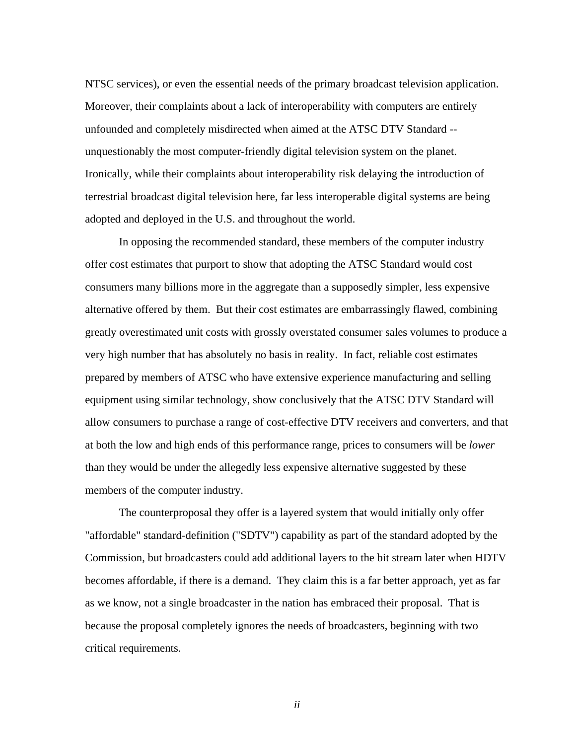NTSC services), or even the essential needs of the primary broadcast television application. Moreover, their complaints about a lack of interoperability with computers are entirely unfounded and completely misdirected when aimed at the ATSC DTV Standard - unquestionably the most computer-friendly digital television system on the planet. Ironically, while their complaints about interoperability risk delaying the introduction of terrestrial broadcast digital television here, far less interoperable digital systems are being adopted and deployed in the U.S. and throughout the world.

In opposing the recommended standard, these members of the computer industry offer cost estimates that purport to show that adopting the ATSC Standard would cost consumers many billions more in the aggregate than a supposedly simpler, less expensive alternative offered by them. But their cost estimates are embarrassingly flawed, combining greatly overestimated unit costs with grossly overstated consumer sales volumes to produce a very high number that has absolutely no basis in reality. In fact, reliable cost estimates prepared by members of ATSC who have extensive experience manufacturing and selling equipment using similar technology, show conclusively that the ATSC DTV Standard will allow consumers to purchase a range of cost-effective DTV receivers and converters, and that at both the low and high ends of this performance range, prices to consumers will be *lower* than they would be under the allegedly less expensive alternative suggested by these members of the computer industry.

The counterproposal they offer is a layered system that would initially only offer "affordable" standard-definition ("SDTV") capability as part of the standard adopted by the Commission, but broadcasters could add additional layers to the bit stream later when HDTV becomes affordable, if there is a demand. They claim this is a far better approach, yet as far as we know, not a single broadcaster in the nation has embraced their proposal. That is because the proposal completely ignores the needs of broadcasters, beginning with two critical requirements.

*ii*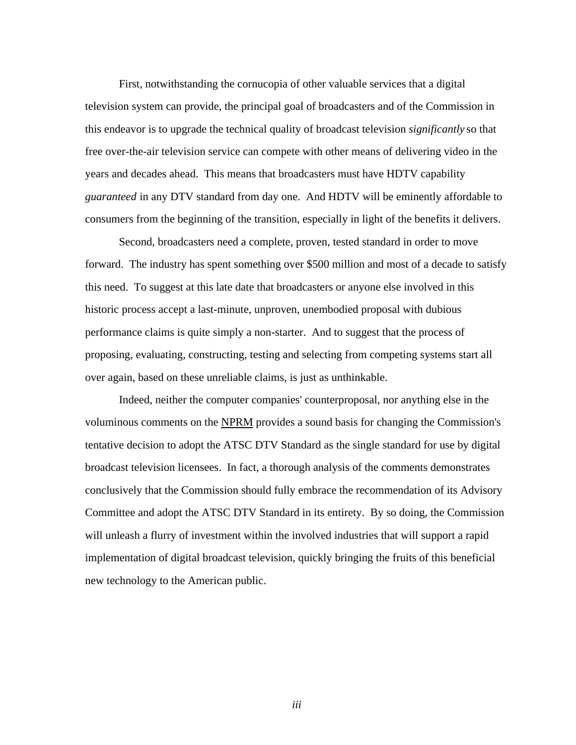First, notwithstanding the cornucopia of other valuable services that a digital television system can provide, the principal goal of broadcasters and of the Commission in this endeavor is to upgrade the technical quality of broadcast television *significantly* so that free over-the-air television service can compete with other means of delivering video in the years and decades ahead. This means that broadcasters must have HDTV capability *guaranteed* in any DTV standard from day one. And HDTV will be eminently affordable to consumers from the beginning of the transition, especially in light of the benefits it delivers.

Second, broadcasters need a complete, proven, tested standard in order to move forward. The industry has spent something over \$500 million and most of a decade to satisfy this need. To suggest at this late date that broadcasters or anyone else involved in this historic process accept a last-minute, unproven, unembodied proposal with dubious performance claims is quite simply a non-starter. And to suggest that the process of proposing, evaluating, constructing, testing and selecting from competing systems start all over again, based on these unreliable claims, is just as unthinkable.

Indeed, neither the computer companies' counterproposal, nor anything else in the voluminous comments on the NPRM provides a sound basis for changing the Commission's tentative decision to adopt the ATSC DTV Standard as the single standard for use by digital broadcast television licensees. In fact, a thorough analysis of the comments demonstrates conclusively that the Commission should fully embrace the recommendation of its Advisory Committee and adopt the ATSC DTV Standard in its entirety. By so doing, the Commission will unleash a flurry of investment within the involved industries that will support a rapid implementation of digital broadcast television, quickly bringing the fruits of this beneficial new technology to the American public.

*iii*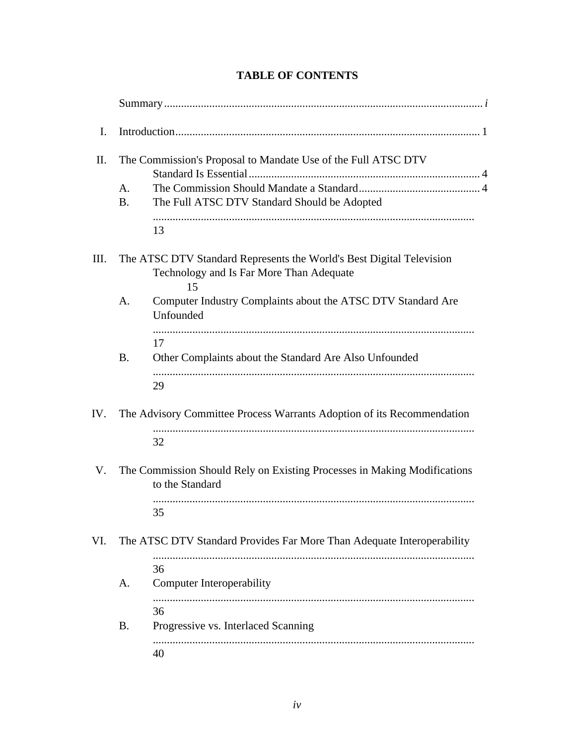| I.  |                                                               |                                                                                                                        |  |  |  |
|-----|---------------------------------------------------------------|------------------------------------------------------------------------------------------------------------------------|--|--|--|
| Π.  | The Commission's Proposal to Mandate Use of the Full ATSC DTV |                                                                                                                        |  |  |  |
|     | A.<br><b>B.</b>                                               | The Full ATSC DTV Standard Should be Adopted                                                                           |  |  |  |
|     |                                                               | 13                                                                                                                     |  |  |  |
| Ш.  |                                                               | The ATSC DTV Standard Represents the World's Best Digital Television<br>Technology and Is Far More Than Adequate<br>15 |  |  |  |
|     | A.                                                            | Computer Industry Complaints about the ATSC DTV Standard Are<br>Unfounded                                              |  |  |  |
|     | <b>B.</b>                                                     | 17<br>Other Complaints about the Standard Are Also Unfounded<br>29                                                     |  |  |  |
| IV. |                                                               | The Advisory Committee Process Warrants Adoption of its Recommendation                                                 |  |  |  |
|     |                                                               | 32                                                                                                                     |  |  |  |
| V.  |                                                               | The Commission Should Rely on Existing Processes in Making Modifications<br>to the Standard                            |  |  |  |
|     |                                                               | 35                                                                                                                     |  |  |  |
| VI. |                                                               | The ATSC DTV Standard Provides Far More Than Adequate Interoperability                                                 |  |  |  |
|     | A.                                                            | 36<br><b>Computer Interoperability</b>                                                                                 |  |  |  |
|     | <b>B.</b>                                                     | 36<br>Progressive vs. Interlaced Scanning                                                                              |  |  |  |
|     |                                                               | 40                                                                                                                     |  |  |  |

## **TABLE OF CONTENTS**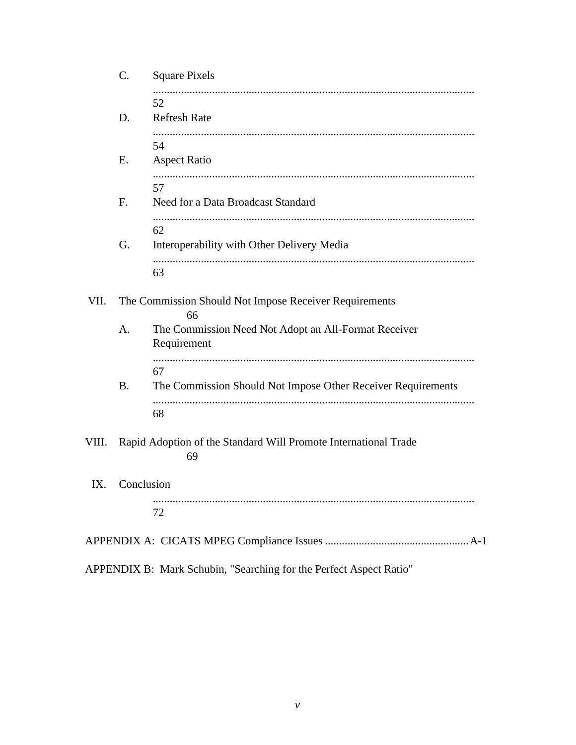|                   | <b>Square Pixels</b><br>C.                                            |                                                                     |  |  |  |  |
|-------------------|-----------------------------------------------------------------------|---------------------------------------------------------------------|--|--|--|--|
|                   | D.                                                                    | 52<br><b>Refresh Rate</b>                                           |  |  |  |  |
|                   | Ε.                                                                    | 54<br><b>Aspect Ratio</b>                                           |  |  |  |  |
|                   | F <sub>1</sub>                                                        | 57<br>Need for a Data Broadcast Standard                            |  |  |  |  |
|                   | G.                                                                    | 62<br>Interoperability with Other Delivery Media                    |  |  |  |  |
|                   |                                                                       | 63                                                                  |  |  |  |  |
| VII.              |                                                                       | The Commission Should Not Impose Receiver Requirements<br>66        |  |  |  |  |
|                   | A.                                                                    | The Commission Need Not Adopt an All-Format Receiver<br>Requirement |  |  |  |  |
|                   | <b>B.</b>                                                             | 67<br>The Commission Should Not Impose Other Receiver Requirements  |  |  |  |  |
|                   |                                                                       | 68                                                                  |  |  |  |  |
| VIII.             | Rapid Adoption of the Standard Will Promote International Trade<br>69 |                                                                     |  |  |  |  |
| Conclusion<br>IX. |                                                                       |                                                                     |  |  |  |  |
|                   |                                                                       | 72                                                                  |  |  |  |  |
|                   |                                                                       |                                                                     |  |  |  |  |
|                   |                                                                       | APPENDIX B: Mark Schubin, "Searching for the Perfect Aspect Ratio"  |  |  |  |  |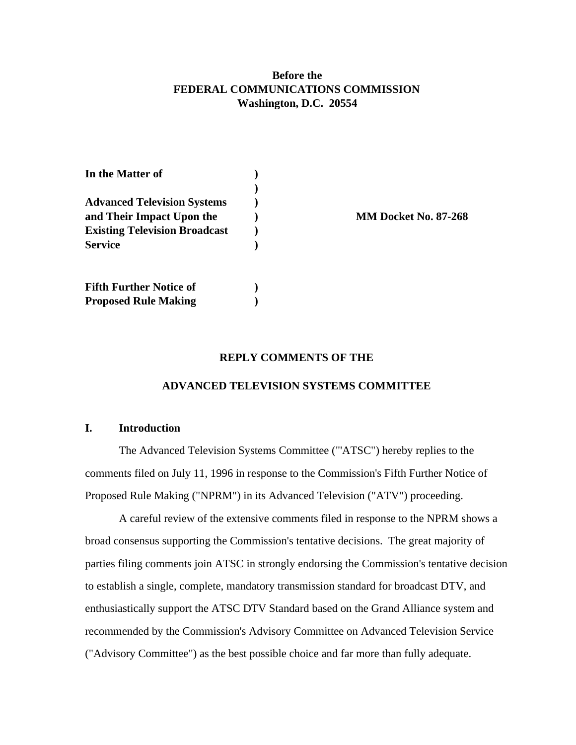## **Before the FEDERAL COMMUNICATIONS COMMISSION Washington, D.C. 20554**

| In the Matter of                     |  |                             |
|--------------------------------------|--|-----------------------------|
| <b>Advanced Television Systems</b>   |  | <b>MM Docket No. 87-268</b> |
| and Their Impact Upon the            |  |                             |
| <b>Existing Television Broadcast</b> |  |                             |
| <b>Service</b>                       |  |                             |
| <b>Fifth Further Notice of</b>       |  |                             |
| <b>Proposed Rule Making</b>          |  |                             |

#### **REPLY COMMENTS OF THE**

#### **ADVANCED TELEVISION SYSTEMS COMMITTEE**

#### **I. Introduction**

The Advanced Television Systems Committee ("'ATSC") hereby replies to the comments filed on July 11, 1996 in response to the Commission's Fifth Further Notice of Proposed Rule Making ("NPRM") in its Advanced Television ("ATV") proceeding.

A careful review of the extensive comments filed in response to the NPRM shows a broad consensus supporting the Commission's tentative decisions. The great majority of parties filing comments join ATSC in strongly endorsing the Commission's tentative decision to establish a single, complete, mandatory transmission standard for broadcast DTV, and enthusiastically support the ATSC DTV Standard based on the Grand Alliance system and recommended by the Commission's Advisory Committee on Advanced Television Service ("Advisory Committee") as the best possible choice and far more than fully adequate.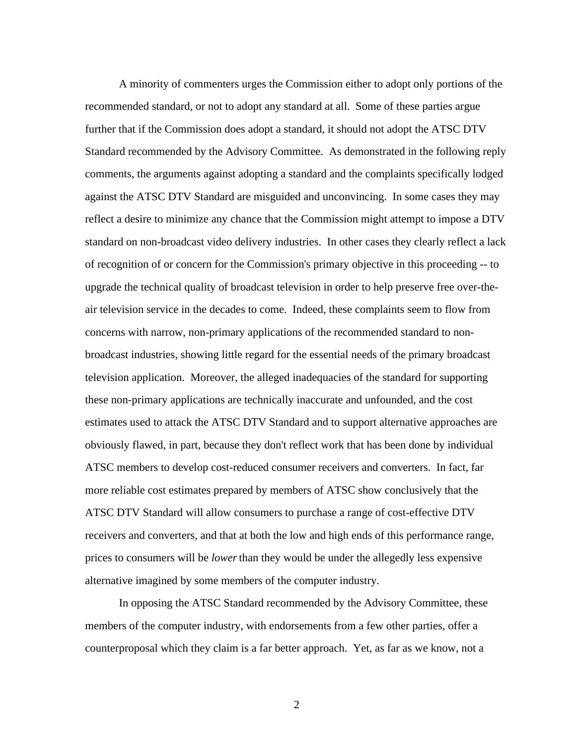A minority of commenters urges the Commission either to adopt only portions of the recommended standard, or not to adopt any standard at all. Some of these parties argue further that if the Commission does adopt a standard, it should not adopt the ATSC DTV Standard recommended by the Advisory Committee. As demonstrated in the following reply comments, the arguments against adopting a standard and the complaints specifically lodged against the ATSC DTV Standard are misguided and unconvincing. In some cases they may reflect a desire to minimize any chance that the Commission might attempt to impose a DTV standard on non-broadcast video delivery industries. In other cases they clearly reflect a lack of recognition of or concern for the Commission's primary objective in this proceeding -- to upgrade the technical quality of broadcast television in order to help preserve free over-theair television service in the decades to come. Indeed, these complaints seem to flow from concerns with narrow, non-primary applications of the recommended standard to nonbroadcast industries, showing little regard for the essential needs of the primary broadcast television application. Moreover, the alleged inadequacies of the standard for supporting these non-primary applications are technically inaccurate and unfounded, and the cost estimates used to attack the ATSC DTV Standard and to support alternative approaches are obviously flawed, in part, because they don't reflect work that has been done by individual ATSC members to develop cost-reduced consumer receivers and converters. In fact, far more reliable cost estimates prepared by members of ATSC show conclusively that the ATSC DTV Standard will allow consumers to purchase a range of cost-effective DTV receivers and converters, and that at both the low and high ends of this performance range, prices to consumers will be *lower* than they would be under the allegedly less expensive alternative imagined by some members of the computer industry.

In opposing the ATSC Standard recommended by the Advisory Committee, these members of the computer industry, with endorsements from a few other parties, offer a counterproposal which they claim is a far better approach. Yet, as far as we know, not a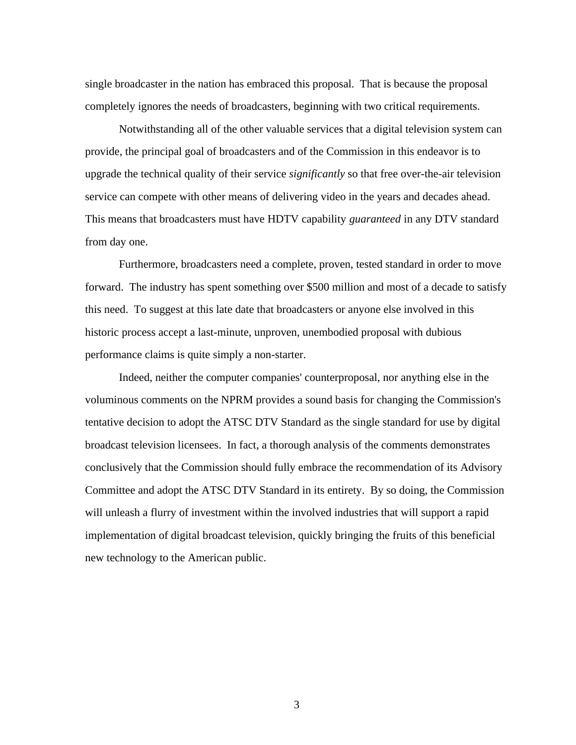single broadcaster in the nation has embraced this proposal. That is because the proposal completely ignores the needs of broadcasters, beginning with two critical requirements.

Notwithstanding all of the other valuable services that a digital television system can provide, the principal goal of broadcasters and of the Commission in this endeavor is to upgrade the technical quality of their service *significantly* so that free over-the-air television service can compete with other means of delivering video in the years and decades ahead. This means that broadcasters must have HDTV capability *guaranteed* in any DTV standard from day one.

Furthermore, broadcasters need a complete, proven, tested standard in order to move forward. The industry has spent something over \$500 million and most of a decade to satisfy this need. To suggest at this late date that broadcasters or anyone else involved in this historic process accept a last-minute, unproven, unembodied proposal with dubious performance claims is quite simply a non-starter.

Indeed, neither the computer companies' counterproposal, nor anything else in the voluminous comments on the NPRM provides a sound basis for changing the Commission's tentative decision to adopt the ATSC DTV Standard as the single standard for use by digital broadcast television licensees. In fact, a thorough analysis of the comments demonstrates conclusively that the Commission should fully embrace the recommendation of its Advisory Committee and adopt the ATSC DTV Standard in its entirety. By so doing, the Commission will unleash a flurry of investment within the involved industries that will support a rapid implementation of digital broadcast television, quickly bringing the fruits of this beneficial new technology to the American public.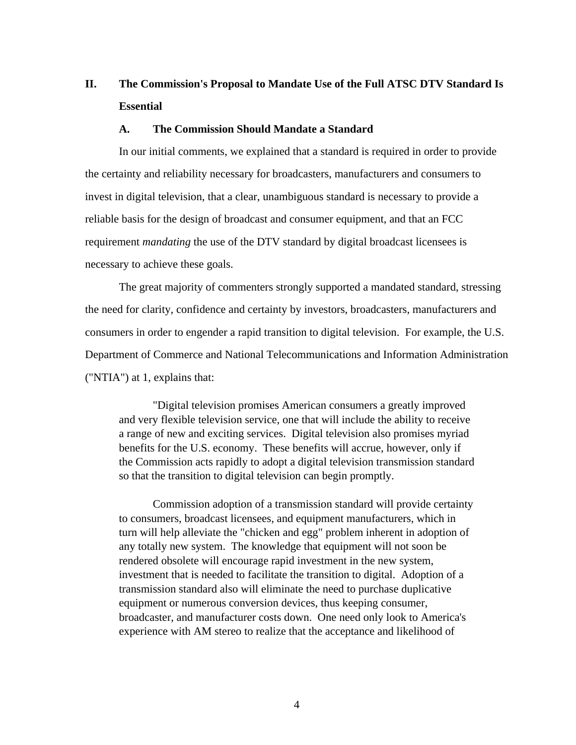## **II. The Commission's Proposal to Mandate Use of the Full ATSC DTV Standard Is Essential**

#### **A. The Commission Should Mandate a Standard**

In our initial comments, we explained that a standard is required in order to provide the certainty and reliability necessary for broadcasters, manufacturers and consumers to invest in digital television, that a clear, unambiguous standard is necessary to provide a reliable basis for the design of broadcast and consumer equipment, and that an FCC requirement *mandating* the use of the DTV standard by digital broadcast licensees is necessary to achieve these goals.

The great majority of commenters strongly supported a mandated standard, stressing the need for clarity, confidence and certainty by investors, broadcasters, manufacturers and consumers in order to engender a rapid transition to digital television. For example, the U.S. Department of Commerce and National Telecommunications and Information Administration ("NTIA") at 1, explains that:

"Digital television promises American consumers a greatly improved and very flexible television service, one that will include the ability to receive a range of new and exciting services. Digital television also promises myriad benefits for the U.S. economy. These benefits will accrue, however, only if the Commission acts rapidly to adopt a digital television transmission standard so that the transition to digital television can begin promptly.

Commission adoption of a transmission standard will provide certainty to consumers, broadcast licensees, and equipment manufacturers, which in turn will help alleviate the "chicken and egg" problem inherent in adoption of any totally new system. The knowledge that equipment will not soon be rendered obsolete will encourage rapid investment in the new system, investment that is needed to facilitate the transition to digital. Adoption of a transmission standard also will eliminate the need to purchase duplicative equipment or numerous conversion devices, thus keeping consumer, broadcaster, and manufacturer costs down. One need only look to America's experience with AM stereo to realize that the acceptance and likelihood of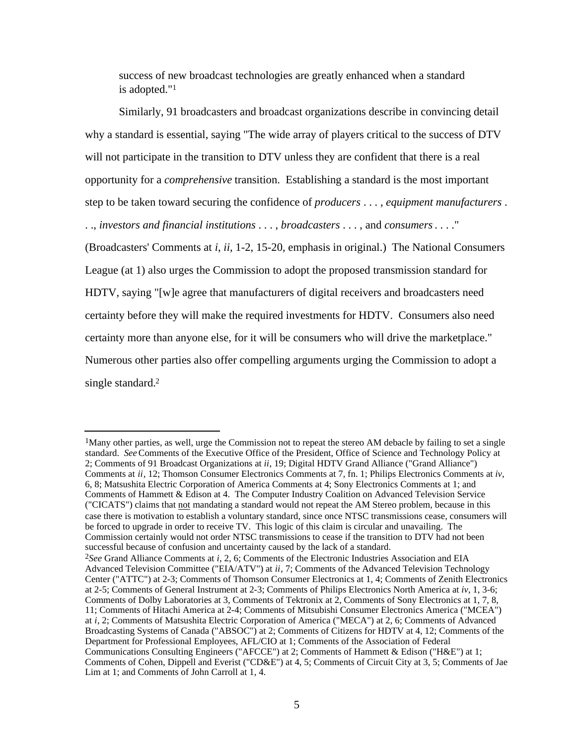success of new broadcast technologies are greatly enhanced when a standard is adopted."<sup>1</sup>

Similarly, 91 broadcasters and broadcast organizations describe in convincing detail why a standard is essential, saying "The wide array of players critical to the success of DTV will not participate in the transition to DTV unless they are confident that there is a real opportunity for a *comprehensive* transition. Establishing a standard is the most important step to be taken toward securing the confidence of *producers* . . . , *equipment manufacturers* . . ., *investors and financial institutions* . . . , *broadcasters* . . . , and *consumers* . . . ." (Broadcasters' Comments at *i*, *ii*, 1-2, 15-20, emphasis in original.) The National Consumers League (at 1) also urges the Commission to adopt the proposed transmission standard for HDTV, saying "[w]e agree that manufacturers of digital receivers and broadcasters need certainty before they will make the required investments for HDTV. Consumers also need certainty more than anyone else, for it will be consumers who will drive the marketplace." Numerous other parties also offer compelling arguments urging the Commission to adopt a single standard.<sup>2</sup>

<sup>&</sup>lt;sup>1</sup>Many other parties, as well, urge the Commission not to repeat the stereo AM debacle by failing to set a single standard. *See* Comments of the Executive Office of the President, Office of Science and Technology Policy at 2; Comments of 91 Broadcast Organizations at *ii*, 19; Digital HDTV Grand Alliance ("Grand Alliance") Comments at *ii*, 12; Thomson Consumer Electronics Comments at 7, fn. 1; Philips Electronics Comments at *iv*, 6, 8; Matsushita Electric Corporation of America Comments at 4; Sony Electronics Comments at 1; and Comments of Hammett & Edison at 4. The Computer Industry Coalition on Advanced Television Service ("CICATS") claims that not mandating a standard would not repeat the AM Stereo problem, because in this case there is motivation to establish a voluntary standard, since once NTSC transmissions cease, consumers will be forced to upgrade in order to receive TV. This logic of this claim is circular and unavailing. The Commission certainly would not order NTSC transmissions to cease if the transition to DTV had not been successful because of confusion and uncertainty caused by the lack of a standard. 2*See* Grand Alliance Comments at *i*, 2, 6; Comments of the Electronic Industries Association and EIA Advanced Television Committee ("EIA/ATV") at *ii*, 7; Comments of the Advanced Television Technology Center ("ATTC") at 2-3; Comments of Thomson Consumer Electronics at 1, 4; Comments of Zenith Electronics at 2-5; Comments of General Instrument at 2-3; Comments of Philips Electronics North America at *iv*, 1, 3-6; Comments of Dolby Laboratories at 3, Comments of Tektronix at 2, Comments of Sony Electronics at 1, 7, 8, 11; Comments of Hitachi America at 2-4; Comments of Mitsubishi Consumer Electronics America ("MCEA") at *i*, 2; Comments of Matsushita Electric Corporation of America ("MECA") at 2, 6; Comments of Advanced Broadcasting Systems of Canada ("ABSOC") at 2; Comments of Citizens for HDTV at 4, 12; Comments of the Department for Professional Employees, AFL/CIO at 1; Comments of the Association of Federal Communications Consulting Engineers ("AFCCE") at 2; Comments of Hammett & Edison ("H&E") at 1; Comments of Cohen, Dippell and Everist ("CD&E") at 4, 5; Comments of Circuit City at 3, 5; Comments of Jae Lim at 1; and Comments of John Carroll at 1, 4.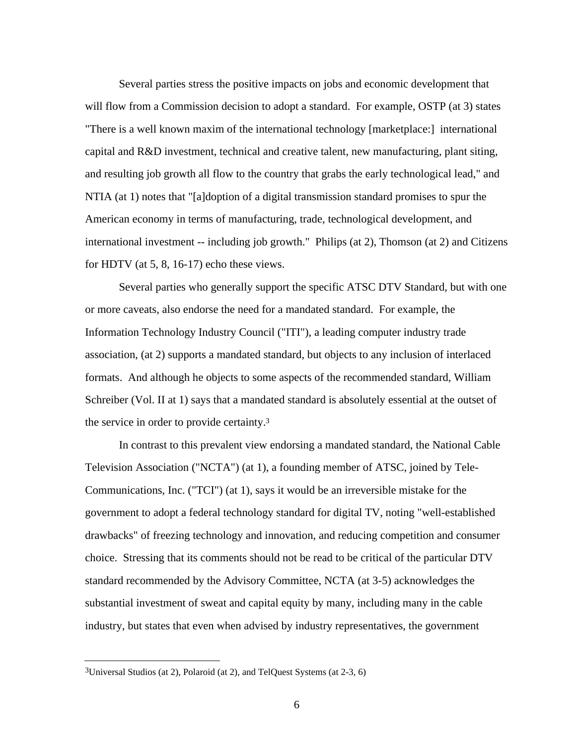Several parties stress the positive impacts on jobs and economic development that will flow from a Commission decision to adopt a standard. For example, OSTP (at 3) states "There is a well known maxim of the international technology [marketplace:] international capital and R&D investment, technical and creative talent, new manufacturing, plant siting, and resulting job growth all flow to the country that grabs the early technological lead," and NTIA (at 1) notes that "[a]doption of a digital transmission standard promises to spur the American economy in terms of manufacturing, trade, technological development, and international investment -- including job growth." Philips (at 2), Thomson (at 2) and Citizens for HDTV (at 5, 8, 16-17) echo these views.

Several parties who generally support the specific ATSC DTV Standard, but with one or more caveats, also endorse the need for a mandated standard. For example, the Information Technology Industry Council ("ITI"), a leading computer industry trade association, (at 2) supports a mandated standard, but objects to any inclusion of interlaced formats. And although he objects to some aspects of the recommended standard, William Schreiber (Vol. II at 1) says that a mandated standard is absolutely essential at the outset of the service in order to provide certainty.<sup>3</sup>

In contrast to this prevalent view endorsing a mandated standard, the National Cable Television Association ("NCTA") (at 1), a founding member of ATSC, joined by Tele-Communications, Inc. ("TCI") (at 1), says it would be an irreversible mistake for the government to adopt a federal technology standard for digital TV, noting "well-established drawbacks" of freezing technology and innovation, and reducing competition and consumer choice. Stressing that its comments should not be read to be critical of the particular DTV standard recommended by the Advisory Committee, NCTA (at 3-5) acknowledges the substantial investment of sweat and capital equity by many, including many in the cable industry, but states that even when advised by industry representatives, the government

j

<sup>3</sup>Universal Studios (at 2), Polaroid (at 2), and TelQuest Systems (at 2-3, 6)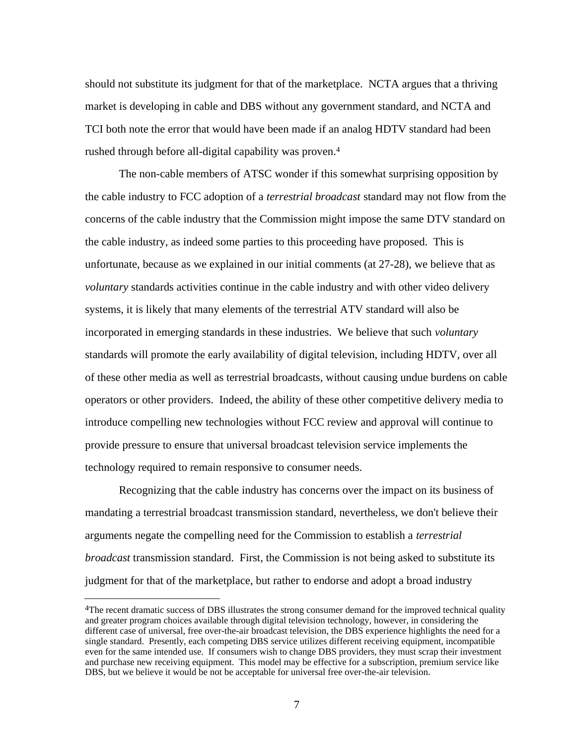should not substitute its judgment for that of the marketplace. NCTA argues that a thriving market is developing in cable and DBS without any government standard, and NCTA and TCI both note the error that would have been made if an analog HDTV standard had been rushed through before all-digital capability was proven.<sup>4</sup>

The non-cable members of ATSC wonder if this somewhat surprising opposition by the cable industry to FCC adoption of a *terrestrial broadcast* standard may not flow from the concerns of the cable industry that the Commission might impose the same DTV standard on the cable industry, as indeed some parties to this proceeding have proposed. This is unfortunate, because as we explained in our initial comments (at 27-28), we believe that as *voluntary* standards activities continue in the cable industry and with other video delivery systems, it is likely that many elements of the terrestrial ATV standard will also be incorporated in emerging standards in these industries. We believe that such *voluntary* standards will promote the early availability of digital television, including HDTV, over all of these other media as well as terrestrial broadcasts, without causing undue burdens on cable operators or other providers. Indeed, the ability of these other competitive delivery media to introduce compelling new technologies without FCC review and approval will continue to provide pressure to ensure that universal broadcast television service implements the technology required to remain responsive to consumer needs.

Recognizing that the cable industry has concerns over the impact on its business of mandating a terrestrial broadcast transmission standard, nevertheless, we don't believe their arguments negate the compelling need for the Commission to establish a *terrestrial broadcast* transmission standard. First, the Commission is not being asked to substitute its judgment for that of the marketplace, but rather to endorse and adopt a broad industry

j

<sup>&</sup>lt;sup>4</sup>The recent dramatic success of DBS illustrates the strong consumer demand for the improved technical quality and greater program choices available through digital television technology, however, in considering the different case of universal, free over-the-air broadcast television, the DBS experience highlights the need for a single standard. Presently, each competing DBS service utilizes different receiving equipment, incompatible even for the same intended use. If consumers wish to change DBS providers, they must scrap their investment and purchase new receiving equipment. This model may be effective for a subscription, premium service like DBS, but we believe it would be not be acceptable for universal free over-the-air television.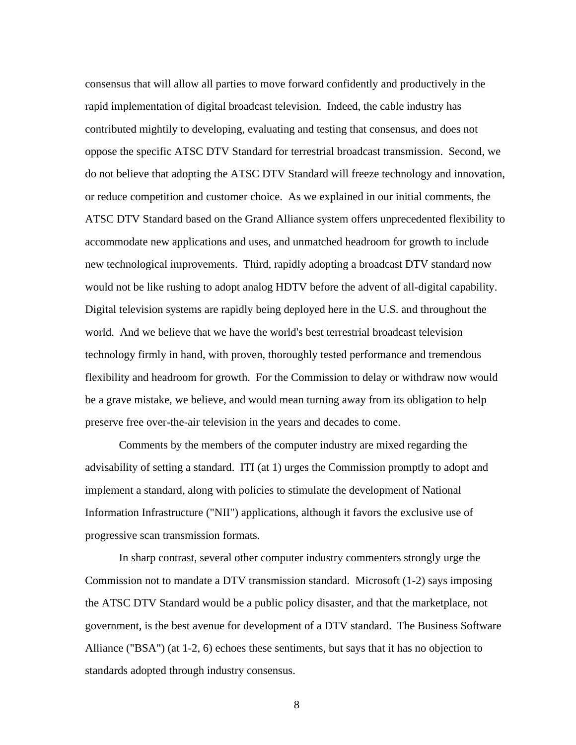consensus that will allow all parties to move forward confidently and productively in the rapid implementation of digital broadcast television. Indeed, the cable industry has contributed mightily to developing, evaluating and testing that consensus, and does not oppose the specific ATSC DTV Standard for terrestrial broadcast transmission. Second, we do not believe that adopting the ATSC DTV Standard will freeze technology and innovation, or reduce competition and customer choice. As we explained in our initial comments, the ATSC DTV Standard based on the Grand Alliance system offers unprecedented flexibility to accommodate new applications and uses, and unmatched headroom for growth to include new technological improvements. Third, rapidly adopting a broadcast DTV standard now would not be like rushing to adopt analog HDTV before the advent of all-digital capability. Digital television systems are rapidly being deployed here in the U.S. and throughout the world. And we believe that we have the world's best terrestrial broadcast television technology firmly in hand, with proven, thoroughly tested performance and tremendous flexibility and headroom for growth. For the Commission to delay or withdraw now would be a grave mistake, we believe, and would mean turning away from its obligation to help preserve free over-the-air television in the years and decades to come.

Comments by the members of the computer industry are mixed regarding the advisability of setting a standard. ITI (at 1) urges the Commission promptly to adopt and implement a standard, along with policies to stimulate the development of National Information Infrastructure ("NII") applications, although it favors the exclusive use of progressive scan transmission formats.

In sharp contrast, several other computer industry commenters strongly urge the Commission not to mandate a DTV transmission standard. Microsoft (1-2) says imposing the ATSC DTV Standard would be a public policy disaster, and that the marketplace, not government, is the best avenue for development of a DTV standard. The Business Software Alliance ("BSA") (at 1-2, 6) echoes these sentiments, but says that it has no objection to standards adopted through industry consensus.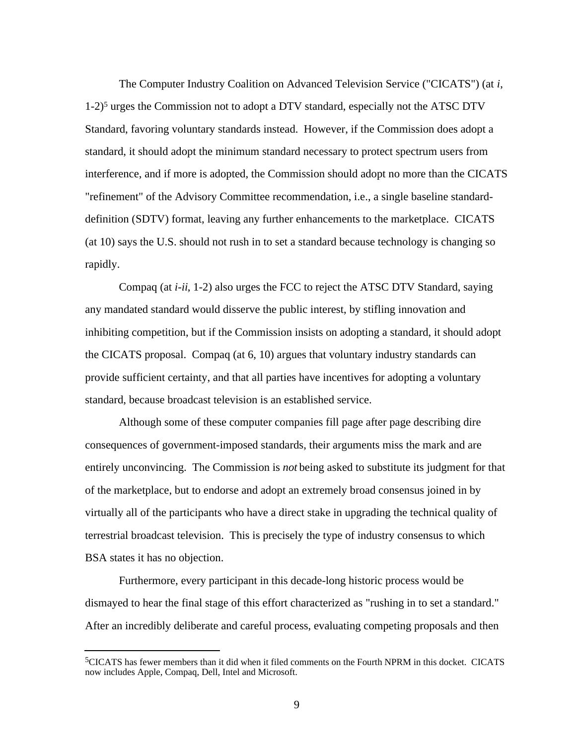The Computer Industry Coalition on Advanced Television Service ("CICATS") (at *i*,  $1-2$ <sup>5</sup> urges the Commission not to adopt a DTV standard, especially not the ATSC DTV Standard, favoring voluntary standards instead. However, if the Commission does adopt a standard, it should adopt the minimum standard necessary to protect spectrum users from interference, and if more is adopted, the Commission should adopt no more than the CICATS "refinement" of the Advisory Committee recommendation, i.e., a single baseline standarddefinition (SDTV) format, leaving any further enhancements to the marketplace. CICATS (at 10) says the U.S. should not rush in to set a standard because technology is changing so rapidly.

Compaq (at *i-ii*, 1-2) also urges the FCC to reject the ATSC DTV Standard, saying any mandated standard would disserve the public interest, by stifling innovation and inhibiting competition, but if the Commission insists on adopting a standard, it should adopt the CICATS proposal. Compaq (at 6, 10) argues that voluntary industry standards can provide sufficient certainty, and that all parties have incentives for adopting a voluntary standard, because broadcast television is an established service.

Although some of these computer companies fill page after page describing dire consequences of government-imposed standards, their arguments miss the mark and are entirely unconvincing. The Commission is *not* being asked to substitute its judgment for that of the marketplace, but to endorse and adopt an extremely broad consensus joined in by virtually all of the participants who have a direct stake in upgrading the technical quality of terrestrial broadcast television. This is precisely the type of industry consensus to which BSA states it has no objection.

Furthermore, every participant in this decade-long historic process would be dismayed to hear the final stage of this effort characterized as "rushing in to set a standard." After an incredibly deliberate and careful process, evaluating competing proposals and then

<sup>5</sup>CICATS has fewer members than it did when it filed comments on the Fourth NPRM in this docket. CICATS now includes Apple, Compaq, Dell, Intel and Microsoft.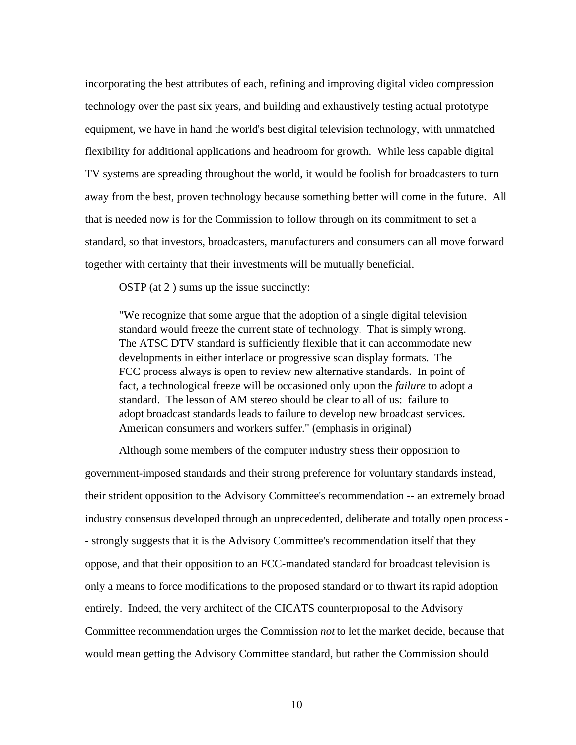incorporating the best attributes of each, refining and improving digital video compression technology over the past six years, and building and exhaustively testing actual prototype equipment, we have in hand the world's best digital television technology, with unmatched flexibility for additional applications and headroom for growth. While less capable digital TV systems are spreading throughout the world, it would be foolish for broadcasters to turn away from the best, proven technology because something better will come in the future. All that is needed now is for the Commission to follow through on its commitment to set a standard, so that investors, broadcasters, manufacturers and consumers can all move forward together with certainty that their investments will be mutually beneficial.

OSTP (at 2 ) sums up the issue succinctly:

"We recognize that some argue that the adoption of a single digital television standard would freeze the current state of technology. That is simply wrong. The ATSC DTV standard is sufficiently flexible that it can accommodate new developments in either interlace or progressive scan display formats. The FCC process always is open to review new alternative standards. In point of fact, a technological freeze will be occasioned only upon the *failure* to adopt a standard. The lesson of AM stereo should be clear to all of us: failure to adopt broadcast standards leads to failure to develop new broadcast services. American consumers and workers suffer." (emphasis in original)

Although some members of the computer industry stress their opposition to government-imposed standards and their strong preference for voluntary standards instead, their strident opposition to the Advisory Committee's recommendation -- an extremely broad industry consensus developed through an unprecedented, deliberate and totally open process - - strongly suggests that it is the Advisory Committee's recommendation itself that they oppose, and that their opposition to an FCC-mandated standard for broadcast television is only a means to force modifications to the proposed standard or to thwart its rapid adoption entirely. Indeed, the very architect of the CICATS counterproposal to the Advisory Committee recommendation urges the Commission *not* to let the market decide, because that would mean getting the Advisory Committee standard, but rather the Commission should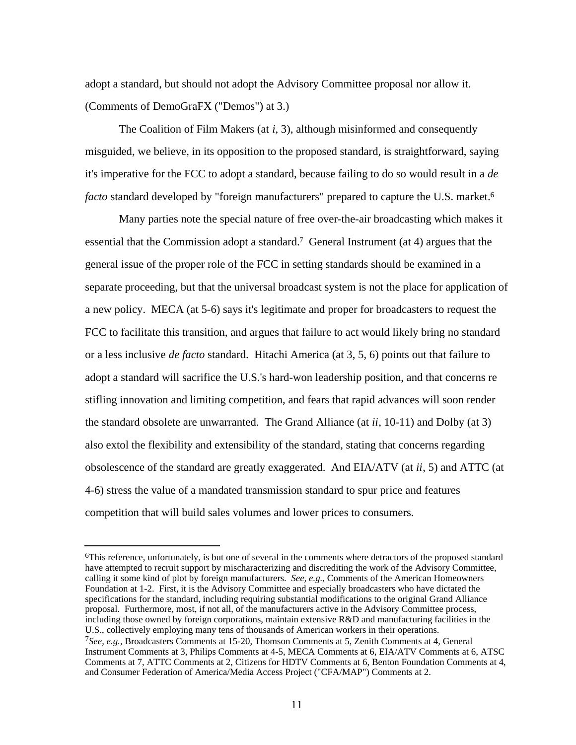adopt a standard, but should not adopt the Advisory Committee proposal nor allow it. (Comments of DemoGraFX ("Demos") at 3.)

The Coalition of Film Makers (at *i*, 3), although misinformed and consequently misguided, we believe, in its opposition to the proposed standard, is straightforward, saying it's imperative for the FCC to adopt a standard, because failing to do so would result in a *de facto* standard developed by "foreign manufacturers" prepared to capture the U.S. market.<sup>6</sup>

Many parties note the special nature of free over-the-air broadcasting which makes it essential that the Commission adopt a standard.7 General Instrument (at 4) argues that the general issue of the proper role of the FCC in setting standards should be examined in a separate proceeding, but that the universal broadcast system is not the place for application of a new policy. MECA (at 5-6) says it's legitimate and proper for broadcasters to request the FCC to facilitate this transition, and argues that failure to act would likely bring no standard or a less inclusive *de facto* standard. Hitachi America (at 3, 5, 6) points out that failure to adopt a standard will sacrifice the U.S.'s hard-won leadership position, and that concerns re stifling innovation and limiting competition, and fears that rapid advances will soon render the standard obsolete are unwarranted. The Grand Alliance (at *ii*, 10-11) and Dolby (at 3) also extol the flexibility and extensibility of the standard, stating that concerns regarding obsolescence of the standard are greatly exaggerated. And EIA/ATV (at *ii*, 5) and ATTC (at 4-6) stress the value of a mandated transmission standard to spur price and features competition that will build sales volumes and lower prices to consumers.

<sup>6</sup>This reference, unfortunately, is but one of several in the comments where detractors of the proposed standard have attempted to recruit support by mischaracterizing and discrediting the work of the Advisory Committee, calling it some kind of plot by foreign manufacturers. *See, e.g.,* Comments of the American Homeowners Foundation at 1-2. First, it is the Advisory Committee and especially broadcasters who have dictated the specifications for the standard, including requiring substantial modifications to the original Grand Alliance proposal. Furthermore, most, if not all, of the manufacturers active in the Advisory Committee process, including those owned by foreign corporations, maintain extensive R&D and manufacturing facilities in the U.S., collectively employing many tens of thousands of American workers in their operations.

<sup>7</sup>*See, e.g.,* Broadcasters Comments at 15-20, Thomson Comments at 5, Zenith Comments at 4, General Instrument Comments at 3, Philips Comments at 4-5, MECA Comments at 6, EIA/ATV Comments at 6, ATSC Comments at 7, ATTC Comments at 2, Citizens for HDTV Comments at 6, Benton Foundation Comments at 4, and Consumer Federation of America/Media Access Project ("CFA/MAP") Comments at 2.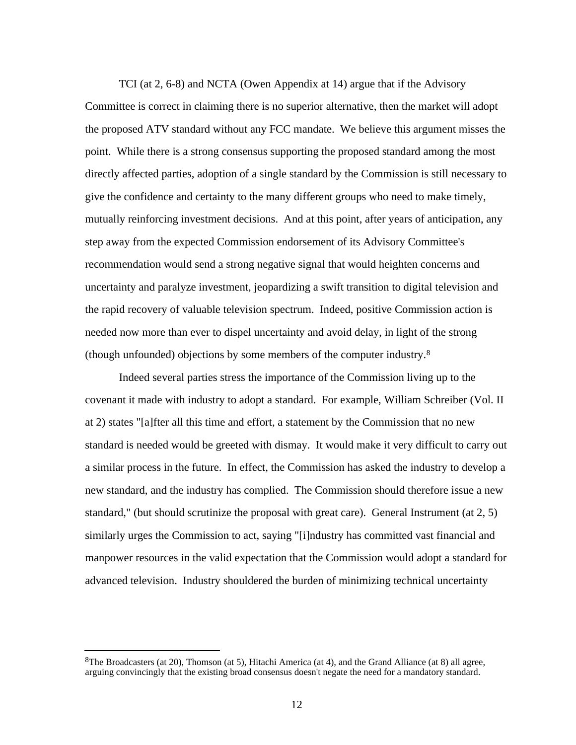TCI (at 2, 6-8) and NCTA (Owen Appendix at 14) argue that if the Advisory Committee is correct in claiming there is no superior alternative, then the market will adopt the proposed ATV standard without any FCC mandate. We believe this argument misses the point. While there is a strong consensus supporting the proposed standard among the most directly affected parties, adoption of a single standard by the Commission is still necessary to give the confidence and certainty to the many different groups who need to make timely, mutually reinforcing investment decisions. And at this point, after years of anticipation, any step away from the expected Commission endorsement of its Advisory Committee's recommendation would send a strong negative signal that would heighten concerns and uncertainty and paralyze investment, jeopardizing a swift transition to digital television and the rapid recovery of valuable television spectrum. Indeed, positive Commission action is needed now more than ever to dispel uncertainty and avoid delay, in light of the strong (though unfounded) objections by some members of the computer industry.<sup>8</sup>

Indeed several parties stress the importance of the Commission living up to the covenant it made with industry to adopt a standard. For example, William Schreiber (Vol. II at 2) states "[a]fter all this time and effort, a statement by the Commission that no new standard is needed would be greeted with dismay. It would make it very difficult to carry out a similar process in the future. In effect, the Commission has asked the industry to develop a new standard, and the industry has complied. The Commission should therefore issue a new standard," (but should scrutinize the proposal with great care). General Instrument (at 2, 5) similarly urges the Commission to act, saying "[i]ndustry has committed vast financial and manpower resources in the valid expectation that the Commission would adopt a standard for advanced television. Industry shouldered the burden of minimizing technical uncertainty

<sup>8</sup>The Broadcasters (at 20), Thomson (at 5), Hitachi America (at 4), and the Grand Alliance (at 8) all agree, arguing convincingly that the existing broad consensus doesn't negate the need for a mandatory standard.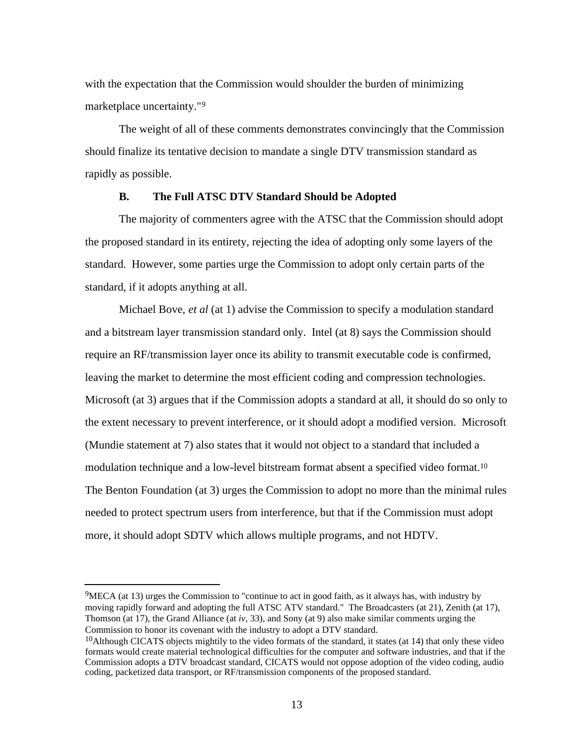with the expectation that the Commission would shoulder the burden of minimizing marketplace uncertainty."<sup>9</sup>

The weight of all of these comments demonstrates convincingly that the Commission should finalize its tentative decision to mandate a single DTV transmission standard as rapidly as possible.

#### **B. The Full ATSC DTV Standard Should be Adopted**

The majority of commenters agree with the ATSC that the Commission should adopt the proposed standard in its entirety, rejecting the idea of adopting only some layers of the standard. However, some parties urge the Commission to adopt only certain parts of the standard, if it adopts anything at all.

Michael Bove, *et al* (at 1) advise the Commission to specify a modulation standard and a bitstream layer transmission standard only. Intel (at 8) says the Commission should require an RF/transmission layer once its ability to transmit executable code is confirmed, leaving the market to determine the most efficient coding and compression technologies. Microsoft (at 3) argues that if the Commission adopts a standard at all, it should do so only to the extent necessary to prevent interference, or it should adopt a modified version. Microsoft (Mundie statement at 7) also states that it would not object to a standard that included a modulation technique and a low-level bitstream format absent a specified video format.<sup>10</sup> The Benton Foundation (at 3) urges the Commission to adopt no more than the minimal rules needed to protect spectrum users from interference, but that if the Commission must adopt more, it should adopt SDTV which allows multiple programs, and not HDTV.

j

<sup>9</sup>MECA (at 13) urges the Commission to "continue to act in good faith, as it always has, with industry by moving rapidly forward and adopting the full ATSC ATV standard." The Broadcasters (at 21), Zenith (at 17), Thomson (at 17), the Grand Alliance (at *iv*, 33), and Sony (at 9) also make similar comments urging the Commission to honor its covenant with the industry to adopt a DTV standard.

<sup>&</sup>lt;sup>10</sup>Although CICATS objects mightily to the video formats of the standard, it states (at 14) that only these video formats would create material technological difficulties for the computer and software industries, and that if the Commission adopts a DTV broadcast standard, CICATS would not oppose adoption of the video coding, audio coding, packetized data transport, or RF/transmission components of the proposed standard.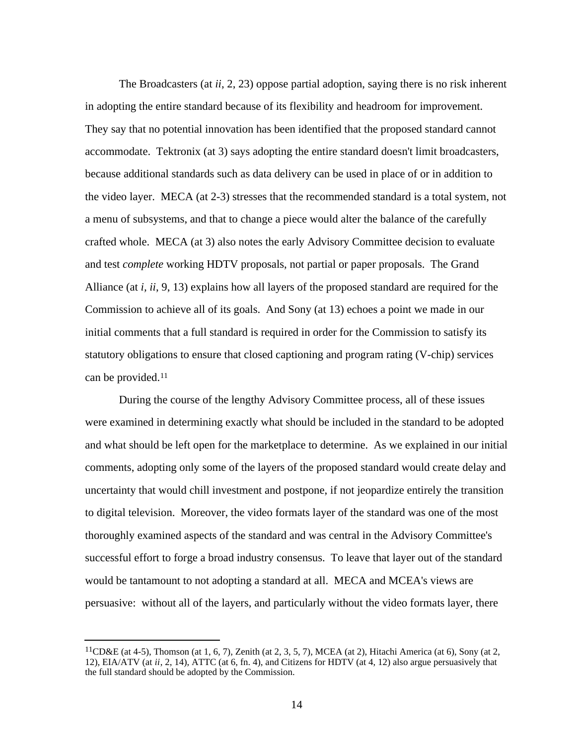The Broadcasters (at *ii*, 2, 23) oppose partial adoption, saying there is no risk inherent in adopting the entire standard because of its flexibility and headroom for improvement. They say that no potential innovation has been identified that the proposed standard cannot accommodate. Tektronix (at 3) says adopting the entire standard doesn't limit broadcasters, because additional standards such as data delivery can be used in place of or in addition to the video layer. MECA (at 2-3) stresses that the recommended standard is a total system, not a menu of subsystems, and that to change a piece would alter the balance of the carefully crafted whole. MECA (at 3) also notes the early Advisory Committee decision to evaluate and test *complete* working HDTV proposals, not partial or paper proposals. The Grand Alliance (at *i, ii*, 9, 13) explains how all layers of the proposed standard are required for the Commission to achieve all of its goals. And Sony (at 13) echoes a point we made in our initial comments that a full standard is required in order for the Commission to satisfy its statutory obligations to ensure that closed captioning and program rating (V-chip) services can be provided.<sup>11</sup>

During the course of the lengthy Advisory Committee process, all of these issues were examined in determining exactly what should be included in the standard to be adopted and what should be left open for the marketplace to determine. As we explained in our initial comments, adopting only some of the layers of the proposed standard would create delay and uncertainty that would chill investment and postpone, if not jeopardize entirely the transition to digital television. Moreover, the video formats layer of the standard was one of the most thoroughly examined aspects of the standard and was central in the Advisory Committee's successful effort to forge a broad industry consensus. To leave that layer out of the standard would be tantamount to not adopting a standard at all. MECA and MCEA's views are persuasive: without all of the layers, and particularly without the video formats layer, there

 $11$ CD&E (at 4-5), Thomson (at 1, 6, 7), Zenith (at 2, 3, 5, 7), MCEA (at 2), Hitachi America (at 6), Sony (at 2, 12), EIA/ATV (at *ii*, 2, 14), ATTC (at 6, fn. 4), and Citizens for HDTV (at 4, 12) also argue persuasively that the full standard should be adopted by the Commission.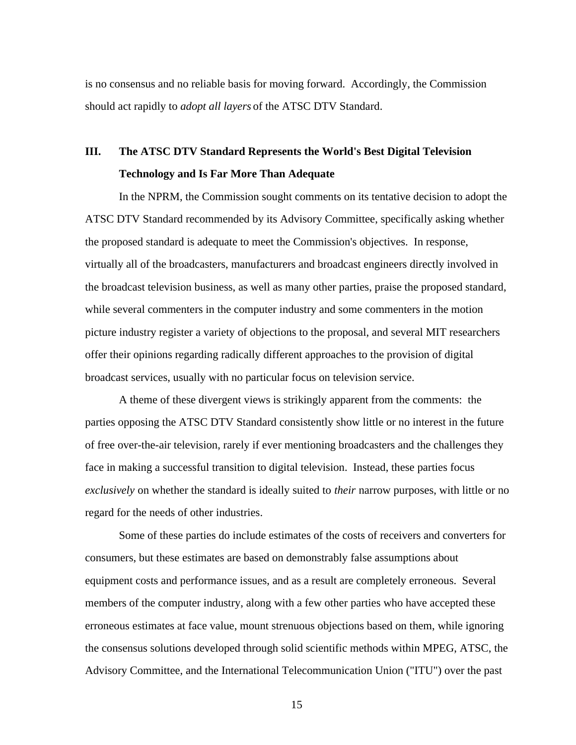is no consensus and no reliable basis for moving forward. Accordingly, the Commission should act rapidly to *adopt all layers* of the ATSC DTV Standard.

# **III. The ATSC DTV Standard Represents the World's Best Digital Television Technology and Is Far More Than Adequate**

In the NPRM, the Commission sought comments on its tentative decision to adopt the ATSC DTV Standard recommended by its Advisory Committee, specifically asking whether the proposed standard is adequate to meet the Commission's objectives. In response, virtually all of the broadcasters, manufacturers and broadcast engineers directly involved in the broadcast television business, as well as many other parties, praise the proposed standard, while several commenters in the computer industry and some commenters in the motion picture industry register a variety of objections to the proposal, and several MIT researchers offer their opinions regarding radically different approaches to the provision of digital broadcast services, usually with no particular focus on television service.

A theme of these divergent views is strikingly apparent from the comments: the parties opposing the ATSC DTV Standard consistently show little or no interest in the future of free over-the-air television, rarely if ever mentioning broadcasters and the challenges they face in making a successful transition to digital television. Instead, these parties focus *exclusively* on whether the standard is ideally suited to *their* narrow purposes, with little or no regard for the needs of other industries.

Some of these parties do include estimates of the costs of receivers and converters for consumers, but these estimates are based on demonstrably false assumptions about equipment costs and performance issues, and as a result are completely erroneous. Several members of the computer industry, along with a few other parties who have accepted these erroneous estimates at face value, mount strenuous objections based on them, while ignoring the consensus solutions developed through solid scientific methods within MPEG, ATSC, the Advisory Committee, and the International Telecommunication Union ("ITU") over the past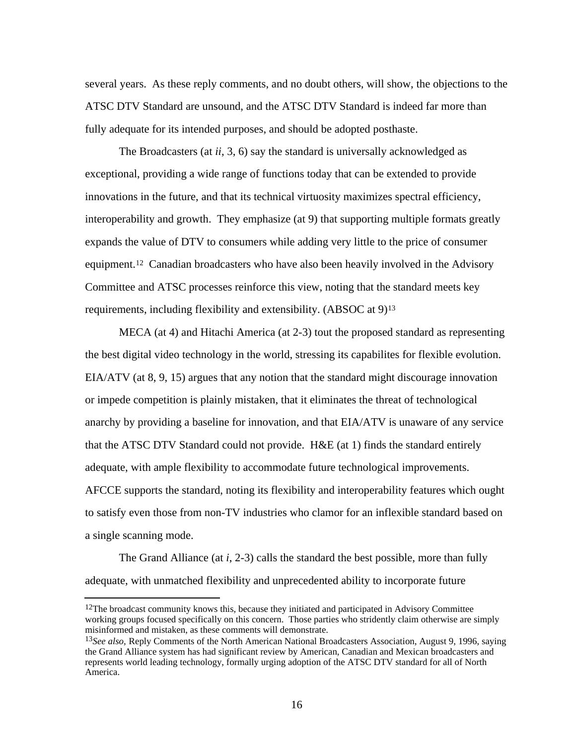several years. As these reply comments, and no doubt others, will show, the objections to the ATSC DTV Standard are unsound, and the ATSC DTV Standard is indeed far more than fully adequate for its intended purposes, and should be adopted posthaste.

The Broadcasters (at *ii*, 3, 6) say the standard is universally acknowledged as exceptional, providing a wide range of functions today that can be extended to provide innovations in the future, and that its technical virtuosity maximizes spectral efficiency, interoperability and growth. They emphasize (at 9) that supporting multiple formats greatly expands the value of DTV to consumers while adding very little to the price of consumer equipment.12 Canadian broadcasters who have also been heavily involved in the Advisory Committee and ATSC processes reinforce this view, noting that the standard meets key requirements, including flexibility and extensibility. (ABSOC at 9)<sup>13</sup>

MECA (at 4) and Hitachi America (at 2-3) tout the proposed standard as representing the best digital video technology in the world, stressing its capabilites for flexible evolution. EIA/ATV (at 8, 9, 15) argues that any notion that the standard might discourage innovation or impede competition is plainly mistaken, that it eliminates the threat of technological anarchy by providing a baseline for innovation, and that EIA/ATV is unaware of any service that the ATSC DTV Standard could not provide. H&E (at 1) finds the standard entirely adequate, with ample flexibility to accommodate future technological improvements. AFCCE supports the standard, noting its flexibility and interoperability features which ought to satisfy even those from non-TV industries who clamor for an inflexible standard based on a single scanning mode.

The Grand Alliance (at *i*, 2-3) calls the standard the best possible, more than fully adequate, with unmatched flexibility and unprecedented ability to incorporate future

<sup>&</sup>lt;sup>12</sup>The broadcast community knows this, because they initiated and participated in Advisory Committee working groups focused specifically on this concern. Those parties who stridently claim otherwise are simply misinformed and mistaken, as these comments will demonstrate.

<sup>13</sup>*See also,* Reply Comments of the North American National Broadcasters Association, August 9, 1996, saying the Grand Alliance system has had significant review by American, Canadian and Mexican broadcasters and represents world leading technology, formally urging adoption of the ATSC DTV standard for all of North America.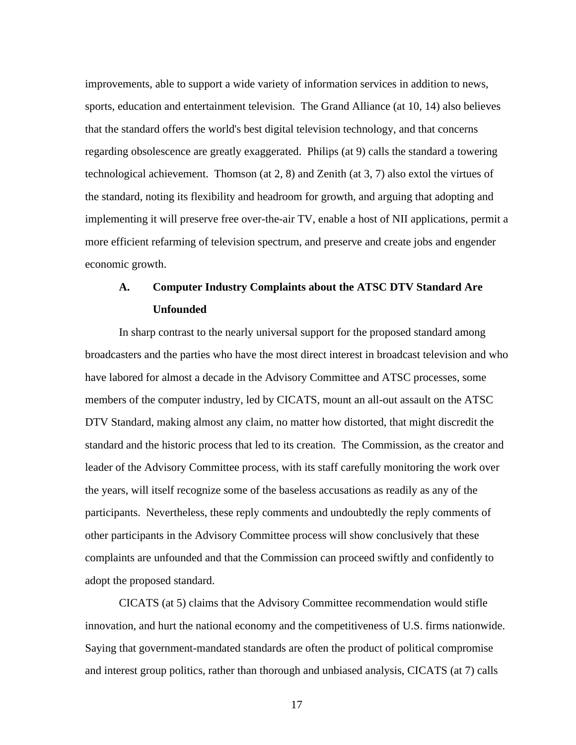improvements, able to support a wide variety of information services in addition to news, sports, education and entertainment television. The Grand Alliance (at 10, 14) also believes that the standard offers the world's best digital television technology, and that concerns regarding obsolescence are greatly exaggerated. Philips (at 9) calls the standard a towering technological achievement. Thomson (at 2, 8) and Zenith (at 3, 7) also extol the virtues of the standard, noting its flexibility and headroom for growth, and arguing that adopting and implementing it will preserve free over-the-air TV, enable a host of NII applications, permit a more efficient refarming of television spectrum, and preserve and create jobs and engender economic growth.

# **A. Computer Industry Complaints about the ATSC DTV Standard Are Unfounded**

In sharp contrast to the nearly universal support for the proposed standard among broadcasters and the parties who have the most direct interest in broadcast television and who have labored for almost a decade in the Advisory Committee and ATSC processes, some members of the computer industry, led by CICATS, mount an all-out assault on the ATSC DTV Standard, making almost any claim, no matter how distorted, that might discredit the standard and the historic process that led to its creation. The Commission, as the creator and leader of the Advisory Committee process, with its staff carefully monitoring the work over the years, will itself recognize some of the baseless accusations as readily as any of the participants. Nevertheless, these reply comments and undoubtedly the reply comments of other participants in the Advisory Committee process will show conclusively that these complaints are unfounded and that the Commission can proceed swiftly and confidently to adopt the proposed standard.

CICATS (at 5) claims that the Advisory Committee recommendation would stifle innovation, and hurt the national economy and the competitiveness of U.S. firms nationwide. Saying that government-mandated standards are often the product of political compromise and interest group politics, rather than thorough and unbiased analysis, CICATS (at 7) calls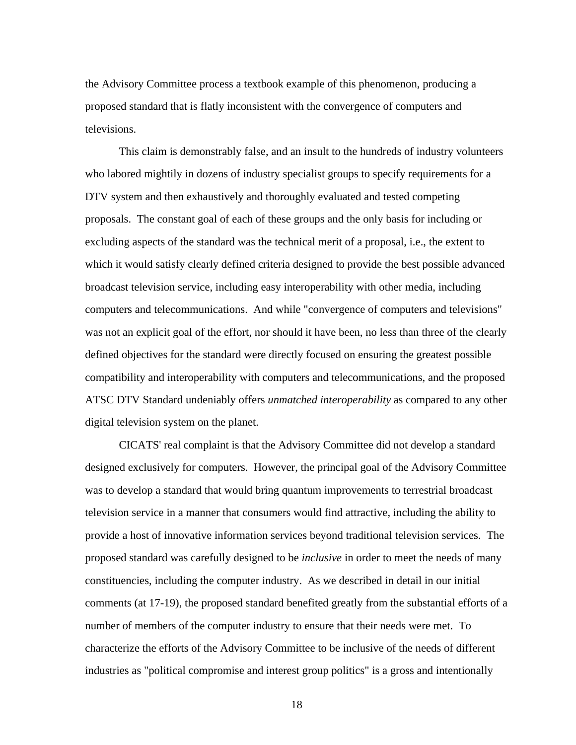the Advisory Committee process a textbook example of this phenomenon, producing a proposed standard that is flatly inconsistent with the convergence of computers and televisions.

This claim is demonstrably false, and an insult to the hundreds of industry volunteers who labored mightily in dozens of industry specialist groups to specify requirements for a DTV system and then exhaustively and thoroughly evaluated and tested competing proposals. The constant goal of each of these groups and the only basis for including or excluding aspects of the standard was the technical merit of a proposal, i.e., the extent to which it would satisfy clearly defined criteria designed to provide the best possible advanced broadcast television service, including easy interoperability with other media, including computers and telecommunications. And while "convergence of computers and televisions" was not an explicit goal of the effort, nor should it have been, no less than three of the clearly defined objectives for the standard were directly focused on ensuring the greatest possible compatibility and interoperability with computers and telecommunications, and the proposed ATSC DTV Standard undeniably offers *unmatched interoperability* as compared to any other digital television system on the planet.

CICATS' real complaint is that the Advisory Committee did not develop a standard designed exclusively for computers. However, the principal goal of the Advisory Committee was to develop a standard that would bring quantum improvements to terrestrial broadcast television service in a manner that consumers would find attractive, including the ability to provide a host of innovative information services beyond traditional television services. The proposed standard was carefully designed to be *inclusive* in order to meet the needs of many constituencies, including the computer industry. As we described in detail in our initial comments (at 17-19), the proposed standard benefited greatly from the substantial efforts of a number of members of the computer industry to ensure that their needs were met. To characterize the efforts of the Advisory Committee to be inclusive of the needs of different industries as "political compromise and interest group politics" is a gross and intentionally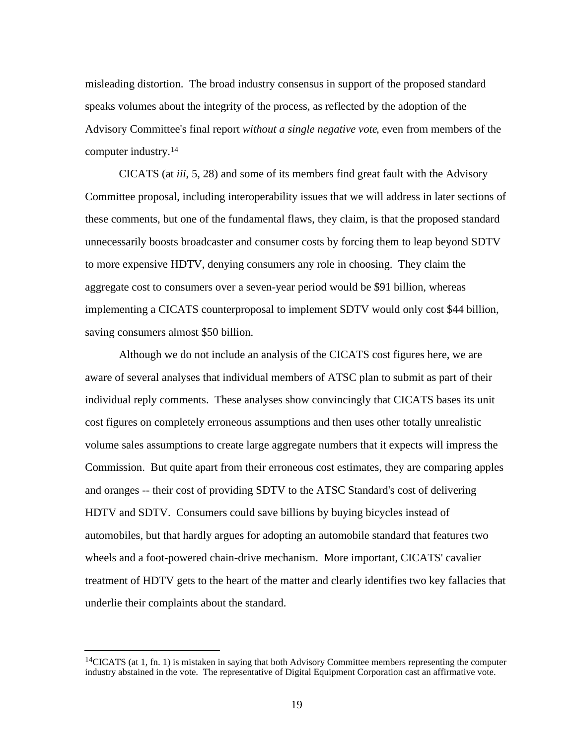misleading distortion. The broad industry consensus in support of the proposed standard speaks volumes about the integrity of the process, as reflected by the adoption of the Advisory Committee's final report *without a single negative vote*, even from members of the computer industry.<sup>14</sup>

CICATS (at *iii*, 5, 28) and some of its members find great fault with the Advisory Committee proposal, including interoperability issues that we will address in later sections of these comments, but one of the fundamental flaws, they claim, is that the proposed standard unnecessarily boosts broadcaster and consumer costs by forcing them to leap beyond SDTV to more expensive HDTV, denying consumers any role in choosing. They claim the aggregate cost to consumers over a seven-year period would be \$91 billion, whereas implementing a CICATS counterproposal to implement SDTV would only cost \$44 billion, saving consumers almost \$50 billion.

Although we do not include an analysis of the CICATS cost figures here, we are aware of several analyses that individual members of ATSC plan to submit as part of their individual reply comments. These analyses show convincingly that CICATS bases its unit cost figures on completely erroneous assumptions and then uses other totally unrealistic volume sales assumptions to create large aggregate numbers that it expects will impress the Commission. But quite apart from their erroneous cost estimates, they are comparing apples and oranges -- their cost of providing SDTV to the ATSC Standard's cost of delivering HDTV and SDTV. Consumers could save billions by buying bicycles instead of automobiles, but that hardly argues for adopting an automobile standard that features two wheels and a foot-powered chain-drive mechanism. More important, CICATS' cavalier treatment of HDTV gets to the heart of the matter and clearly identifies two key fallacies that underlie their complaints about the standard.

<sup>14</sup>CICATS (at 1, fn. 1) is mistaken in saying that both Advisory Committee members representing the computer industry abstained in the vote. The representative of Digital Equipment Corporation cast an affirmative vote.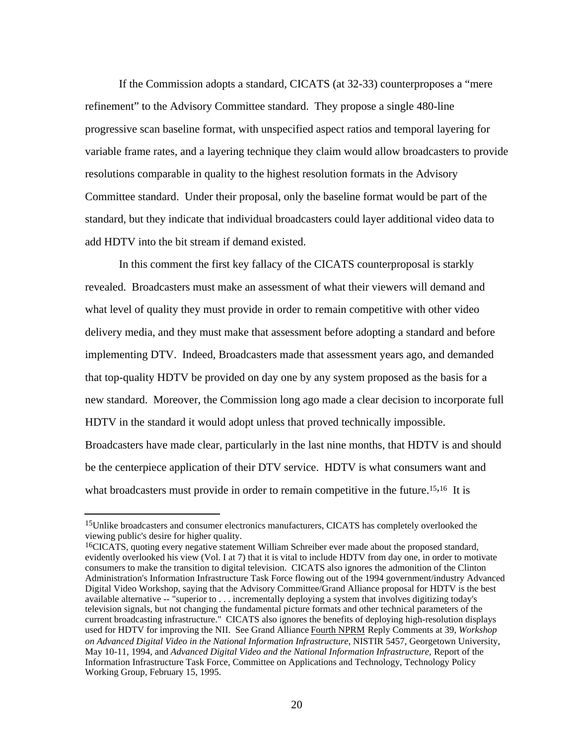If the Commission adopts a standard, CICATS (at 32-33) counterproposes a "mere refinement" to the Advisory Committee standard. They propose a single 480-line progressive scan baseline format, with unspecified aspect ratios and temporal layering for variable frame rates, and a layering technique they claim would allow broadcasters to provide resolutions comparable in quality to the highest resolution formats in the Advisory Committee standard. Under their proposal, only the baseline format would be part of the standard, but they indicate that individual broadcasters could layer additional video data to add HDTV into the bit stream if demand existed.

In this comment the first key fallacy of the CICATS counterproposal is starkly revealed. Broadcasters must make an assessment of what their viewers will demand and what level of quality they must provide in order to remain competitive with other video delivery media, and they must make that assessment before adopting a standard and before implementing DTV. Indeed, Broadcasters made that assessment years ago, and demanded that top-quality HDTV be provided on day one by any system proposed as the basis for a new standard. Moreover, the Commission long ago made a clear decision to incorporate full HDTV in the standard it would adopt unless that proved technically impossible. Broadcasters have made clear, particularly in the last nine months, that HDTV is and should be the centerpiece application of their DTV service. HDTV is what consumers want and what broadcasters must provide in order to remain competitive in the future.<sup>15,16</sup> It is

j

<sup>&</sup>lt;sup>15</sup>Unlike broadcasters and consumer electronics manufacturers, CICATS has completely overlooked the viewing public's desire for higher quality.

<sup>&</sup>lt;sup>16</sup>CICATS, quoting every negative statement William Schreiber ever made about the proposed standard, evidently overlooked his view (Vol. I at 7) that it is vital to include HDTV from day one, in order to motivate consumers to make the transition to digital television. CICATS also ignores the admonition of the Clinton Administration's Information Infrastructure Task Force flowing out of the 1994 government/industry Advanced Digital Video Workshop, saying that the Advisory Committee/Grand Alliance proposal for HDTV is the best available alternative -- "superior to . . . incrementally deploying a system that involves digitizing today's television signals, but not changing the fundamental picture formats and other technical parameters of the current broadcasting infrastructure." CICATS also ignores the benefits of deploying high-resolution displays used for HDTV for improving the NII. See Grand Alliance Fourth NPRM Reply Comments at 39, *Workshop on Advanced Digital Video in the National Information Infrastructure*, NISTIR 5457, Georgetown University, May 10-11, 1994, and *Advanced Digital Video and the National Information Infrastructure,* Report of the Information Infrastructure Task Force, Committee on Applications and Technology, Technology Policy Working Group, February 15, 1995.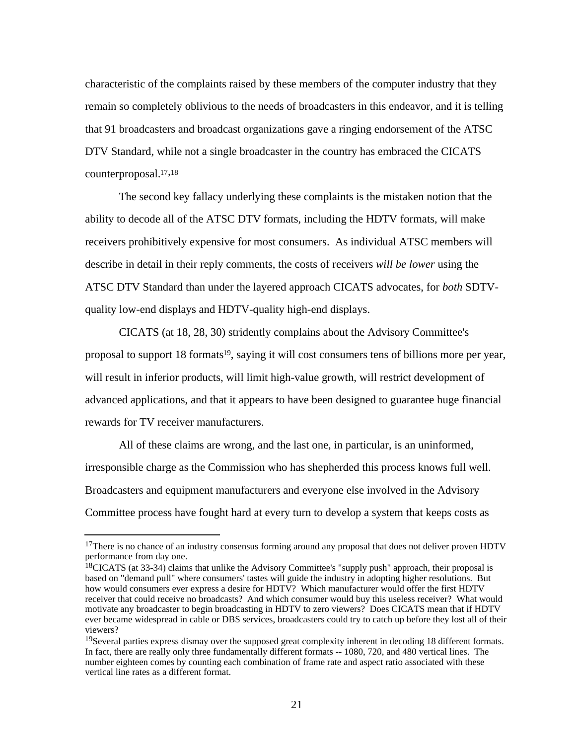characteristic of the complaints raised by these members of the computer industry that they remain so completely oblivious to the needs of broadcasters in this endeavor, and it is telling that 91 broadcasters and broadcast organizations gave a ringing endorsement of the ATSC DTV Standard, while not a single broadcaster in the country has embraced the CICATS counterproposal.17,<sup>18</sup>

The second key fallacy underlying these complaints is the mistaken notion that the ability to decode all of the ATSC DTV formats, including the HDTV formats, will make receivers prohibitively expensive for most consumers. As individual ATSC members will describe in detail in their reply comments, the costs of receivers *will be lower* using the ATSC DTV Standard than under the layered approach CICATS advocates, for *both* SDTVquality low-end displays and HDTV-quality high-end displays.

CICATS (at 18, 28, 30) stridently complains about the Advisory Committee's proposal to support 18 formats19, saying it will cost consumers tens of billions more per year, will result in inferior products, will limit high-value growth, will restrict development of advanced applications, and that it appears to have been designed to guarantee huge financial rewards for TV receiver manufacturers.

All of these claims are wrong, and the last one, in particular, is an uninformed, irresponsible charge as the Commission who has shepherded this process knows full well. Broadcasters and equipment manufacturers and everyone else involved in the Advisory Committee process have fought hard at every turn to develop a system that keeps costs as

<sup>&</sup>lt;sup>17</sup>There is no chance of an industry consensus forming around any proposal that does not deliver proven HDTV performance from day one.

<sup>&</sup>lt;sup>18</sup>CICATS (at 33-34) claims that unlike the Advisory Committee's "supply push" approach, their proposal is based on "demand pull" where consumers' tastes will guide the industry in adopting higher resolutions. But how would consumers ever express a desire for HDTV? Which manufacturer would offer the first HDTV receiver that could receive no broadcasts? And which consumer would buy this useless receiver? What would motivate any broadcaster to begin broadcasting in HDTV to zero viewers? Does CICATS mean that if HDTV ever became widespread in cable or DBS services, broadcasters could try to catch up before they lost all of their viewers?

<sup>&</sup>lt;sup>19</sup>Several parties express dismay over the supposed great complexity inherent in decoding 18 different formats. In fact, there are really only three fundamentally different formats -- 1080, 720, and 480 vertical lines. The number eighteen comes by counting each combination of frame rate and aspect ratio associated with these vertical line rates as a different format.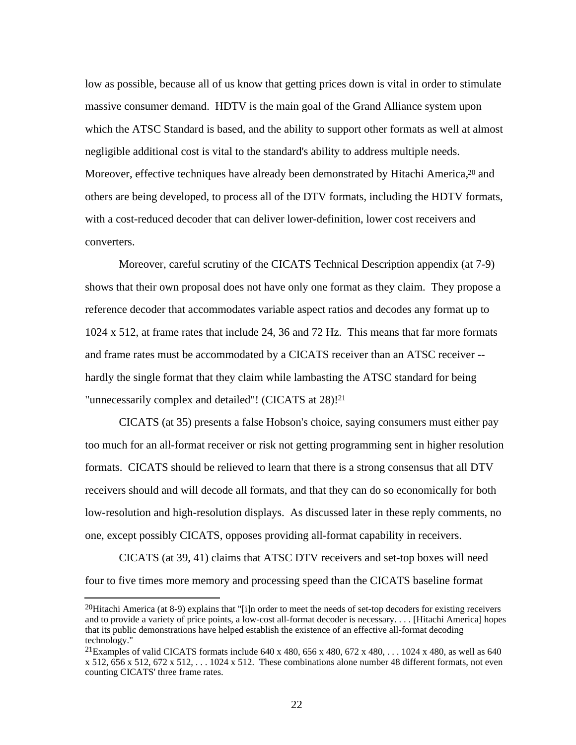low as possible, because all of us know that getting prices down is vital in order to stimulate massive consumer demand. HDTV is the main goal of the Grand Alliance system upon which the ATSC Standard is based, and the ability to support other formats as well at almost negligible additional cost is vital to the standard's ability to address multiple needs. Moreover, effective techniques have already been demonstrated by Hitachi America,<sup>20</sup> and others are being developed, to process all of the DTV formats, including the HDTV formats, with a cost-reduced decoder that can deliver lower-definition, lower cost receivers and converters.

Moreover, careful scrutiny of the CICATS Technical Description appendix (at 7-9) shows that their own proposal does not have only one format as they claim. They propose a reference decoder that accommodates variable aspect ratios and decodes any format up to 1024 x 512, at frame rates that include 24, 36 and 72 Hz. This means that far more formats and frame rates must be accommodated by a CICATS receiver than an ATSC receiver - hardly the single format that they claim while lambasting the ATSC standard for being "unnecessarily complex and detailed"! (CICATS at 28)!<sup>21</sup>

CICATS (at 35) presents a false Hobson's choice, saying consumers must either pay too much for an all-format receiver or risk not getting programming sent in higher resolution formats. CICATS should be relieved to learn that there is a strong consensus that all DTV receivers should and will decode all formats, and that they can do so economically for both low-resolution and high-resolution displays. As discussed later in these reply comments, no one, except possibly CICATS, opposes providing all-format capability in receivers.

CICATS (at 39, 41) claims that ATSC DTV receivers and set-top boxes will need four to five times more memory and processing speed than the CICATS baseline format

<sup>&</sup>lt;sup>20</sup>Hitachi America (at 8-9) explains that "[i]n order to meet the needs of set-top decoders for existing receivers and to provide a variety of price points, a low-cost all-format decoder is necessary. . . . [Hitachi America] hopes that its public demonstrations have helped establish the existence of an effective all-format decoding technology."

<sup>&</sup>lt;sup>21</sup>Examples of valid CICATS formats include 640 x 480, 656 x 480, 672 x 480, . . . 1024 x 480, as well as 640 x 512,  $656$  x 512,  $672$  x 512,  $\dots$  1024 x 512. These combinations alone number 48 different formats, not even counting CICATS' three frame rates.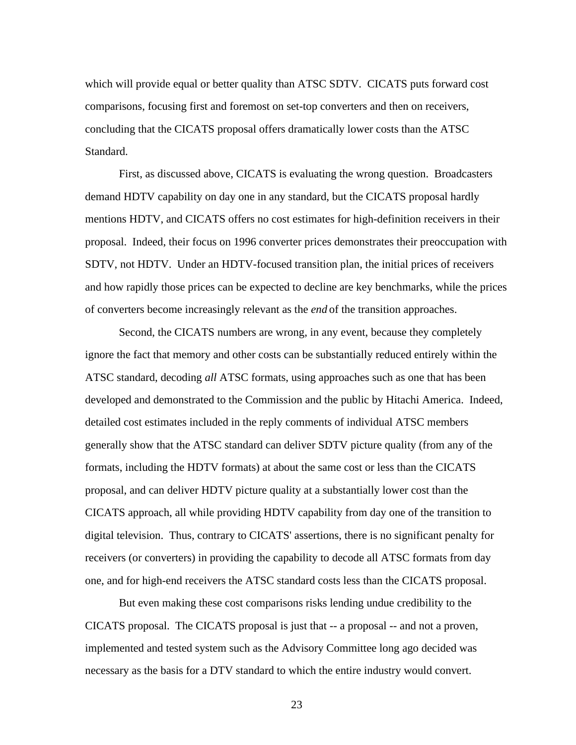which will provide equal or better quality than ATSC SDTV. CICATS puts forward cost comparisons, focusing first and foremost on set-top converters and then on receivers, concluding that the CICATS proposal offers dramatically lower costs than the ATSC Standard.

First, as discussed above, CICATS is evaluating the wrong question. Broadcasters demand HDTV capability on day one in any standard, but the CICATS proposal hardly mentions HDTV, and CICATS offers no cost estimates for high-definition receivers in their proposal. Indeed, their focus on 1996 converter prices demonstrates their preoccupation with SDTV, not HDTV. Under an HDTV-focused transition plan, the initial prices of receivers and how rapidly those prices can be expected to decline are key benchmarks, while the prices of converters become increasingly relevant as the *end* of the transition approaches.

Second, the CICATS numbers are wrong, in any event, because they completely ignore the fact that memory and other costs can be substantially reduced entirely within the ATSC standard, decoding *all* ATSC formats, using approaches such as one that has been developed and demonstrated to the Commission and the public by Hitachi America. Indeed, detailed cost estimates included in the reply comments of individual ATSC members generally show that the ATSC standard can deliver SDTV picture quality (from any of the formats, including the HDTV formats) at about the same cost or less than the CICATS proposal, and can deliver HDTV picture quality at a substantially lower cost than the CICATS approach, all while providing HDTV capability from day one of the transition to digital television. Thus, contrary to CICATS' assertions, there is no significant penalty for receivers (or converters) in providing the capability to decode all ATSC formats from day one, and for high-end receivers the ATSC standard costs less than the CICATS proposal.

But even making these cost comparisons risks lending undue credibility to the CICATS proposal. The CICATS proposal is just that -- a proposal -- and not a proven, implemented and tested system such as the Advisory Committee long ago decided was necessary as the basis for a DTV standard to which the entire industry would convert.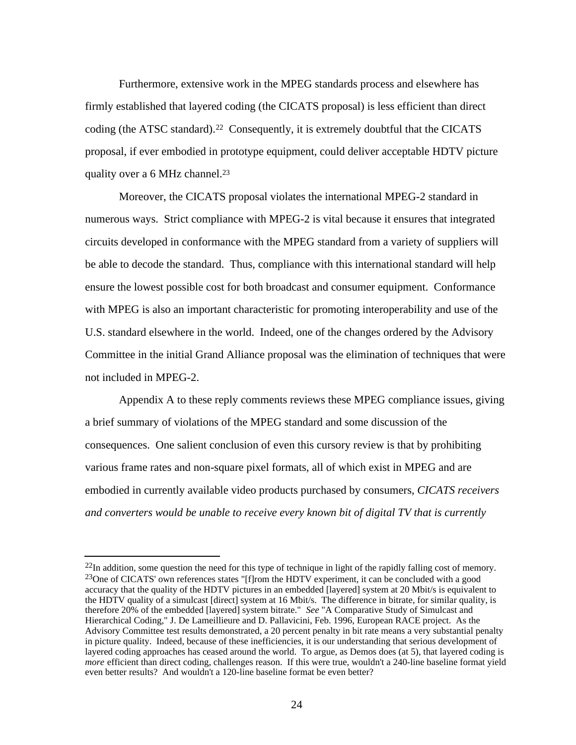Furthermore, extensive work in the MPEG standards process and elsewhere has firmly established that layered coding (the CICATS proposal) is less efficient than direct coding (the ATSC standard).<sup>22</sup> Consequently, it is extremely doubtful that the CICATS proposal, if ever embodied in prototype equipment, could deliver acceptable HDTV picture quality over a 6 MHz channel.<sup>23</sup>

Moreover, the CICATS proposal violates the international MPEG-2 standard in numerous ways. Strict compliance with MPEG-2 is vital because it ensures that integrated circuits developed in conformance with the MPEG standard from a variety of suppliers will be able to decode the standard. Thus, compliance with this international standard will help ensure the lowest possible cost for both broadcast and consumer equipment. Conformance with MPEG is also an important characteristic for promoting interoperability and use of the U.S. standard elsewhere in the world. Indeed, one of the changes ordered by the Advisory Committee in the initial Grand Alliance proposal was the elimination of techniques that were not included in MPEG-2.

Appendix A to these reply comments reviews these MPEG compliance issues, giving a brief summary of violations of the MPEG standard and some discussion of the consequences. One salient conclusion of even this cursory review is that by prohibiting various frame rates and non-square pixel formats, all of which exist in MPEG and are embodied in currently available video products purchased by consumers, *CICATS receivers and converters would be unable to receive every known bit of digital TV that is currently*

j

<sup>&</sup>lt;sup>22</sup>In addition, some question the need for this type of technique in light of the rapidly falling cost of memory. <sup>23</sup>One of CICATS' own references states "[f]rom the HDTV experiment, it can be concluded with a good accuracy that the quality of the HDTV pictures in an embedded [layered] system at 20 Mbit/s is equivalent to the HDTV quality of a simulcast [direct] system at 16 Mbit/s. The difference in bitrate, for similar quality, is therefore 20% of the embedded [layered] system bitrate." *See* "A Comparative Study of Simulcast and Hierarchical Coding," J. De Lameillieure and D. Pallavicini, Feb. 1996, European RACE project. As the Advisory Committee test results demonstrated, a 20 percent penalty in bit rate means a very substantial penalty in picture quality. Indeed, because of these inefficiencies, it is our understanding that serious development of layered coding approaches has ceased around the world. To argue, as Demos does (at 5), that layered coding is *more* efficient than direct coding, challenges reason. If this were true, wouldn't a 240-line baseline format yield even better results? And wouldn't a 120-line baseline format be even better?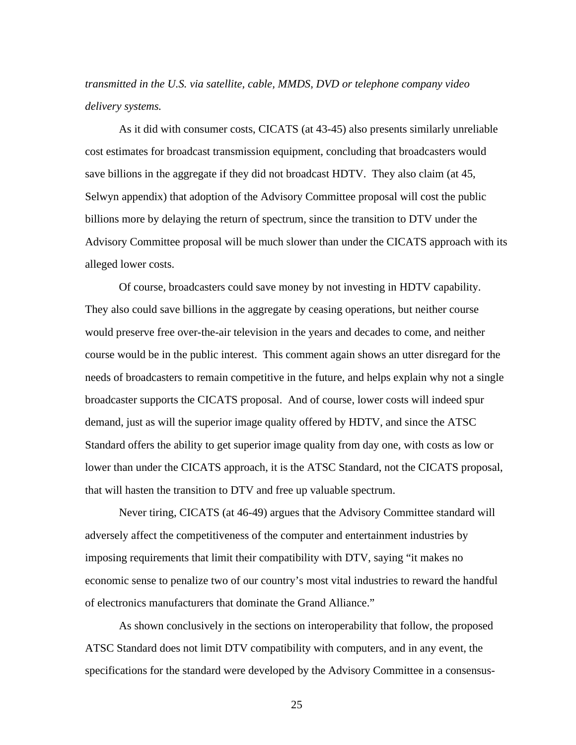*transmitted in the U.S. via satellite, cable, MMDS, DVD or telephone company video delivery systems.*

As it did with consumer costs, CICATS (at 43-45) also presents similarly unreliable cost estimates for broadcast transmission equipment, concluding that broadcasters would save billions in the aggregate if they did not broadcast HDTV. They also claim (at 45, Selwyn appendix) that adoption of the Advisory Committee proposal will cost the public billions more by delaying the return of spectrum, since the transition to DTV under the Advisory Committee proposal will be much slower than under the CICATS approach with its alleged lower costs.

Of course, broadcasters could save money by not investing in HDTV capability. They also could save billions in the aggregate by ceasing operations, but neither course would preserve free over-the-air television in the years and decades to come, and neither course would be in the public interest. This comment again shows an utter disregard for the needs of broadcasters to remain competitive in the future, and helps explain why not a single broadcaster supports the CICATS proposal. And of course, lower costs will indeed spur demand, just as will the superior image quality offered by HDTV, and since the ATSC Standard offers the ability to get superior image quality from day one, with costs as low or lower than under the CICATS approach, it is the ATSC Standard, not the CICATS proposal, that will hasten the transition to DTV and free up valuable spectrum.

Never tiring, CICATS (at 46-49) argues that the Advisory Committee standard will adversely affect the competitiveness of the computer and entertainment industries by imposing requirements that limit their compatibility with DTV, saying "it makes no economic sense to penalize two of our country's most vital industries to reward the handful of electronics manufacturers that dominate the Grand Alliance."

As shown conclusively in the sections on interoperability that follow, the proposed ATSC Standard does not limit DTV compatibility with computers, and in any event, the specifications for the standard were developed by the Advisory Committee in a consensus-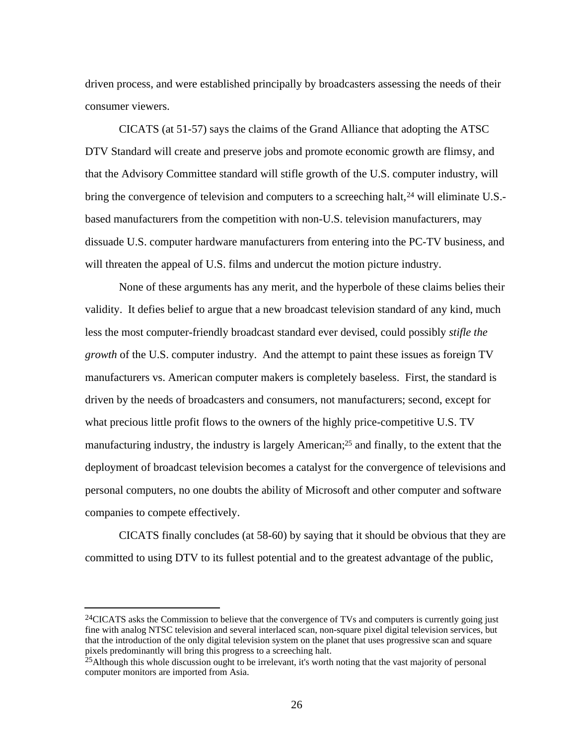driven process, and were established principally by broadcasters assessing the needs of their consumer viewers.

CICATS (at 51-57) says the claims of the Grand Alliance that adopting the ATSC DTV Standard will create and preserve jobs and promote economic growth are flimsy, and that the Advisory Committee standard will stifle growth of the U.S. computer industry, will bring the convergence of television and computers to a screeching halt,<sup>24</sup> will eliminate U.S.based manufacturers from the competition with non-U.S. television manufacturers, may dissuade U.S. computer hardware manufacturers from entering into the PC-TV business, and will threaten the appeal of U.S. films and undercut the motion picture industry.

None of these arguments has any merit, and the hyperbole of these claims belies their validity. It defies belief to argue that a new broadcast television standard of any kind, much less the most computer-friendly broadcast standard ever devised, could possibly *stifle the growth* of the U.S. computer industry. And the attempt to paint these issues as foreign TV manufacturers vs. American computer makers is completely baseless. First, the standard is driven by the needs of broadcasters and consumers, not manufacturers; second, except for what precious little profit flows to the owners of the highly price-competitive U.S. TV manufacturing industry, the industry is largely American;25 and finally, to the extent that the deployment of broadcast television becomes a catalyst for the convergence of televisions and personal computers, no one doubts the ability of Microsoft and other computer and software companies to compete effectively.

CICATS finally concludes (at 58-60) by saying that it should be obvious that they are committed to using DTV to its fullest potential and to the greatest advantage of the public,

<sup>&</sup>lt;sup>24</sup>CICATS asks the Commission to believe that the convergence of TVs and computers is currently going just fine with analog NTSC television and several interlaced scan, non-square pixel digital television services, but that the introduction of the only digital television system on the planet that uses progressive scan and square pixels predominantly will bring this progress to a screeching halt.

<sup>&</sup>lt;sup>25</sup>Although this whole discussion ought to be irrelevant, it's worth noting that the vast majority of personal computer monitors are imported from Asia.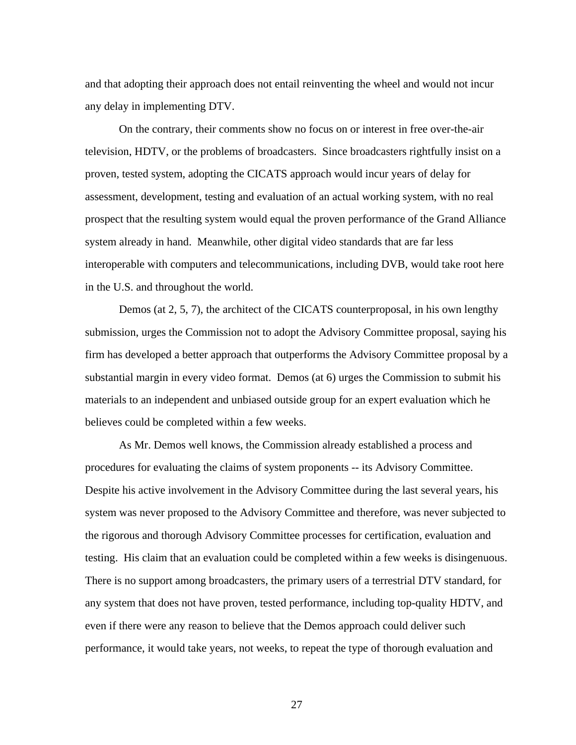and that adopting their approach does not entail reinventing the wheel and would not incur any delay in implementing DTV.

On the contrary, their comments show no focus on or interest in free over-the-air television, HDTV, or the problems of broadcasters. Since broadcasters rightfully insist on a proven, tested system, adopting the CICATS approach would incur years of delay for assessment, development, testing and evaluation of an actual working system, with no real prospect that the resulting system would equal the proven performance of the Grand Alliance system already in hand. Meanwhile, other digital video standards that are far less interoperable with computers and telecommunications, including DVB, would take root here in the U.S. and throughout the world.

Demos (at 2, 5, 7), the architect of the CICATS counterproposal, in his own lengthy submission, urges the Commission not to adopt the Advisory Committee proposal, saying his firm has developed a better approach that outperforms the Advisory Committee proposal by a substantial margin in every video format. Demos (at 6) urges the Commission to submit his materials to an independent and unbiased outside group for an expert evaluation which he believes could be completed within a few weeks.

As Mr. Demos well knows, the Commission already established a process and procedures for evaluating the claims of system proponents -- its Advisory Committee. Despite his active involvement in the Advisory Committee during the last several years, his system was never proposed to the Advisory Committee and therefore, was never subjected to the rigorous and thorough Advisory Committee processes for certification, evaluation and testing. His claim that an evaluation could be completed within a few weeks is disingenuous. There is no support among broadcasters, the primary users of a terrestrial DTV standard, for any system that does not have proven, tested performance, including top-quality HDTV, and even if there were any reason to believe that the Demos approach could deliver such performance, it would take years, not weeks, to repeat the type of thorough evaluation and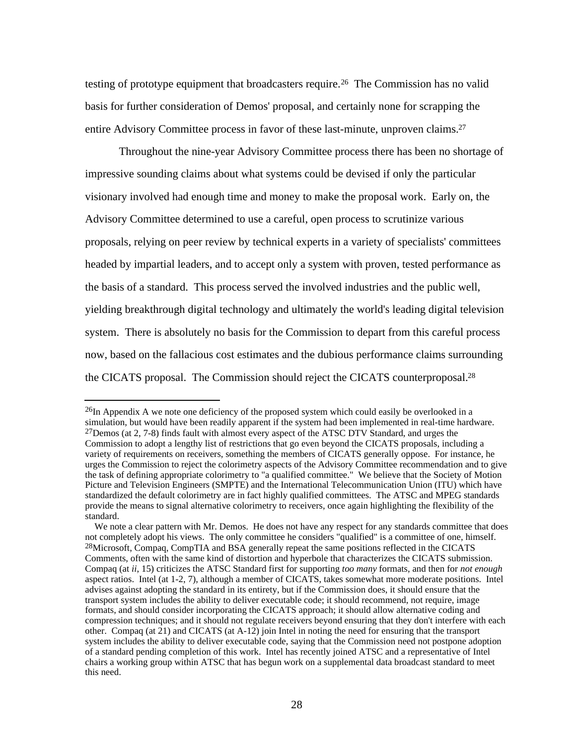testing of prototype equipment that broadcasters require.<sup>26</sup> The Commission has no valid basis for further consideration of Demos' proposal, and certainly none for scrapping the entire Advisory Committee process in favor of these last-minute, unproven claims.<sup>27</sup>

Throughout the nine-year Advisory Committee process there has been no shortage of impressive sounding claims about what systems could be devised if only the particular visionary involved had enough time and money to make the proposal work. Early on, the Advisory Committee determined to use a careful, open process to scrutinize various proposals, relying on peer review by technical experts in a variety of specialists' committees headed by impartial leaders, and to accept only a system with proven, tested performance as the basis of a standard. This process served the involved industries and the public well, yielding breakthrough digital technology and ultimately the world's leading digital television system. There is absolutely no basis for the Commission to depart from this careful process now, based on the fallacious cost estimates and the dubious performance claims surrounding the CICATS proposal. The Commission should reject the CICATS counterproposal.<sup>28</sup>

<sup>&</sup>lt;sup>26</sup>In Appendix A we note one deficiency of the proposed system which could easily be overlooked in a simulation, but would have been readily apparent if the system had been implemented in real-time hardware. 27Demos (at 2, 7-8) finds fault with almost every aspect of the ATSC DTV Standard, and urges the Commission to adopt a lengthy list of restrictions that go even beyond the CICATS proposals, including a variety of requirements on receivers, something the members of CICATS generally oppose. For instance, he urges the Commission to reject the colorimetry aspects of the Advisory Committee recommendation and to give the task of defining appropriate colorimetry to "a qualified committee." We believe that the Society of Motion Picture and Television Engineers (SMPTE) and the International Telecommunication Union (ITU) which have standardized the default colorimetry are in fact highly qualified committees. The ATSC and MPEG standards provide the means to signal alternative colorimetry to receivers, once again highlighting the flexibility of the standard.

We note a clear pattern with Mr. Demos. He does not have any respect for any standards committee that does not completely adopt his views. The only committee he considers "qualified" is a committee of one, himself. <sup>28</sup>Microsoft, Compaq, CompTIA and BSA generally repeat the same positions reflected in the CICATS Comments, often with the same kind of distortion and hyperbole that characterizes the CICATS submission. Compaq (at *ii*, 15) criticizes the ATSC Standard first for supporting *too many* formats, and then for *not enough* aspect ratios. Intel (at 1-2, 7), although a member of CICATS, takes somewhat more moderate positions. Intel advises against adopting the standard in its entirety, but if the Commission does, it should ensure that the transport system includes the ability to deliver executable code; it should recommend, not require, image formats, and should consider incorporating the CICATS approach; it should allow alternative coding and compression techniques; and it should not regulate receivers beyond ensuring that they don't interfere with each other. Compaq (at 21) and CICATS (at A-12) join Intel in noting the need for ensuring that the transport system includes the ability to deliver executable code, saying that the Commission need not postpone adoption of a standard pending completion of this work. Intel has recently joined ATSC and a representative of Intel chairs a working group within ATSC that has begun work on a supplemental data broadcast standard to meet this need.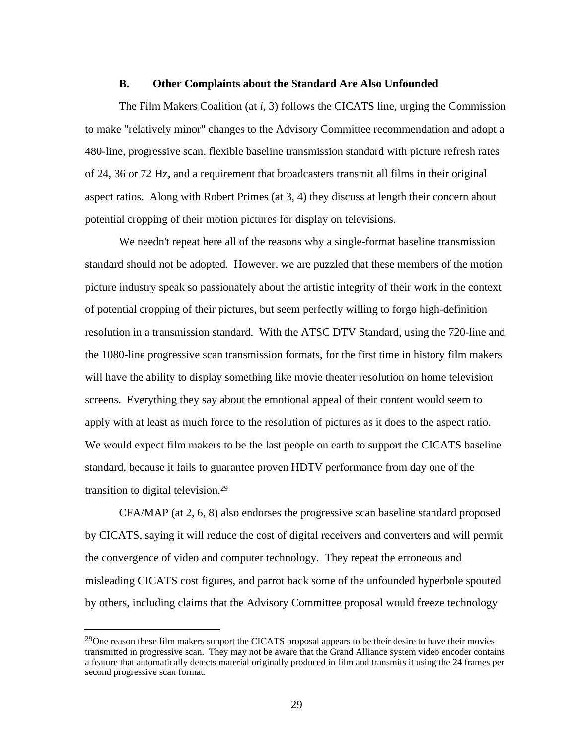#### **B. Other Complaints about the Standard Are Also Unfounded**

The Film Makers Coalition (at *i*, 3) follows the CICATS line, urging the Commission to make "relatively minor" changes to the Advisory Committee recommendation and adopt a 480-line, progressive scan, flexible baseline transmission standard with picture refresh rates of 24, 36 or 72 Hz, and a requirement that broadcasters transmit all films in their original aspect ratios. Along with Robert Primes (at 3, 4) they discuss at length their concern about potential cropping of their motion pictures for display on televisions.

We needn't repeat here all of the reasons why a single-format baseline transmission standard should not be adopted. However, we are puzzled that these members of the motion picture industry speak so passionately about the artistic integrity of their work in the context of potential cropping of their pictures, but seem perfectly willing to forgo high-definition resolution in a transmission standard. With the ATSC DTV Standard, using the 720-line and the 1080-line progressive scan transmission formats, for the first time in history film makers will have the ability to display something like movie theater resolution on home television screens. Everything they say about the emotional appeal of their content would seem to apply with at least as much force to the resolution of pictures as it does to the aspect ratio. We would expect film makers to be the last people on earth to support the CICATS baseline standard, because it fails to guarantee proven HDTV performance from day one of the transition to digital television.<sup>29</sup>

CFA/MAP (at 2, 6, 8) also endorses the progressive scan baseline standard proposed by CICATS, saying it will reduce the cost of digital receivers and converters and will permit the convergence of video and computer technology. They repeat the erroneous and misleading CICATS cost figures, and parrot back some of the unfounded hyperbole spouted by others, including claims that the Advisory Committee proposal would freeze technology

j

<sup>&</sup>lt;sup>29</sup>One reason these film makers support the CICATS proposal appears to be their desire to have their movies transmitted in progressive scan. They may not be aware that the Grand Alliance system video encoder contains a feature that automatically detects material originally produced in film and transmits it using the 24 frames per second progressive scan format.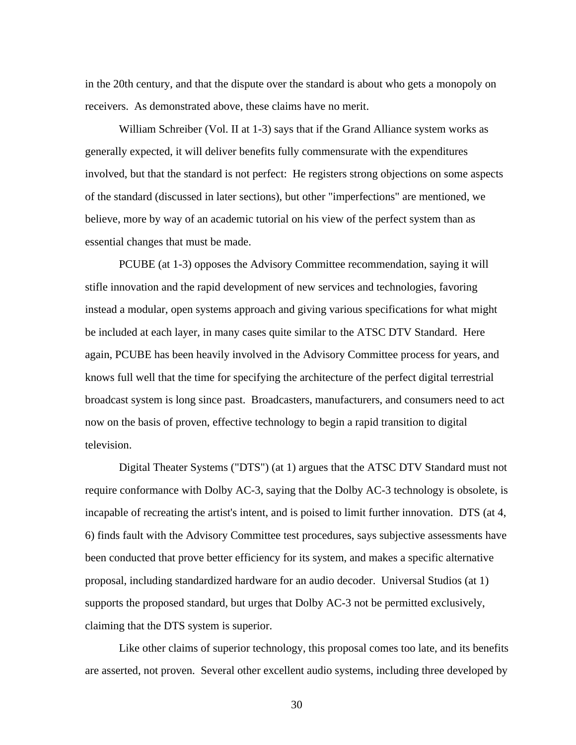in the 20th century, and that the dispute over the standard is about who gets a monopoly on receivers. As demonstrated above, these claims have no merit.

William Schreiber (Vol. II at 1-3) says that if the Grand Alliance system works as generally expected, it will deliver benefits fully commensurate with the expenditures involved, but that the standard is not perfect: He registers strong objections on some aspects of the standard (discussed in later sections), but other "imperfections" are mentioned, we believe, more by way of an academic tutorial on his view of the perfect system than as essential changes that must be made.

PCUBE (at 1-3) opposes the Advisory Committee recommendation, saying it will stifle innovation and the rapid development of new services and technologies, favoring instead a modular, open systems approach and giving various specifications for what might be included at each layer, in many cases quite similar to the ATSC DTV Standard. Here again, PCUBE has been heavily involved in the Advisory Committee process for years, and knows full well that the time for specifying the architecture of the perfect digital terrestrial broadcast system is long since past. Broadcasters, manufacturers, and consumers need to act now on the basis of proven, effective technology to begin a rapid transition to digital television.

Digital Theater Systems ("DTS") (at 1) argues that the ATSC DTV Standard must not require conformance with Dolby AC-3, saying that the Dolby AC-3 technology is obsolete, is incapable of recreating the artist's intent, and is poised to limit further innovation. DTS (at 4, 6) finds fault with the Advisory Committee test procedures, says subjective assessments have been conducted that prove better efficiency for its system, and makes a specific alternative proposal, including standardized hardware for an audio decoder. Universal Studios (at 1) supports the proposed standard, but urges that Dolby AC-3 not be permitted exclusively, claiming that the DTS system is superior.

Like other claims of superior technology, this proposal comes too late, and its benefits are asserted, not proven. Several other excellent audio systems, including three developed by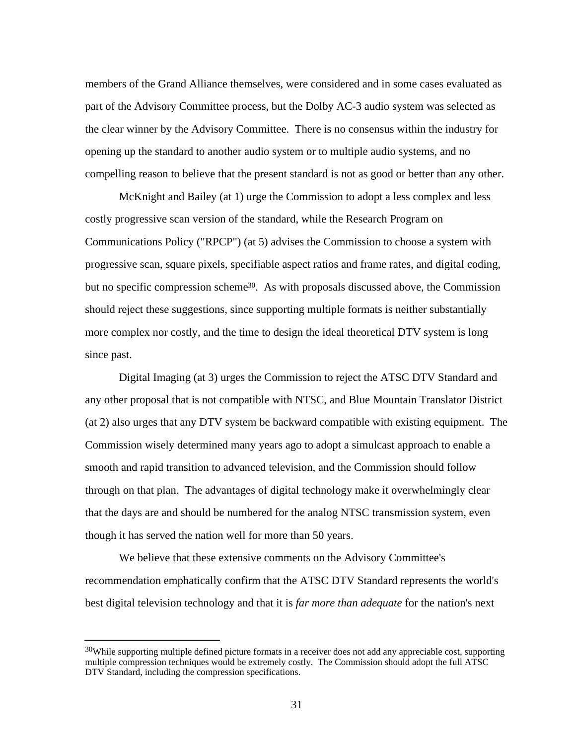members of the Grand Alliance themselves, were considered and in some cases evaluated as part of the Advisory Committee process, but the Dolby AC-3 audio system was selected as the clear winner by the Advisory Committee. There is no consensus within the industry for opening up the standard to another audio system or to multiple audio systems, and no compelling reason to believe that the present standard is not as good or better than any other.

McKnight and Bailey (at 1) urge the Commission to adopt a less complex and less costly progressive scan version of the standard, while the Research Program on Communications Policy ("RPCP") (at 5) advises the Commission to choose a system with progressive scan, square pixels, specifiable aspect ratios and frame rates, and digital coding, but no specific compression scheme<sup>30</sup>. As with proposals discussed above, the Commission should reject these suggestions, since supporting multiple formats is neither substantially more complex nor costly, and the time to design the ideal theoretical DTV system is long since past.

Digital Imaging (at 3) urges the Commission to reject the ATSC DTV Standard and any other proposal that is not compatible with NTSC, and Blue Mountain Translator District (at 2) also urges that any DTV system be backward compatible with existing equipment. The Commission wisely determined many years ago to adopt a simulcast approach to enable a smooth and rapid transition to advanced television, and the Commission should follow through on that plan. The advantages of digital technology make it overwhelmingly clear that the days are and should be numbered for the analog NTSC transmission system, even though it has served the nation well for more than 50 years.

We believe that these extensive comments on the Advisory Committee's recommendation emphatically confirm that the ATSC DTV Standard represents the world's best digital television technology and that it is *far more than adequate* for the nation's next

<sup>&</sup>lt;sup>30</sup>While supporting multiple defined picture formats in a receiver does not add any appreciable cost, supporting multiple compression techniques would be extremely costly. The Commission should adopt the full ATSC DTV Standard, including the compression specifications.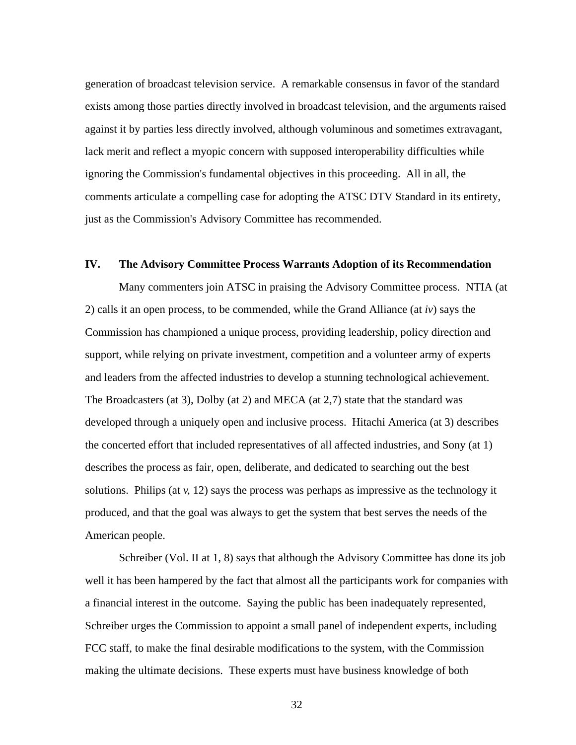generation of broadcast television service. A remarkable consensus in favor of the standard exists among those parties directly involved in broadcast television, and the arguments raised against it by parties less directly involved, although voluminous and sometimes extravagant, lack merit and reflect a myopic concern with supposed interoperability difficulties while ignoring the Commission's fundamental objectives in this proceeding. All in all, the comments articulate a compelling case for adopting the ATSC DTV Standard in its entirety, just as the Commission's Advisory Committee has recommended.

## **IV. The Advisory Committee Process Warrants Adoption of its Recommendation**

Many commenters join ATSC in praising the Advisory Committee process. NTIA (at 2) calls it an open process, to be commended, while the Grand Alliance (at *iv*) says the Commission has championed a unique process, providing leadership, policy direction and support, while relying on private investment, competition and a volunteer army of experts and leaders from the affected industries to develop a stunning technological achievement. The Broadcasters (at 3), Dolby (at 2) and MECA (at 2,7) state that the standard was developed through a uniquely open and inclusive process. Hitachi America (at 3) describes the concerted effort that included representatives of all affected industries, and Sony (at 1) describes the process as fair, open, deliberate, and dedicated to searching out the best solutions. Philips (at *v*, 12) says the process was perhaps as impressive as the technology it produced, and that the goal was always to get the system that best serves the needs of the American people.

Schreiber (Vol. II at 1, 8) says that although the Advisory Committee has done its job well it has been hampered by the fact that almost all the participants work for companies with a financial interest in the outcome. Saying the public has been inadequately represented, Schreiber urges the Commission to appoint a small panel of independent experts, including FCC staff, to make the final desirable modifications to the system, with the Commission making the ultimate decisions. These experts must have business knowledge of both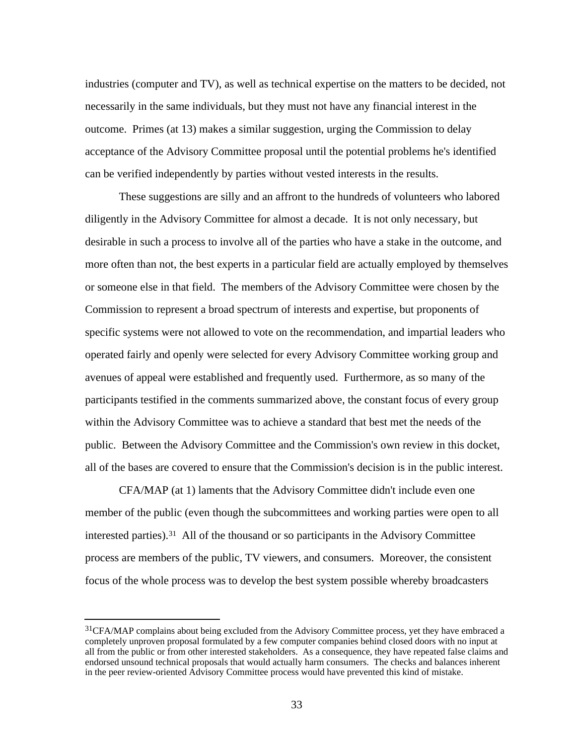industries (computer and TV), as well as technical expertise on the matters to be decided, not necessarily in the same individuals, but they must not have any financial interest in the outcome. Primes (at 13) makes a similar suggestion, urging the Commission to delay acceptance of the Advisory Committee proposal until the potential problems he's identified can be verified independently by parties without vested interests in the results.

These suggestions are silly and an affront to the hundreds of volunteers who labored diligently in the Advisory Committee for almost a decade. It is not only necessary, but desirable in such a process to involve all of the parties who have a stake in the outcome, and more often than not, the best experts in a particular field are actually employed by themselves or someone else in that field. The members of the Advisory Committee were chosen by the Commission to represent a broad spectrum of interests and expertise, but proponents of specific systems were not allowed to vote on the recommendation, and impartial leaders who operated fairly and openly were selected for every Advisory Committee working group and avenues of appeal were established and frequently used. Furthermore, as so many of the participants testified in the comments summarized above, the constant focus of every group within the Advisory Committee was to achieve a standard that best met the needs of the public. Between the Advisory Committee and the Commission's own review in this docket, all of the bases are covered to ensure that the Commission's decision is in the public interest.

CFA/MAP (at 1) laments that the Advisory Committee didn't include even one member of the public (even though the subcommittees and working parties were open to all interested parties).31 All of the thousand or so participants in the Advisory Committee process are members of the public, TV viewers, and consumers. Moreover, the consistent focus of the whole process was to develop the best system possible whereby broadcasters

<sup>&</sup>lt;sup>31</sup>CFA/MAP complains about being excluded from the Advisory Committee process, yet they have embraced a completely unproven proposal formulated by a few computer companies behind closed doors with no input at all from the public or from other interested stakeholders. As a consequence, they have repeated false claims and endorsed unsound technical proposals that would actually harm consumers. The checks and balances inherent in the peer review-oriented Advisory Committee process would have prevented this kind of mistake.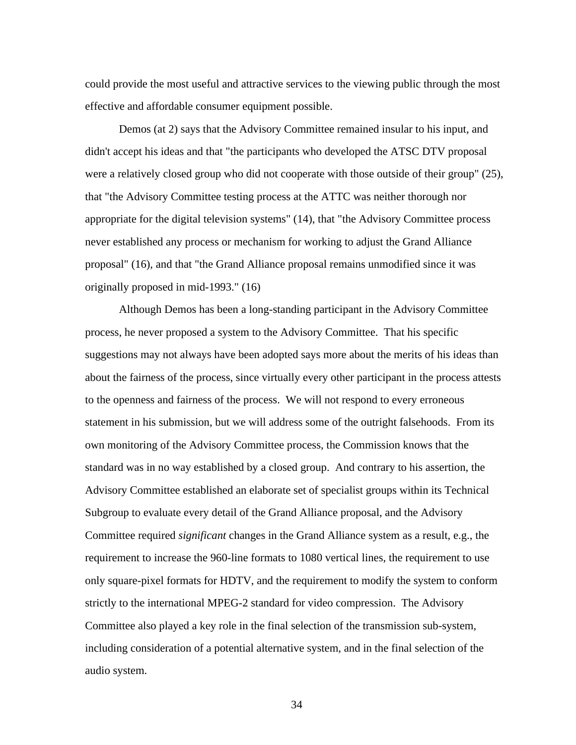could provide the most useful and attractive services to the viewing public through the most effective and affordable consumer equipment possible.

Demos (at 2) says that the Advisory Committee remained insular to his input, and didn't accept his ideas and that "the participants who developed the ATSC DTV proposal were a relatively closed group who did not cooperate with those outside of their group" (25), that "the Advisory Committee testing process at the ATTC was neither thorough nor appropriate for the digital television systems" (14), that "the Advisory Committee process never established any process or mechanism for working to adjust the Grand Alliance proposal" (16), and that "the Grand Alliance proposal remains unmodified since it was originally proposed in mid-1993." (16)

Although Demos has been a long-standing participant in the Advisory Committee process, he never proposed a system to the Advisory Committee. That his specific suggestions may not always have been adopted says more about the merits of his ideas than about the fairness of the process, since virtually every other participant in the process attests to the openness and fairness of the process. We will not respond to every erroneous statement in his submission, but we will address some of the outright falsehoods. From its own monitoring of the Advisory Committee process, the Commission knows that the standard was in no way established by a closed group. And contrary to his assertion, the Advisory Committee established an elaborate set of specialist groups within its Technical Subgroup to evaluate every detail of the Grand Alliance proposal, and the Advisory Committee required *significant* changes in the Grand Alliance system as a result, e.g., the requirement to increase the 960-line formats to 1080 vertical lines, the requirement to use only square-pixel formats for HDTV, and the requirement to modify the system to conform strictly to the international MPEG-2 standard for video compression. The Advisory Committee also played a key role in the final selection of the transmission sub-system, including consideration of a potential alternative system, and in the final selection of the audio system.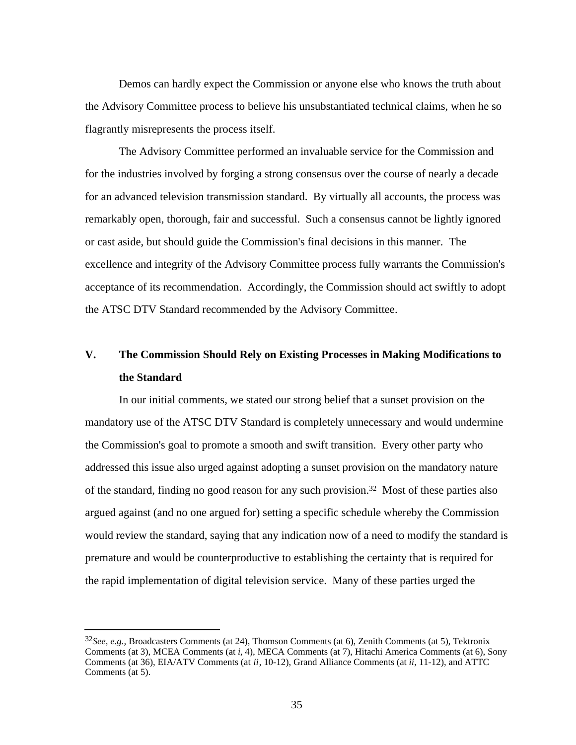Demos can hardly expect the Commission or anyone else who knows the truth about the Advisory Committee process to believe his unsubstantiated technical claims, when he so flagrantly misrepresents the process itself.

The Advisory Committee performed an invaluable service for the Commission and for the industries involved by forging a strong consensus over the course of nearly a decade for an advanced television transmission standard. By virtually all accounts, the process was remarkably open, thorough, fair and successful. Such a consensus cannot be lightly ignored or cast aside, but should guide the Commission's final decisions in this manner. The excellence and integrity of the Advisory Committee process fully warrants the Commission's acceptance of its recommendation. Accordingly, the Commission should act swiftly to adopt the ATSC DTV Standard recommended by the Advisory Committee.

# **V. The Commission Should Rely on Existing Processes in Making Modifications to the Standard**

In our initial comments, we stated our strong belief that a sunset provision on the mandatory use of the ATSC DTV Standard is completely unnecessary and would undermine the Commission's goal to promote a smooth and swift transition. Every other party who addressed this issue also urged against adopting a sunset provision on the mandatory nature of the standard, finding no good reason for any such provision.32 Most of these parties also argued against (and no one argued for) setting a specific schedule whereby the Commission would review the standard, saying that any indication now of a need to modify the standard is premature and would be counterproductive to establishing the certainty that is required for the rapid implementation of digital television service. Many of these parties urged the

j

<sup>32</sup>*See, e.g.,* Broadcasters Comments (at 24), Thomson Comments (at 6), Zenith Comments (at 5), Tektronix Comments (at 3), MCEA Comments (at *i*, 4), MECA Comments (at 7), Hitachi America Comments (at 6), Sony Comments (at 36), EIA/ATV Comments (at *ii*, 10-12), Grand Alliance Comments (at *ii*, 11-12), and ATTC Comments (at 5).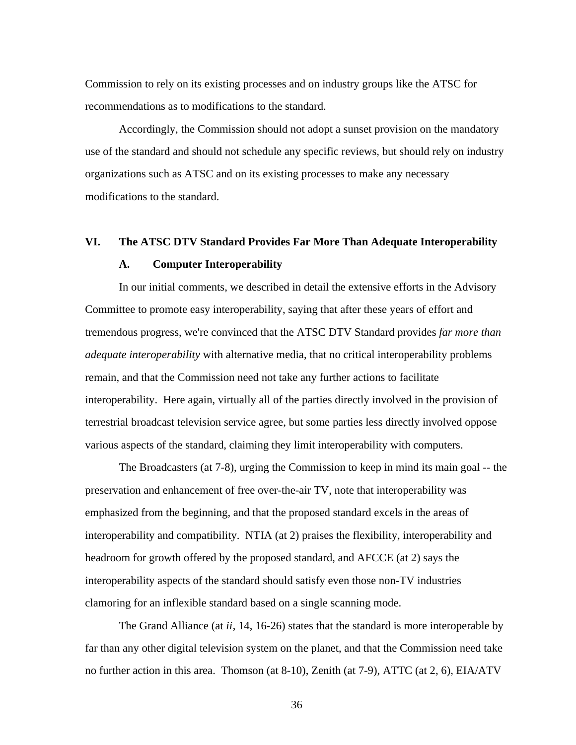Commission to rely on its existing processes and on industry groups like the ATSC for recommendations as to modifications to the standard.

Accordingly, the Commission should not adopt a sunset provision on the mandatory use of the standard and should not schedule any specific reviews, but should rely on industry organizations such as ATSC and on its existing processes to make any necessary modifications to the standard.

## **VI. The ATSC DTV Standard Provides Far More Than Adequate Interoperability A. Computer Interoperability**

In our initial comments, we described in detail the extensive efforts in the Advisory Committee to promote easy interoperability, saying that after these years of effort and tremendous progress, we're convinced that the ATSC DTV Standard provides *far more than adequate interoperability* with alternative media, that no critical interoperability problems remain, and that the Commission need not take any further actions to facilitate interoperability. Here again, virtually all of the parties directly involved in the provision of terrestrial broadcast television service agree, but some parties less directly involved oppose various aspects of the standard, claiming they limit interoperability with computers.

The Broadcasters (at 7-8), urging the Commission to keep in mind its main goal -- the preservation and enhancement of free over-the-air TV, note that interoperability was emphasized from the beginning, and that the proposed standard excels in the areas of interoperability and compatibility. NTIA (at 2) praises the flexibility, interoperability and headroom for growth offered by the proposed standard, and AFCCE (at 2) says the interoperability aspects of the standard should satisfy even those non-TV industries clamoring for an inflexible standard based on a single scanning mode.

The Grand Alliance (at *ii*, 14, 16-26) states that the standard is more interoperable by far than any other digital television system on the planet, and that the Commission need take no further action in this area. Thomson (at 8-10), Zenith (at 7-9), ATTC (at 2, 6), EIA/ATV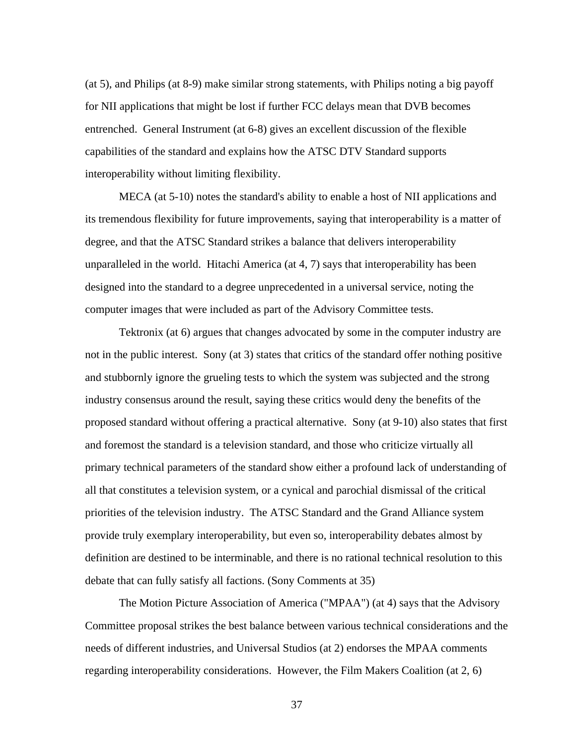(at 5), and Philips (at 8-9) make similar strong statements, with Philips noting a big payoff for NII applications that might be lost if further FCC delays mean that DVB becomes entrenched. General Instrument (at 6-8) gives an excellent discussion of the flexible capabilities of the standard and explains how the ATSC DTV Standard supports interoperability without limiting flexibility.

MECA (at 5-10) notes the standard's ability to enable a host of NII applications and its tremendous flexibility for future improvements, saying that interoperability is a matter of degree, and that the ATSC Standard strikes a balance that delivers interoperability unparalleled in the world. Hitachi America (at 4, 7) says that interoperability has been designed into the standard to a degree unprecedented in a universal service, noting the computer images that were included as part of the Advisory Committee tests.

Tektronix (at 6) argues that changes advocated by some in the computer industry are not in the public interest. Sony (at 3) states that critics of the standard offer nothing positive and stubbornly ignore the grueling tests to which the system was subjected and the strong industry consensus around the result, saying these critics would deny the benefits of the proposed standard without offering a practical alternative. Sony (at 9-10) also states that first and foremost the standard is a television standard, and those who criticize virtually all primary technical parameters of the standard show either a profound lack of understanding of all that constitutes a television system, or a cynical and parochial dismissal of the critical priorities of the television industry. The ATSC Standard and the Grand Alliance system provide truly exemplary interoperability, but even so, interoperability debates almost by definition are destined to be interminable, and there is no rational technical resolution to this debate that can fully satisfy all factions. (Sony Comments at 35)

The Motion Picture Association of America ("MPAA") (at 4) says that the Advisory Committee proposal strikes the best balance between various technical considerations and the needs of different industries, and Universal Studios (at 2) endorses the MPAA comments regarding interoperability considerations. However, the Film Makers Coalition (at 2, 6)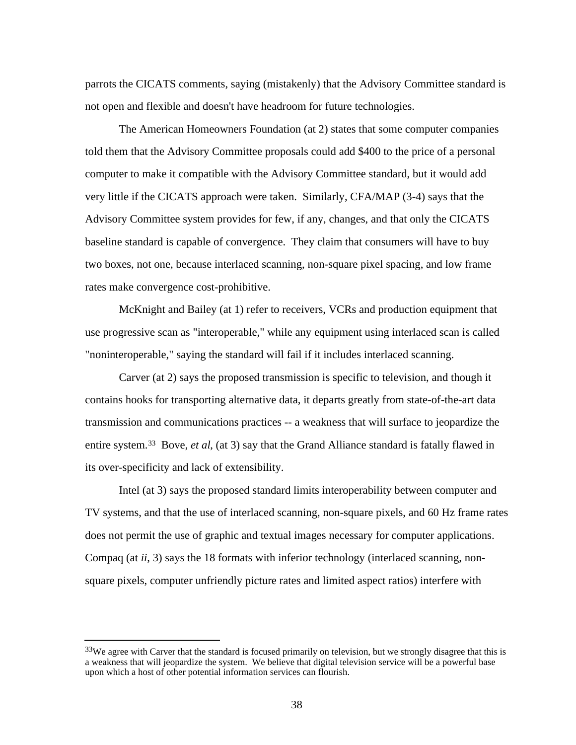parrots the CICATS comments, saying (mistakenly) that the Advisory Committee standard is not open and flexible and doesn't have headroom for future technologies.

The American Homeowners Foundation (at 2) states that some computer companies told them that the Advisory Committee proposals could add \$400 to the price of a personal computer to make it compatible with the Advisory Committee standard, but it would add very little if the CICATS approach were taken. Similarly, CFA/MAP (3-4) says that the Advisory Committee system provides for few, if any, changes, and that only the CICATS baseline standard is capable of convergence. They claim that consumers will have to buy two boxes, not one, because interlaced scanning, non-square pixel spacing, and low frame rates make convergence cost-prohibitive.

McKnight and Bailey (at 1) refer to receivers, VCRs and production equipment that use progressive scan as "interoperable," while any equipment using interlaced scan is called "noninteroperable," saying the standard will fail if it includes interlaced scanning.

Carver (at 2) says the proposed transmission is specific to television, and though it contains hooks for transporting alternative data, it departs greatly from state-of-the-art data transmission and communications practices -- a weakness that will surface to jeopardize the entire system.33 Bove, *et al*, (at 3) say that the Grand Alliance standard is fatally flawed in its over-specificity and lack of extensibility.

Intel (at 3) says the proposed standard limits interoperability between computer and TV systems, and that the use of interlaced scanning, non-square pixels, and 60 Hz frame rates does not permit the use of graphic and textual images necessary for computer applications. Compaq (at *ii*, 3) says the 18 formats with inferior technology (interlaced scanning, nonsquare pixels, computer unfriendly picture rates and limited aspect ratios) interfere with

<sup>&</sup>lt;sup>33</sup>We agree with Carver that the standard is focused primarily on television, but we strongly disagree that this is a weakness that will jeopardize the system. We believe that digital television service will be a powerful base upon which a host of other potential information services can flourish.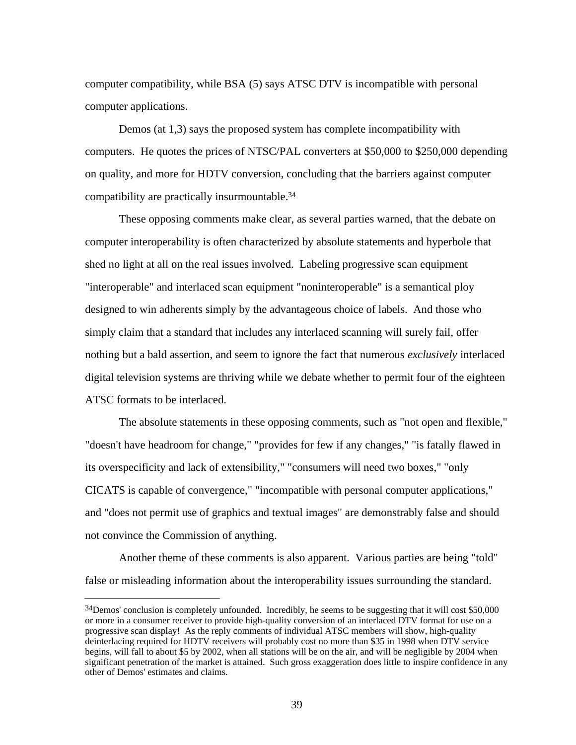computer compatibility, while BSA (5) says ATSC DTV is incompatible with personal computer applications.

Demos (at 1,3) says the proposed system has complete incompatibility with computers. He quotes the prices of NTSC/PAL converters at \$50,000 to \$250,000 depending on quality, and more for HDTV conversion, concluding that the barriers against computer compatibility are practically insurmountable.<sup>34</sup>

These opposing comments make clear, as several parties warned, that the debate on computer interoperability is often characterized by absolute statements and hyperbole that shed no light at all on the real issues involved. Labeling progressive scan equipment "interoperable" and interlaced scan equipment "noninteroperable" is a semantical ploy designed to win adherents simply by the advantageous choice of labels. And those who simply claim that a standard that includes any interlaced scanning will surely fail, offer nothing but a bald assertion, and seem to ignore the fact that numerous *exclusively* interlaced digital television systems are thriving while we debate whether to permit four of the eighteen ATSC formats to be interlaced.

The absolute statements in these opposing comments, such as "not open and flexible," "doesn't have headroom for change," "provides for few if any changes," "is fatally flawed in its overspecificity and lack of extensibility," "consumers will need two boxes," "only CICATS is capable of convergence," "incompatible with personal computer applications," and "does not permit use of graphics and textual images" are demonstrably false and should not convince the Commission of anything.

Another theme of these comments is also apparent. Various parties are being "told" false or misleading information about the interoperability issues surrounding the standard.

j

<sup>34</sup>Demos' conclusion is completely unfounded. Incredibly, he seems to be suggesting that it will cost \$50,000 or more in a consumer receiver to provide high-quality conversion of an interlaced DTV format for use on a progressive scan display! As the reply comments of individual ATSC members will show, high-quality deinterlacing required for HDTV receivers will probably cost no more than \$35 in 1998 when DTV service begins, will fall to about \$5 by 2002, when all stations will be on the air, and will be negligible by 2004 when significant penetration of the market is attained. Such gross exaggeration does little to inspire confidence in any other of Demos' estimates and claims.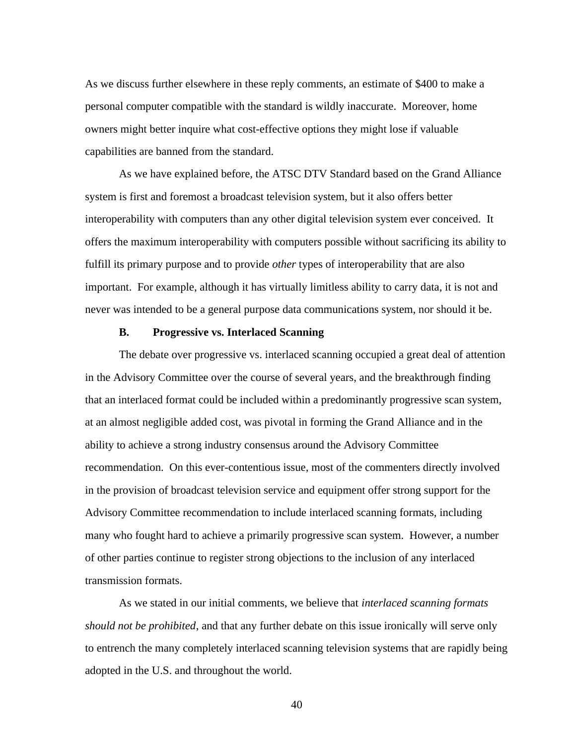As we discuss further elsewhere in these reply comments, an estimate of \$400 to make a personal computer compatible with the standard is wildly inaccurate. Moreover, home owners might better inquire what cost-effective options they might lose if valuable capabilities are banned from the standard.

As we have explained before, the ATSC DTV Standard based on the Grand Alliance system is first and foremost a broadcast television system, but it also offers better interoperability with computers than any other digital television system ever conceived. It offers the maximum interoperability with computers possible without sacrificing its ability to fulfill its primary purpose and to provide *other* types of interoperability that are also important. For example, although it has virtually limitless ability to carry data, it is not and never was intended to be a general purpose data communications system, nor should it be.

## **B. Progressive vs. Interlaced Scanning**

The debate over progressive vs. interlaced scanning occupied a great deal of attention in the Advisory Committee over the course of several years, and the breakthrough finding that an interlaced format could be included within a predominantly progressive scan system, at an almost negligible added cost, was pivotal in forming the Grand Alliance and in the ability to achieve a strong industry consensus around the Advisory Committee recommendation. On this ever-contentious issue, most of the commenters directly involved in the provision of broadcast television service and equipment offer strong support for the Advisory Committee recommendation to include interlaced scanning formats, including many who fought hard to achieve a primarily progressive scan system. However, a number of other parties continue to register strong objections to the inclusion of any interlaced transmission formats.

As we stated in our initial comments, we believe that *interlaced scanning formats should not be prohibited*, and that any further debate on this issue ironically will serve only to entrench the many completely interlaced scanning television systems that are rapidly being adopted in the U.S. and throughout the world.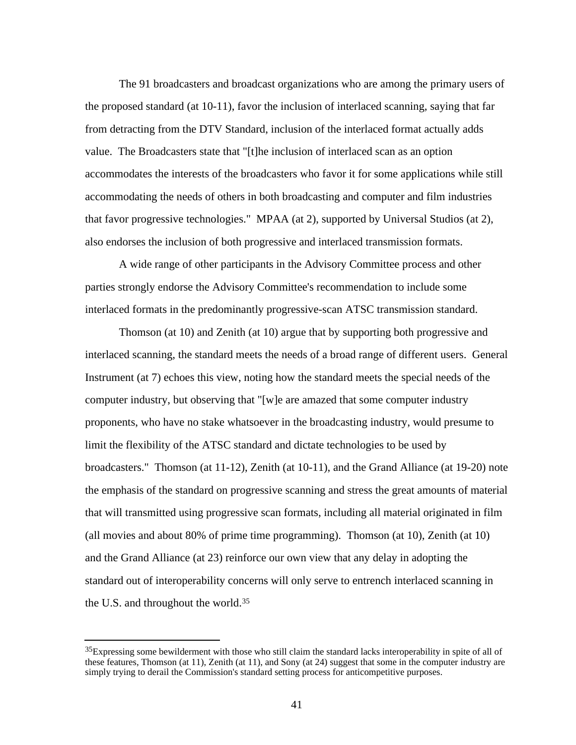The 91 broadcasters and broadcast organizations who are among the primary users of the proposed standard (at 10-11), favor the inclusion of interlaced scanning, saying that far from detracting from the DTV Standard, inclusion of the interlaced format actually adds value. The Broadcasters state that "[t]he inclusion of interlaced scan as an option accommodates the interests of the broadcasters who favor it for some applications while still accommodating the needs of others in both broadcasting and computer and film industries that favor progressive technologies." MPAA (at 2), supported by Universal Studios (at 2), also endorses the inclusion of both progressive and interlaced transmission formats.

A wide range of other participants in the Advisory Committee process and other parties strongly endorse the Advisory Committee's recommendation to include some interlaced formats in the predominantly progressive-scan ATSC transmission standard.

Thomson (at 10) and Zenith (at 10) argue that by supporting both progressive and interlaced scanning, the standard meets the needs of a broad range of different users. General Instrument (at 7) echoes this view, noting how the standard meets the special needs of the computer industry, but observing that " $[w]e$  are amazed that some computer industry proponents, who have no stake whatsoever in the broadcasting industry, would presume to limit the flexibility of the ATSC standard and dictate technologies to be used by broadcasters." Thomson (at 11-12), Zenith (at 10-11), and the Grand Alliance (at 19-20) note the emphasis of the standard on progressive scanning and stress the great amounts of material that will transmitted using progressive scan formats, including all material originated in film (all movies and about 80% of prime time programming). Thomson (at 10), Zenith (at 10) and the Grand Alliance (at 23) reinforce our own view that any delay in adopting the standard out of interoperability concerns will only serve to entrench interlaced scanning in the U.S. and throughout the world.<sup>35</sup>

<sup>&</sup>lt;sup>35</sup>Expressing some bewilderment with those who still claim the standard lacks interoperability in spite of all of these features, Thomson (at 11), Zenith (at 11), and Sony (at 24) suggest that some in the computer industry are simply trying to derail the Commission's standard setting process for anticompetitive purposes.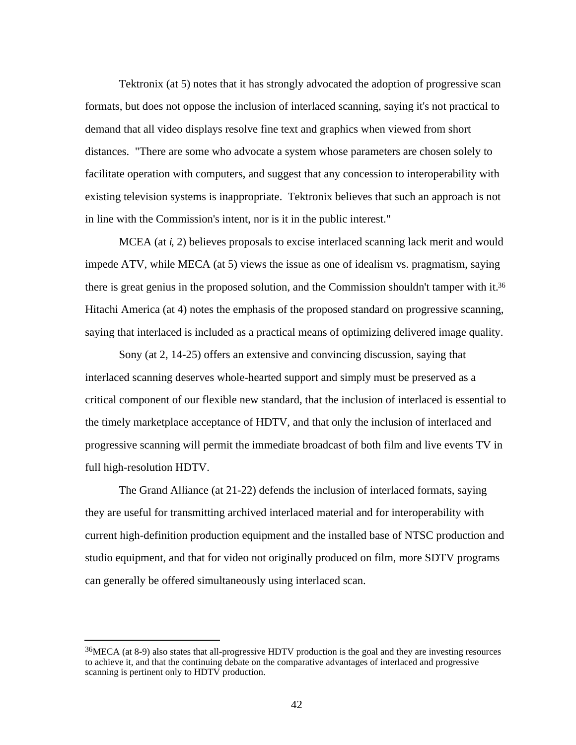Tektronix (at 5) notes that it has strongly advocated the adoption of progressive scan formats, but does not oppose the inclusion of interlaced scanning, saying it's not practical to demand that all video displays resolve fine text and graphics when viewed from short distances. "There are some who advocate a system whose parameters are chosen solely to facilitate operation with computers, and suggest that any concession to interoperability with existing television systems is inappropriate. Tektronix believes that such an approach is not in line with the Commission's intent, nor is it in the public interest."

MCEA (at *i*, 2) believes proposals to excise interlaced scanning lack merit and would impede ATV, while MECA (at 5) views the issue as one of idealism vs. pragmatism, saying there is great genius in the proposed solution, and the Commission shouldn't tamper with it.<sup>36</sup> Hitachi America (at 4) notes the emphasis of the proposed standard on progressive scanning, saying that interlaced is included as a practical means of optimizing delivered image quality.

Sony (at 2, 14-25) offers an extensive and convincing discussion, saying that interlaced scanning deserves whole-hearted support and simply must be preserved as a critical component of our flexible new standard, that the inclusion of interlaced is essential to the timely marketplace acceptance of HDTV, and that only the inclusion of interlaced and progressive scanning will permit the immediate broadcast of both film and live events TV in full high-resolution HDTV.

The Grand Alliance (at 21-22) defends the inclusion of interlaced formats, saying they are useful for transmitting archived interlaced material and for interoperability with current high-definition production equipment and the installed base of NTSC production and studio equipment, and that for video not originally produced on film, more SDTV programs can generally be offered simultaneously using interlaced scan.

<sup>36</sup>MECA (at 8-9) also states that all-progressive HDTV production is the goal and they are investing resources to achieve it, and that the continuing debate on the comparative advantages of interlaced and progressive scanning is pertinent only to HDTV production.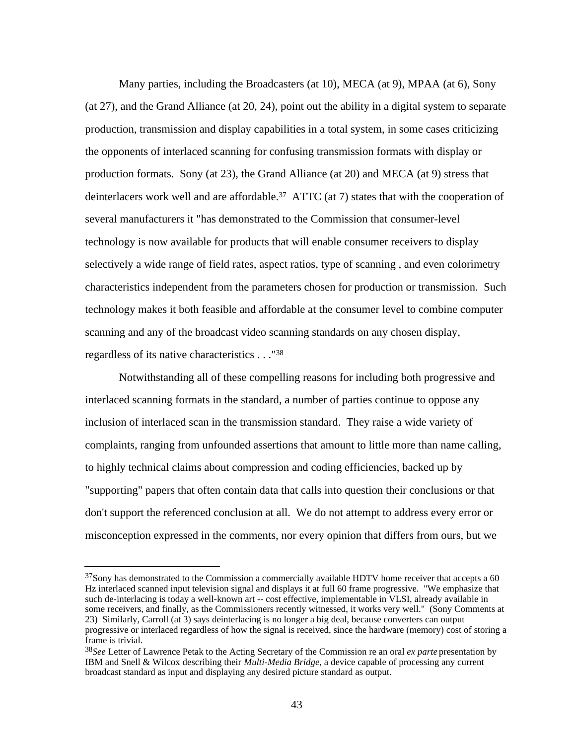Many parties, including the Broadcasters (at 10), MECA (at 9), MPAA (at 6), Sony (at 27), and the Grand Alliance (at 20, 24), point out the ability in a digital system to separate production, transmission and display capabilities in a total system, in some cases criticizing the opponents of interlaced scanning for confusing transmission formats with display or production formats. Sony (at 23), the Grand Alliance (at 20) and MECA (at 9) stress that deinterlacers work well and are affordable.37 ATTC (at 7) states that with the cooperation of several manufacturers it "has demonstrated to the Commission that consumer-level technology is now available for products that will enable consumer receivers to display selectively a wide range of field rates, aspect ratios, type of scanning , and even colorimetry characteristics independent from the parameters chosen for production or transmission. Such technology makes it both feasible and affordable at the consumer level to combine computer scanning and any of the broadcast video scanning standards on any chosen display, regardless of its native characteristics . . ."<sup>38</sup>

Notwithstanding all of these compelling reasons for including both progressive and interlaced scanning formats in the standard, a number of parties continue to oppose any inclusion of interlaced scan in the transmission standard. They raise a wide variety of complaints, ranging from unfounded assertions that amount to little more than name calling, to highly technical claims about compression and coding efficiencies, backed up by "supporting" papers that often contain data that calls into question their conclusions or that don't support the referenced conclusion at all. We do not attempt to address every error or misconception expressed in the comments, nor every opinion that differs from ours, but we

<sup>&</sup>lt;sup>37</sup>Sony has demonstrated to the Commission a commercially available HDTV home receiver that accepts a 60 Hz interlaced scanned input television signal and displays it at full 60 frame progressive. "We emphasize that such de-interlacing is today a well-known art -- cost effective, implementable in VLSI, already available in some receivers, and finally, as the Commissioners recently witnessed, it works very well." (Sony Comments at 23) Similarly, Carroll (at 3) says deinterlacing is no longer a big deal, because converters can output progressive or interlaced regardless of how the signal is received, since the hardware (memory) cost of storing a frame is trivial.

<sup>38</sup>*See* Letter of Lawrence Petak to the Acting Secretary of the Commission re an oral *ex parte* presentation by IBM and Snell & Wilcox describing their *Multi-Media Bridge*, a device capable of processing any current broadcast standard as input and displaying any desired picture standard as output.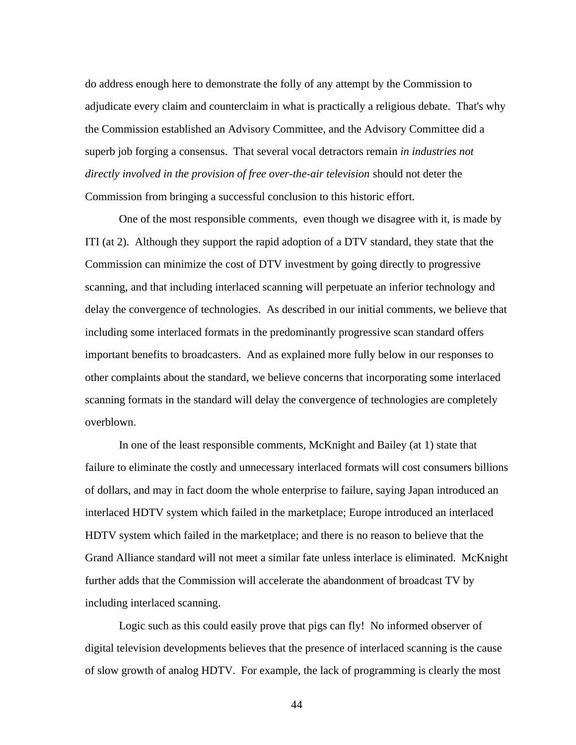do address enough here to demonstrate the folly of any attempt by the Commission to adjudicate every claim and counterclaim in what is practically a religious debate. That's why the Commission established an Advisory Committee, and the Advisory Committee did a superb job forging a consensus. That several vocal detractors remain *in industries not directly involved in the provision of free over-the-air television* should not deter the Commission from bringing a successful conclusion to this historic effort.

One of the most responsible comments, even though we disagree with it, is made by ITI (at 2). Although they support the rapid adoption of a DTV standard, they state that the Commission can minimize the cost of DTV investment by going directly to progressive scanning, and that including interlaced scanning will perpetuate an inferior technology and delay the convergence of technologies. As described in our initial comments, we believe that including some interlaced formats in the predominantly progressive scan standard offers important benefits to broadcasters. And as explained more fully below in our responses to other complaints about the standard, we believe concerns that incorporating some interlaced scanning formats in the standard will delay the convergence of technologies are completely overblown.

In one of the least responsible comments, McKnight and Bailey (at 1) state that failure to eliminate the costly and unnecessary interlaced formats will cost consumers billions of dollars, and may in fact doom the whole enterprise to failure, saying Japan introduced an interlaced HDTV system which failed in the marketplace; Europe introduced an interlaced HDTV system which failed in the marketplace; and there is no reason to believe that the Grand Alliance standard will not meet a similar fate unless interlace is eliminated. McKnight further adds that the Commission will accelerate the abandonment of broadcast TV by including interlaced scanning.

Logic such as this could easily prove that pigs can fly! No informed observer of digital television developments believes that the presence of interlaced scanning is the cause of slow growth of analog HDTV. For example, the lack of programming is clearly the most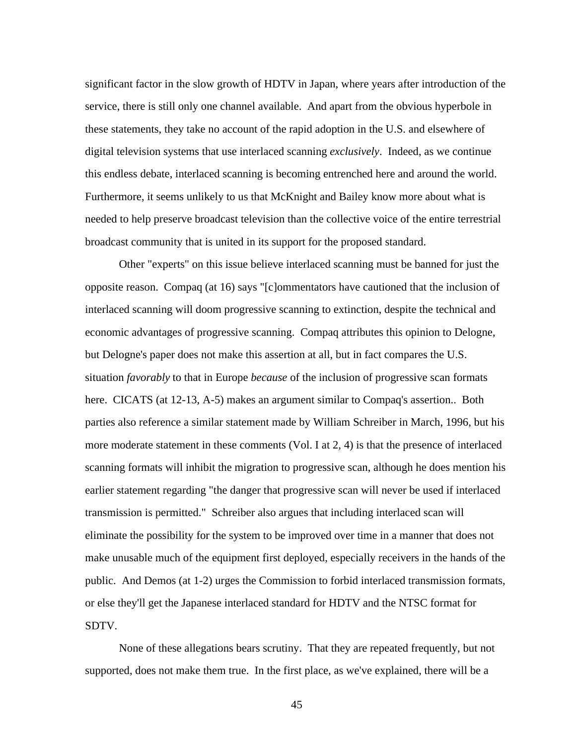significant factor in the slow growth of HDTV in Japan, where years after introduction of the service, there is still only one channel available. And apart from the obvious hyperbole in these statements, they take no account of the rapid adoption in the U.S. and elsewhere of digital television systems that use interlaced scanning *exclusively*. Indeed, as we continue this endless debate, interlaced scanning is becoming entrenched here and around the world. Furthermore, it seems unlikely to us that McKnight and Bailey know more about what is needed to help preserve broadcast television than the collective voice of the entire terrestrial broadcast community that is united in its support for the proposed standard.

Other "experts" on this issue believe interlaced scanning must be banned for just the opposite reason. Compaq (at 16) says "[c]ommentators have cautioned that the inclusion of interlaced scanning will doom progressive scanning to extinction, despite the technical and economic advantages of progressive scanning. Compaq attributes this opinion to Delogne, but Delogne's paper does not make this assertion at all, but in fact compares the U.S. situation *favorably* to that in Europe *because* of the inclusion of progressive scan formats here. CICATS (at 12-13, A-5) makes an argument similar to Compaq's assertion.. Both parties also reference a similar statement made by William Schreiber in March, 1996, but his more moderate statement in these comments (Vol. I at 2, 4) is that the presence of interlaced scanning formats will inhibit the migration to progressive scan, although he does mention his earlier statement regarding "the danger that progressive scan will never be used if interlaced transmission is permitted." Schreiber also argues that including interlaced scan will eliminate the possibility for the system to be improved over time in a manner that does not make unusable much of the equipment first deployed, especially receivers in the hands of the public. And Demos (at 1-2) urges the Commission to forbid interlaced transmission formats, or else they'll get the Japanese interlaced standard for HDTV and the NTSC format for SDTV.

None of these allegations bears scrutiny. That they are repeated frequently, but not supported, does not make them true. In the first place, as we've explained, there will be a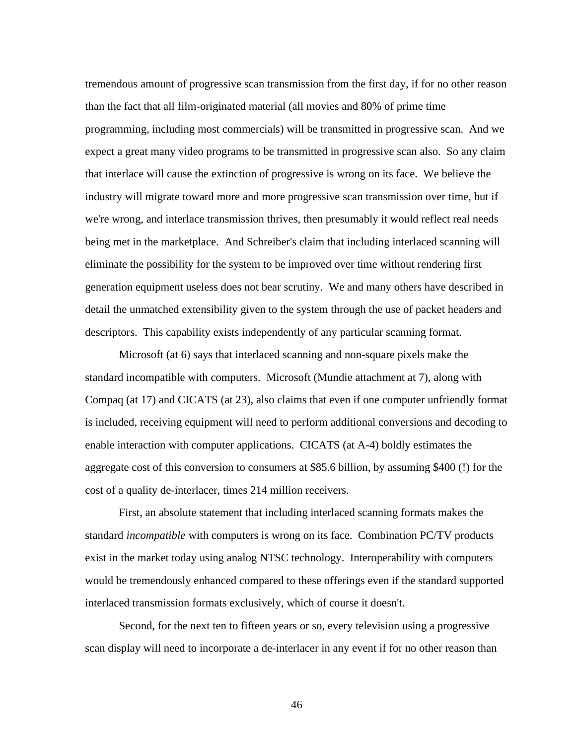tremendous amount of progressive scan transmission from the first day, if for no other reason than the fact that all film-originated material (all movies and 80% of prime time programming, including most commercials) will be transmitted in progressive scan. And we expect a great many video programs to be transmitted in progressive scan also. So any claim that interlace will cause the extinction of progressive is wrong on its face. We believe the industry will migrate toward more and more progressive scan transmission over time, but if we're wrong, and interlace transmission thrives, then presumably it would reflect real needs being met in the marketplace. And Schreiber's claim that including interlaced scanning will eliminate the possibility for the system to be improved over time without rendering first generation equipment useless does not bear scrutiny. We and many others have described in detail the unmatched extensibility given to the system through the use of packet headers and descriptors. This capability exists independently of any particular scanning format.

Microsoft (at 6) says that interlaced scanning and non-square pixels make the standard incompatible with computers. Microsoft (Mundie attachment at 7), along with Compaq (at 17) and CICATS (at 23), also claims that even if one computer unfriendly format is included, receiving equipment will need to perform additional conversions and decoding to enable interaction with computer applications. CICATS (at A-4) boldly estimates the aggregate cost of this conversion to consumers at \$85.6 billion, by assuming \$400 (!) for the cost of a quality de-interlacer, times 214 million receivers.

First, an absolute statement that including interlaced scanning formats makes the standard *incompatible* with computers is wrong on its face. Combination PC/TV products exist in the market today using analog NTSC technology. Interoperability with computers would be tremendously enhanced compared to these offerings even if the standard supported interlaced transmission formats exclusively, which of course it doesn't.

Second, for the next ten to fifteen years or so, every television using a progressive scan display will need to incorporate a de-interlacer in any event if for no other reason than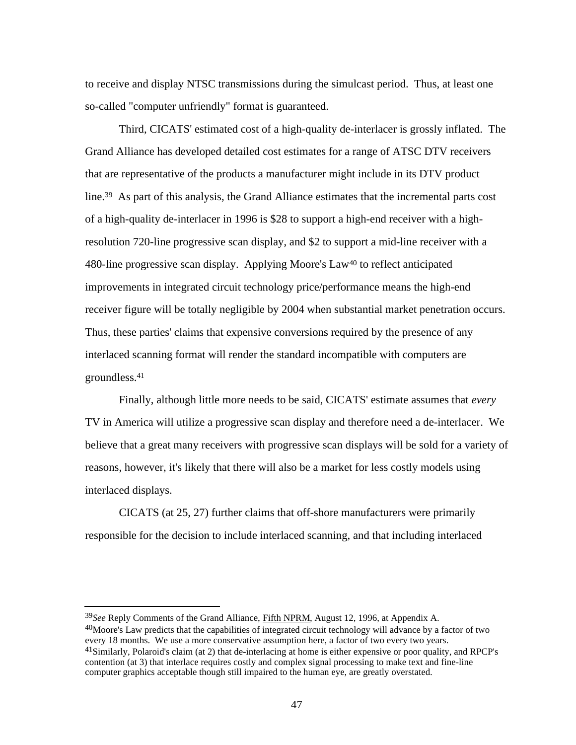to receive and display NTSC transmissions during the simulcast period. Thus, at least one so-called "computer unfriendly" format is guaranteed.

Third, CICATS' estimated cost of a high-quality de-interlacer is grossly inflated. The Grand Alliance has developed detailed cost estimates for a range of ATSC DTV receivers that are representative of the products a manufacturer might include in its DTV product line.39 As part of this analysis, the Grand Alliance estimates that the incremental parts cost of a high-quality de-interlacer in 1996 is \$28 to support a high-end receiver with a highresolution 720-line progressive scan display, and \$2 to support a mid-line receiver with a 480-line progressive scan display. Applying Moore's Law40 to reflect anticipated improvements in integrated circuit technology price/performance means the high-end receiver figure will be totally negligible by 2004 when substantial market penetration occurs. Thus, these parties' claims that expensive conversions required by the presence of any interlaced scanning format will render the standard incompatible with computers are groundless.<sup>41</sup>

Finally, although little more needs to be said, CICATS' estimate assumes that *every* TV in America will utilize a progressive scan display and therefore need a de-interlacer. We believe that a great many receivers with progressive scan displays will be sold for a variety of reasons, however, it's likely that there will also be a market for less costly models using interlaced displays.

CICATS (at 25, 27) further claims that off-shore manufacturers were primarily responsible for the decision to include interlaced scanning, and that including interlaced

<sup>39</sup>*See* Reply Comments of the Grand Alliance, Fifth NPRM , August 12, 1996, at Appendix A. <sup>40</sup>Moore's Law predicts that the capabilities of integrated circuit technology will advance by a factor of two every 18 months. We use a more conservative assumption here, a factor of two every two years. <sup>41</sup>Similarly, Polaroid's claim (at 2) that de-interlacing at home is either expensive or poor quality, and RPCP's contention (at 3) that interlace requires costly and complex signal processing to make text and fine-line computer graphics acceptable though still impaired to the human eye, are greatly overstated.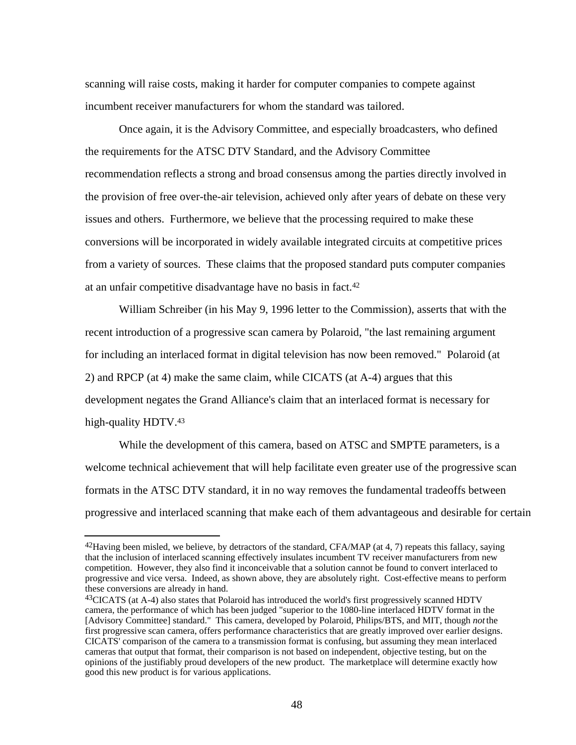scanning will raise costs, making it harder for computer companies to compete against incumbent receiver manufacturers for whom the standard was tailored.

Once again, it is the Advisory Committee, and especially broadcasters, who defined the requirements for the ATSC DTV Standard, and the Advisory Committee recommendation reflects a strong and broad consensus among the parties directly involved in the provision of free over-the-air television, achieved only after years of debate on these very issues and others. Furthermore, we believe that the processing required to make these conversions will be incorporated in widely available integrated circuits at competitive prices from a variety of sources. These claims that the proposed standard puts computer companies at an unfair competitive disadvantage have no basis in fact.<sup>42</sup>

William Schreiber (in his May 9, 1996 letter to the Commission), asserts that with the recent introduction of a progressive scan camera by Polaroid, "the last remaining argument for including an interlaced format in digital television has now been removed." Polaroid (at 2) and RPCP (at 4) make the same claim, while CICATS (at A-4) argues that this development negates the Grand Alliance's claim that an interlaced format is necessary for high-quality HDTV.<sup>43</sup>

While the development of this camera, based on ATSC and SMPTE parameters, is a welcome technical achievement that will help facilitate even greater use of the progressive scan formats in the ATSC DTV standard, it in no way removes the fundamental tradeoffs between progressive and interlaced scanning that make each of them advantageous and desirable for certain

<sup>&</sup>lt;sup>42</sup>Having been misled, we believe, by detractors of the standard, CFA/MAP (at 4, 7) repeats this fallacy, saying that the inclusion of interlaced scanning effectively insulates incumbent TV receiver manufacturers from new competition. However, they also find it inconceivable that a solution cannot be found to convert interlaced to progressive and vice versa. Indeed, as shown above, they are absolutely right. Cost-effective means to perform these conversions are already in hand.

<sup>43</sup>CICATS (at A-4) also states that Polaroid has introduced the world's first progressively scanned HDTV camera, the performance of which has been judged "superior to the 1080-line interlaced HDTV format in the [Advisory Committee] standard." This camera, developed by Polaroid, Philips/BTS, and MIT, though *not* the first progressive scan camera, offers performance characteristics that are greatly improved over earlier designs. CICATS' comparison of the camera to a transmission format is confusing, but assuming they mean interlaced cameras that output that format, their comparison is not based on independent, objective testing, but on the opinions of the justifiably proud developers of the new product. The marketplace will determine exactly how good this new product is for various applications.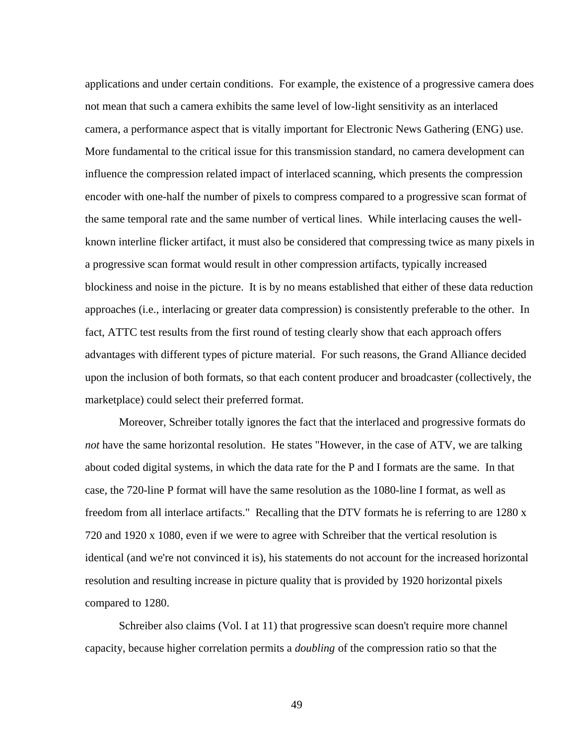applications and under certain conditions. For example, the existence of a progressive camera does not mean that such a camera exhibits the same level of low-light sensitivity as an interlaced camera, a performance aspect that is vitally important for Electronic News Gathering (ENG) use. More fundamental to the critical issue for this transmission standard, no camera development can influence the compression related impact of interlaced scanning, which presents the compression encoder with one-half the number of pixels to compress compared to a progressive scan format of the same temporal rate and the same number of vertical lines. While interlacing causes the wellknown interline flicker artifact, it must also be considered that compressing twice as many pixels in a progressive scan format would result in other compression artifacts, typically increased blockiness and noise in the picture. It is by no means established that either of these data reduction approaches (i.e., interlacing or greater data compression) is consistently preferable to the other. In fact, ATTC test results from the first round of testing clearly show that each approach offers advantages with different types of picture material. For such reasons, the Grand Alliance decided upon the inclusion of both formats, so that each content producer and broadcaster (collectively, the marketplace) could select their preferred format.

Moreover, Schreiber totally ignores the fact that the interlaced and progressive formats do *not* have the same horizontal resolution. He states "However, in the case of ATV, we are talking about coded digital systems, in which the data rate for the P and I formats are the same. In that case, the 720-line P format will have the same resolution as the 1080-line I format, as well as freedom from all interlace artifacts." Recalling that the DTV formats he is referring to are 1280 x 720 and 1920 x 1080, even if we were to agree with Schreiber that the vertical resolution is identical (and we're not convinced it is), his statements do not account for the increased horizontal resolution and resulting increase in picture quality that is provided by 1920 horizontal pixels compared to 1280.

Schreiber also claims (Vol. I at 11) that progressive scan doesn't require more channel capacity, because higher correlation permits a *doubling* of the compression ratio so that the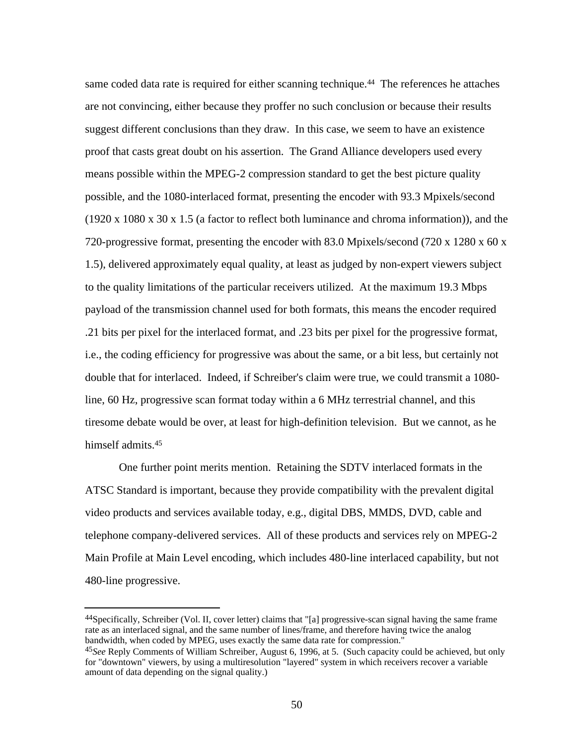same coded data rate is required for either scanning technique.<sup>44</sup> The references he attaches are not convincing, either because they proffer no such conclusion or because their results suggest different conclusions than they draw. In this case, we seem to have an existence proof that casts great doubt on his assertion. The Grand Alliance developers used every means possible within the MPEG-2 compression standard to get the best picture quality possible, and the 1080-interlaced format, presenting the encoder with 93.3 Mpixels/second (1920 x 1080 x 30 x 1.5 (a factor to reflect both luminance and chroma information)), and the 720-progressive format, presenting the encoder with 83.0 Mpixels/second (720 x 1280 x 60 x 1.5), delivered approximately equal quality, at least as judged by non-expert viewers subject to the quality limitations of the particular receivers utilized. At the maximum 19.3 Mbps payload of the transmission channel used for both formats, this means the encoder required .21 bits per pixel for the interlaced format, and .23 bits per pixel for the progressive format, i.e., the coding efficiency for progressive was about the same, or a bit less, but certainly not double that for interlaced. Indeed, if Schreiber's claim were true, we could transmit a 1080 line, 60 Hz, progressive scan format today within a 6 MHz terrestrial channel, and this tiresome debate would be over, at least for high-definition television. But we cannot, as he himself admits.<sup>45</sup>

One further point merits mention. Retaining the SDTV interlaced formats in the ATSC Standard is important, because they provide compatibility with the prevalent digital video products and services available today, e.g., digital DBS, MMDS, DVD, cable and telephone company-delivered services. All of these products and services rely on MPEG-2 Main Profile at Main Level encoding, which includes 480-line interlaced capability, but not 480-line progressive.

<sup>44</sup>Specifically, Schreiber (Vol. II, cover letter) claims that "[a] progressive-scan signal having the same frame rate as an interlaced signal, and the same number of lines/frame, and therefore having twice the analog bandwidth, when coded by MPEG, uses exactly the same data rate for compression."

<sup>45</sup>*See* Reply Comments of William Schreiber, August 6, 1996, at 5. (Such capacity could be achieved, but only for "downtown" viewers, by using a multiresolution "layered" system in which receivers recover a variable amount of data depending on the signal quality.)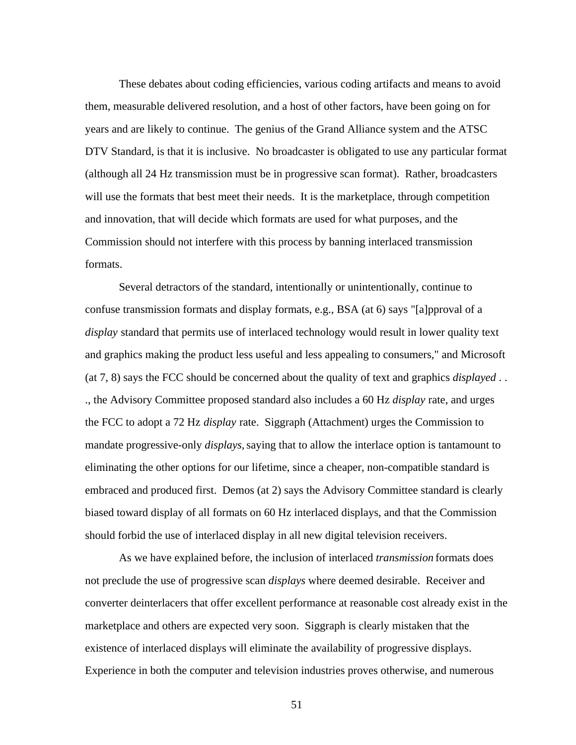These debates about coding efficiencies, various coding artifacts and means to avoid them, measurable delivered resolution, and a host of other factors, have been going on for years and are likely to continue. The genius of the Grand Alliance system and the ATSC DTV Standard, is that it is inclusive. No broadcaster is obligated to use any particular format (although all 24 Hz transmission must be in progressive scan format). Rather, broadcasters will use the formats that best meet their needs. It is the marketplace, through competition and innovation, that will decide which formats are used for what purposes, and the Commission should not interfere with this process by banning interlaced transmission formats.

Several detractors of the standard, intentionally or unintentionally, continue to confuse transmission formats and display formats, e.g., BSA (at 6) says "[a]pproval of a *display* standard that permits use of interlaced technology would result in lower quality text and graphics making the product less useful and less appealing to consumers," and Microsoft (at 7, 8) says the FCC should be concerned about the quality of text and graphics *displayed* . . ., the Advisory Committee proposed standard also includes a 60 Hz *display* rate, and urges the FCC to adopt a 72 Hz *display* rate. Siggraph (Attachment) urges the Commission to mandate progressive-only *displays,* saying that to allow the interlace option is tantamount to eliminating the other options for our lifetime, since a cheaper, non-compatible standard is embraced and produced first. Demos (at 2) says the Advisory Committee standard is clearly biased toward display of all formats on 60 Hz interlaced displays, and that the Commission should forbid the use of interlaced display in all new digital television receivers.

As we have explained before, the inclusion of interlaced *transmission* formats does not preclude the use of progressive scan *displays* where deemed desirable. Receiver and converter deinterlacers that offer excellent performance at reasonable cost already exist in the marketplace and others are expected very soon. Siggraph is clearly mistaken that the existence of interlaced displays will eliminate the availability of progressive displays. Experience in both the computer and television industries proves otherwise, and numerous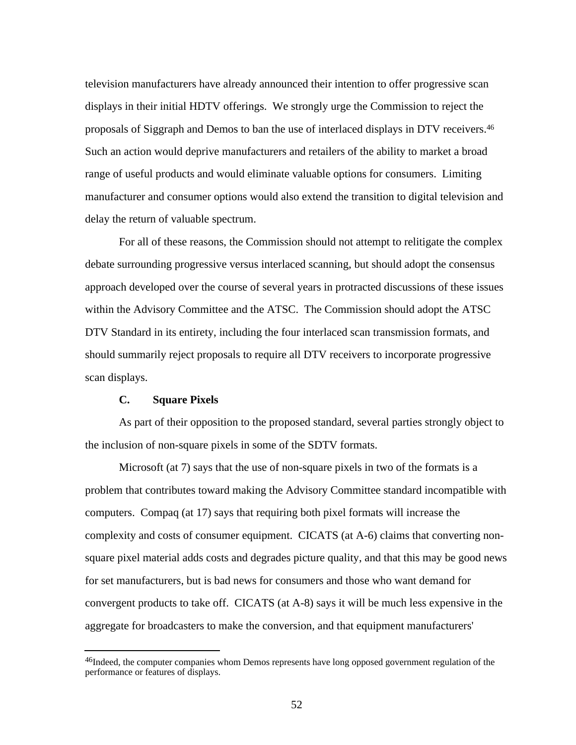television manufacturers have already announced their intention to offer progressive scan displays in their initial HDTV offerings. We strongly urge the Commission to reject the proposals of Siggraph and Demos to ban the use of interlaced displays in DTV receivers.<sup>46</sup> Such an action would deprive manufacturers and retailers of the ability to market a broad range of useful products and would eliminate valuable options for consumers. Limiting manufacturer and consumer options would also extend the transition to digital television and delay the return of valuable spectrum.

For all of these reasons, the Commission should not attempt to relitigate the complex debate surrounding progressive versus interlaced scanning, but should adopt the consensus approach developed over the course of several years in protracted discussions of these issues within the Advisory Committee and the ATSC. The Commission should adopt the ATSC DTV Standard in its entirety, including the four interlaced scan transmission formats, and should summarily reject proposals to require all DTV receivers to incorporate progressive scan displays.

#### **C. Square Pixels**

l

As part of their opposition to the proposed standard, several parties strongly object to the inclusion of non-square pixels in some of the SDTV formats.

Microsoft (at 7) says that the use of non-square pixels in two of the formats is a problem that contributes toward making the Advisory Committee standard incompatible with computers. Compaq (at 17) says that requiring both pixel formats will increase the complexity and costs of consumer equipment. CICATS (at A-6) claims that converting nonsquare pixel material adds costs and degrades picture quality, and that this may be good news for set manufacturers, but is bad news for consumers and those who want demand for convergent products to take off. CICATS (at A-8) says it will be much less expensive in the aggregate for broadcasters to make the conversion, and that equipment manufacturers'

<sup>&</sup>lt;sup>46</sup>Indeed, the computer companies whom Demos represents have long opposed government regulation of the performance or features of displays.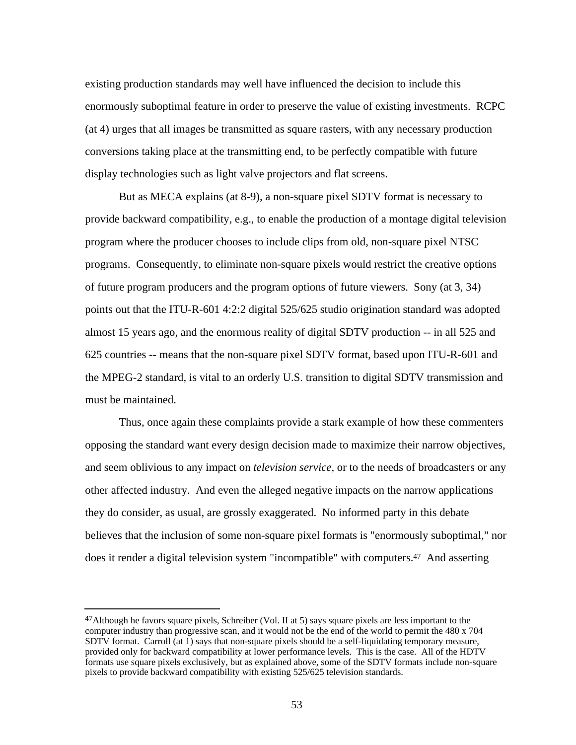existing production standards may well have influenced the decision to include this enormously suboptimal feature in order to preserve the value of existing investments. RCPC (at 4) urges that all images be transmitted as square rasters, with any necessary production conversions taking place at the transmitting end, to be perfectly compatible with future display technologies such as light valve projectors and flat screens.

But as MECA explains (at 8-9), a non-square pixel SDTV format is necessary to provide backward compatibility, e.g., to enable the production of a montage digital television program where the producer chooses to include clips from old, non-square pixel NTSC programs. Consequently, to eliminate non-square pixels would restrict the creative options of future program producers and the program options of future viewers. Sony (at 3, 34) points out that the ITU-R-601 4:2:2 digital 525/625 studio origination standard was adopted almost 15 years ago, and the enormous reality of digital SDTV production -- in all 525 and 625 countries -- means that the non-square pixel SDTV format, based upon ITU-R-601 and the MPEG-2 standard, is vital to an orderly U.S. transition to digital SDTV transmission and must be maintained.

Thus, once again these complaints provide a stark example of how these commenters opposing the standard want every design decision made to maximize their narrow objectives, and seem oblivious to any impact on *television service,* or to the needs of broadcasters or any other affected industry. And even the alleged negative impacts on the narrow applications they do consider, as usual, are grossly exaggerated. No informed party in this debate believes that the inclusion of some non-square pixel formats is "enormously suboptimal," nor does it render a digital television system "incompatible" with computers.47 And asserting

 $47$ Although he favors square pixels, Schreiber (Vol. II at 5) says square pixels are less important to the computer industry than progressive scan, and it would not be the end of the world to permit the 480 x 704 SDTV format. Carroll (at 1) says that non-square pixels should be a self-liquidating temporary measure, provided only for backward compatibility at lower performance levels. This is the case. All of the HDTV formats use square pixels exclusively, but as explained above, some of the SDTV formats include non-square pixels to provide backward compatibility with existing 525/625 television standards.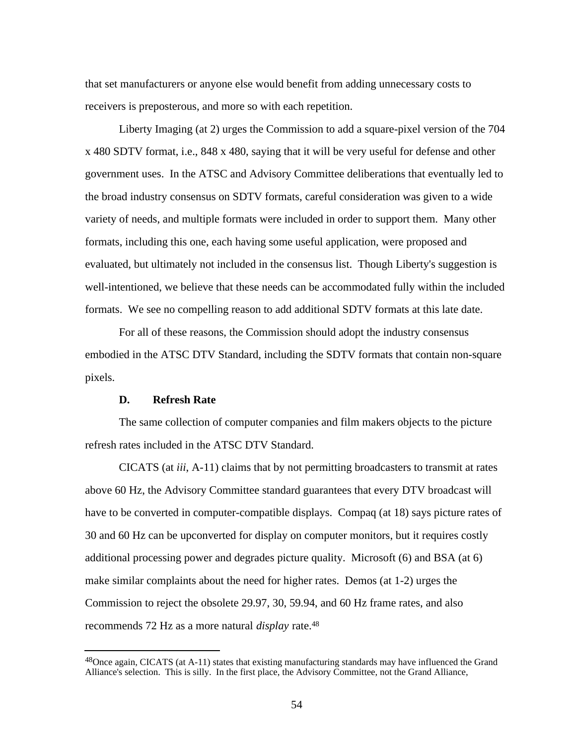that set manufacturers or anyone else would benefit from adding unnecessary costs to receivers is preposterous, and more so with each repetition.

Liberty Imaging (at 2) urges the Commission to add a square-pixel version of the 704 x 480 SDTV format, i.e., 848 x 480, saying that it will be very useful for defense and other government uses. In the ATSC and Advisory Committee deliberations that eventually led to the broad industry consensus on SDTV formats, careful consideration was given to a wide variety of needs, and multiple formats were included in order to support them. Many other formats, including this one, each having some useful application, were proposed and evaluated, but ultimately not included in the consensus list. Though Liberty's suggestion is well-intentioned, we believe that these needs can be accommodated fully within the included formats. We see no compelling reason to add additional SDTV formats at this late date.

For all of these reasons, the Commission should adopt the industry consensus embodied in the ATSC DTV Standard, including the SDTV formats that contain non-square pixels.

#### **D. Refresh Rate**

l

The same collection of computer companies and film makers objects to the picture refresh rates included in the ATSC DTV Standard.

CICATS (at *iii*, A-11) claims that by not permitting broadcasters to transmit at rates above 60 Hz, the Advisory Committee standard guarantees that every DTV broadcast will have to be converted in computer-compatible displays. Compaq (at 18) says picture rates of 30 and 60 Hz can be upconverted for display on computer monitors, but it requires costly additional processing power and degrades picture quality. Microsoft (6) and BSA (at 6) make similar complaints about the need for higher rates. Demos (at 1-2) urges the Commission to reject the obsolete 29.97, 30, 59.94, and 60 Hz frame rates, and also recommends 72 Hz as a more natural *display* rate.<sup>48</sup>

<sup>48</sup> Once again, CICATS (at A-11) states that existing manufacturing standards may have influenced the Grand Alliance's selection. This is silly. In the first place, the Advisory Committee, not the Grand Alliance,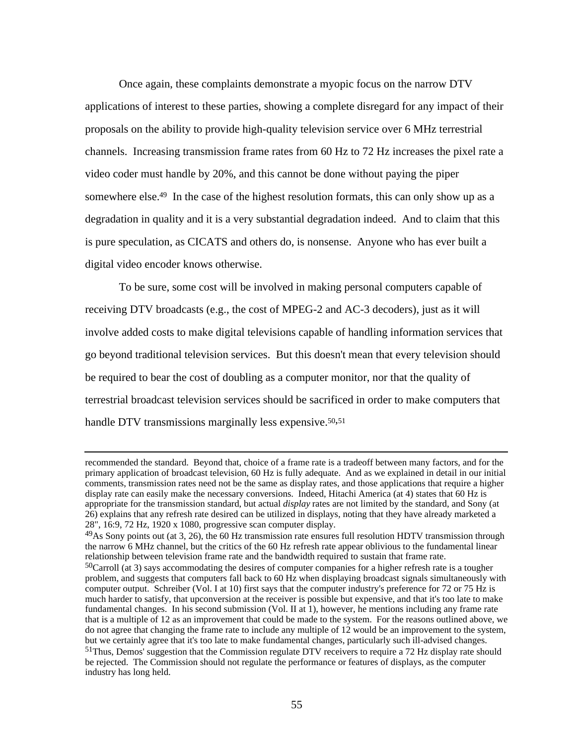Once again, these complaints demonstrate a myopic focus on the narrow DTV applications of interest to these parties, showing a complete disregard for any impact of their proposals on the ability to provide high-quality television service over 6 MHz terrestrial channels. Increasing transmission frame rates from 60 Hz to 72 Hz increases the pixel rate a video coder must handle by 20%, and this cannot be done without paying the piper somewhere else.<sup>49</sup> In the case of the highest resolution formats, this can only show up as a degradation in quality and it is a very substantial degradation indeed. And to claim that this is pure speculation, as CICATS and others do, is nonsense. Anyone who has ever built a digital video encoder knows otherwise.

To be sure, some cost will be involved in making personal computers capable of receiving DTV broadcasts (e.g., the cost of MPEG-2 and AC-3 decoders), just as it will involve added costs to make digital televisions capable of handling information services that go beyond traditional television services. But this doesn't mean that every television should be required to bear the cost of doubling as a computer monitor, nor that the quality of terrestrial broadcast television services should be sacrificed in order to make computers that handle DTV transmissions marginally less expensive.<sup>50,51</sup>

j

recommended the standard. Beyond that, choice of a frame rate is a tradeoff between many factors, and for the primary application of broadcast television, 60 Hz is fully adequate. And as we explained in detail in our initial comments, transmission rates need not be the same as display rates, and those applications that require a higher display rate can easily make the necessary conversions. Indeed, Hitachi America (at 4) states that 60 Hz is appropriate for the transmission standard, but actual *display* rates are not limited by the standard, and Sony (at 26) explains that any refresh rate desired can be utilized in displays, noting that they have already marketed a 28", 16:9, 72 Hz, 1920 x 1080, progressive scan computer display.

<sup>&</sup>lt;sup>49</sup>As Sony points out (at 3, 26), the 60 Hz transmission rate ensures full resolution HDTV transmission through the narrow 6 MHz channel, but the critics of the 60 Hz refresh rate appear oblivious to the fundamental linear relationship between television frame rate and the bandwidth required to sustain that frame rate.

<sup>50</sup>Carroll (at 3) says accommodating the desires of computer companies for a higher refresh rate is a tougher problem, and suggests that computers fall back to 60 Hz when displaying broadcast signals simultaneously with computer output. Schreiber (Vol. I at 10) first says that the computer industry's preference for 72 or 75 Hz is much harder to satisfy, that upconversion at the receiver is possible but expensive, and that it's too late to make fundamental changes. In his second submission (Vol. II at 1), however, he mentions including any frame rate that is a multiple of 12 as an improvement that could be made to the system. For the reasons outlined above, we do not agree that changing the frame rate to include any multiple of 12 would be an improvement to the system, but we certainly agree that it's too late to make fundamental changes, particularly such ill-advised changes. <sup>51</sup>Thus, Demos' suggestion that the Commission regulate DTV receivers to require a 72 Hz display rate should be rejected. The Commission should not regulate the performance or features of displays, as the computer industry has long held.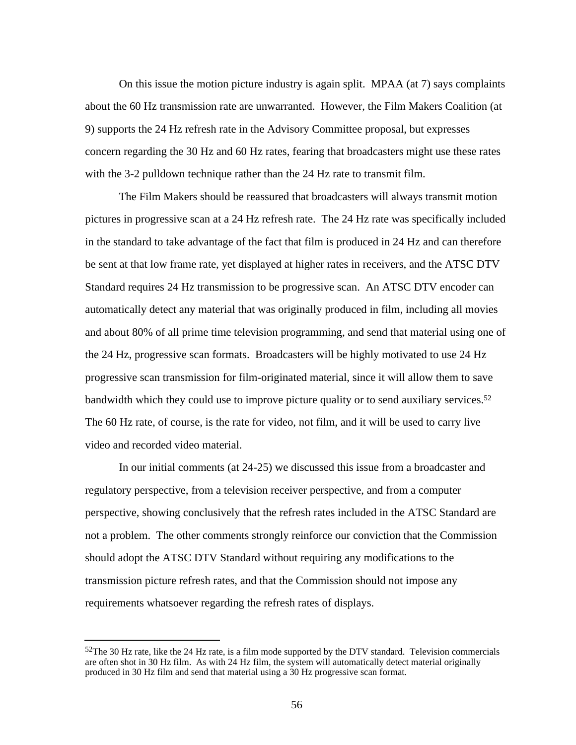On this issue the motion picture industry is again split. MPAA (at 7) says complaints about the 60 Hz transmission rate are unwarranted. However, the Film Makers Coalition (at 9) supports the 24 Hz refresh rate in the Advisory Committee proposal, but expresses concern regarding the 30 Hz and 60 Hz rates, fearing that broadcasters might use these rates with the 3-2 pulldown technique rather than the 24 Hz rate to transmit film.

The Film Makers should be reassured that broadcasters will always transmit motion pictures in progressive scan at a 24 Hz refresh rate. The 24 Hz rate was specifically included in the standard to take advantage of the fact that film is produced in 24 Hz and can therefore be sent at that low frame rate, yet displayed at higher rates in receivers, and the ATSC DTV Standard requires 24 Hz transmission to be progressive scan. An ATSC DTV encoder can automatically detect any material that was originally produced in film, including all movies and about 80% of all prime time television programming, and send that material using one of the 24 Hz, progressive scan formats. Broadcasters will be highly motivated to use 24 Hz progressive scan transmission for film-originated material, since it will allow them to save bandwidth which they could use to improve picture quality or to send auxiliary services.<sup>52</sup> The 60 Hz rate, of course, is the rate for video, not film, and it will be used to carry live video and recorded video material.

In our initial comments (at 24-25) we discussed this issue from a broadcaster and regulatory perspective, from a television receiver perspective, and from a computer perspective, showing conclusively that the refresh rates included in the ATSC Standard are not a problem. The other comments strongly reinforce our conviction that the Commission should adopt the ATSC DTV Standard without requiring any modifications to the transmission picture refresh rates, and that the Commission should not impose any requirements whatsoever regarding the refresh rates of displays.

<sup>52</sup>The 30 Hz rate, like the 24 Hz rate, is a film mode supported by the DTV standard. Television commercials are often shot in 30 Hz film. As with 24 Hz film, the system will automatically detect material originally produced in 30 Hz film and send that material using a 30 Hz progressive scan format.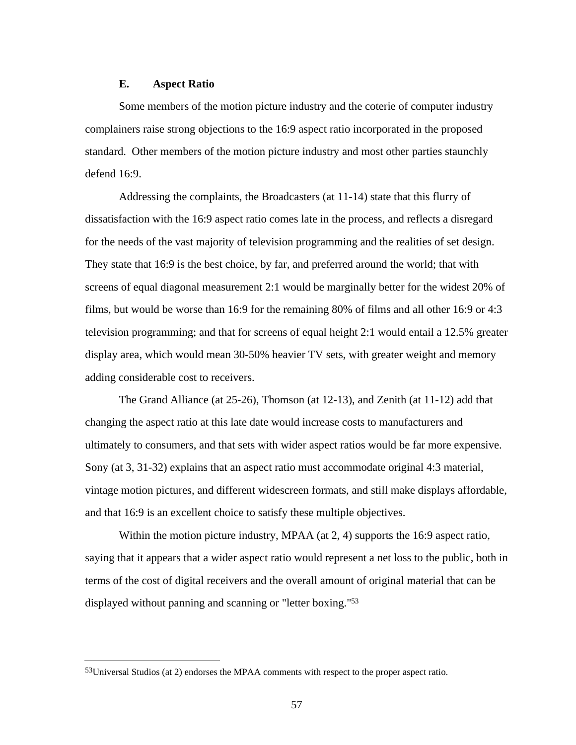#### **E. Aspect Ratio**

Some members of the motion picture industry and the coterie of computer industry complainers raise strong objections to the 16:9 aspect ratio incorporated in the proposed standard. Other members of the motion picture industry and most other parties staunchly defend 16:9.

Addressing the complaints, the Broadcasters (at 11-14) state that this flurry of dissatisfaction with the 16:9 aspect ratio comes late in the process, and reflects a disregard for the needs of the vast majority of television programming and the realities of set design. They state that 16:9 is the best choice, by far, and preferred around the world; that with screens of equal diagonal measurement 2:1 would be marginally better for the widest 20% of films, but would be worse than 16:9 for the remaining 80% of films and all other 16:9 or 4:3 television programming; and that for screens of equal height 2:1 would entail a 12.5% greater display area, which would mean 30-50% heavier TV sets, with greater weight and memory adding considerable cost to receivers.

The Grand Alliance (at 25-26), Thomson (at 12-13), and Zenith (at 11-12) add that changing the aspect ratio at this late date would increase costs to manufacturers and ultimately to consumers, and that sets with wider aspect ratios would be far more expensive. Sony (at 3, 31-32) explains that an aspect ratio must accommodate original 4:3 material, vintage motion pictures, and different widescreen formats, and still make displays affordable, and that 16:9 is an excellent choice to satisfy these multiple objectives.

Within the motion picture industry, MPAA (at 2, 4) supports the 16:9 aspect ratio, saying that it appears that a wider aspect ratio would represent a net loss to the public, both in terms of the cost of digital receivers and the overall amount of original material that can be displayed without panning and scanning or "letter boxing."<sup>53</sup>

j

<sup>53</sup>Universal Studios (at 2) endorses the MPAA comments with respect to the proper aspect ratio.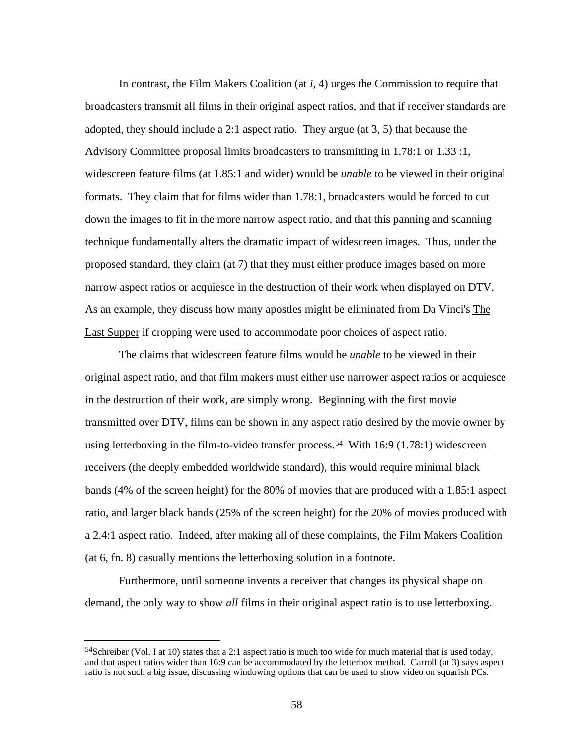In contrast, the Film Makers Coalition (at *i*, 4) urges the Commission to require that broadcasters transmit all films in their original aspect ratios, and that if receiver standards are adopted, they should include a 2:1 aspect ratio. They argue (at 3, 5) that because the Advisory Committee proposal limits broadcasters to transmitting in 1.78:1 or 1.33 :1, widescreen feature films (at 1.85:1 and wider) would be *unable* to be viewed in their original formats. They claim that for films wider than 1.78:1, broadcasters would be forced to cut down the images to fit in the more narrow aspect ratio, and that this panning and scanning technique fundamentally alters the dramatic impact of widescreen images. Thus, under the proposed standard, they claim (at 7) that they must either produce images based on more narrow aspect ratios or acquiesce in the destruction of their work when displayed on DTV. As an example, they discuss how many apostles might be eliminated from Da Vinci's The Last Supper if cropping were used to accommodate poor choices of aspect ratio.

The claims that widescreen feature films would be *unable* to be viewed in their original aspect ratio, and that film makers must either use narrower aspect ratios or acquiesce in the destruction of their work, are simply wrong. Beginning with the first movie transmitted over DTV, films can be shown in any aspect ratio desired by the movie owner by using letterboxing in the film-to-video transfer process.<sup>54</sup> With 16:9 (1.78:1) widescreen receivers (the deeply embedded worldwide standard), this would require minimal black bands (4% of the screen height) for the 80% of movies that are produced with a 1.85:1 aspect ratio, and larger black bands (25% of the screen height) for the 20% of movies produced with a 2.4:1 aspect ratio. Indeed, after making all of these complaints, the Film Makers Coalition (at 6, fn. 8) casually mentions the letterboxing solution in a footnote.

Furthermore, until someone invents a receiver that changes its physical shape on demand, the only way to show *all* films in their original aspect ratio is to use letterboxing.

<sup>54</sup>Schreiber (Vol. I at 10) states that a 2:1 aspect ratio is much too wide for much material that is used today, and that aspect ratios wider than 16:9 can be accommodated by the letterbox method. Carroll (at 3) says aspect ratio is not such a big issue, discussing windowing options that can be used to show video on squarish PCs.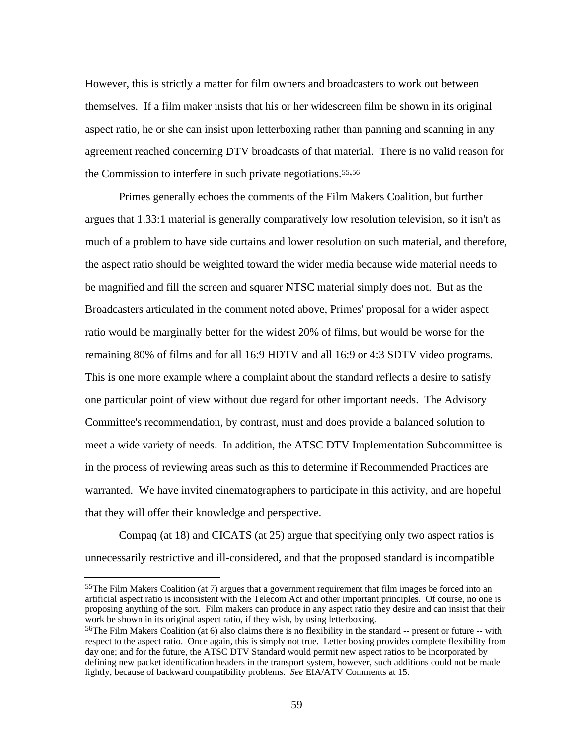However, this is strictly a matter for film owners and broadcasters to work out between themselves. If a film maker insists that his or her widescreen film be shown in its original aspect ratio, he or she can insist upon letterboxing rather than panning and scanning in any agreement reached concerning DTV broadcasts of that material. There is no valid reason for the Commission to interfere in such private negotiations.55,<sup>56</sup>

Primes generally echoes the comments of the Film Makers Coalition, but further argues that 1.33:1 material is generally comparatively low resolution television, so it isn't as much of a problem to have side curtains and lower resolution on such material, and therefore, the aspect ratio should be weighted toward the wider media because wide material needs to be magnified and fill the screen and squarer NTSC material simply does not. But as the Broadcasters articulated in the comment noted above, Primes' proposal for a wider aspect ratio would be marginally better for the widest 20% of films, but would be worse for the remaining 80% of films and for all 16:9 HDTV and all 16:9 or 4:3 SDTV video programs. This is one more example where a complaint about the standard reflects a desire to satisfy one particular point of view without due regard for other important needs. The Advisory Committee's recommendation, by contrast, must and does provide a balanced solution to meet a wide variety of needs. In addition, the ATSC DTV Implementation Subcommittee is in the process of reviewing areas such as this to determine if Recommended Practices are warranted. We have invited cinematographers to participate in this activity, and are hopeful that they will offer their knowledge and perspective.

Compaq (at 18) and CICATS (at 25) argue that specifying only two aspect ratios is unnecessarily restrictive and ill-considered, and that the proposed standard is incompatible

 $55$ The Film Makers Coalition (at 7) argues that a government requirement that film images be forced into an artificial aspect ratio is inconsistent with the Telecom Act and other important principles. Of course, no one is proposing anything of the sort. Film makers can produce in any aspect ratio they desire and can insist that their work be shown in its original aspect ratio, if they wish, by using letterboxing.

 $56$ The Film Makers Coalition (at 6) also claims there is no flexibility in the standard  $-$ - present or future  $-$  with respect to the aspect ratio. Once again, this is simply not true. Letter boxing provides complete flexibility from day one; and for the future, the ATSC DTV Standard would permit new aspect ratios to be incorporated by defining new packet identification headers in the transport system, however, such additions could not be made lightly, because of backward compatibility problems. *See* EIA/ATV Comments at 15.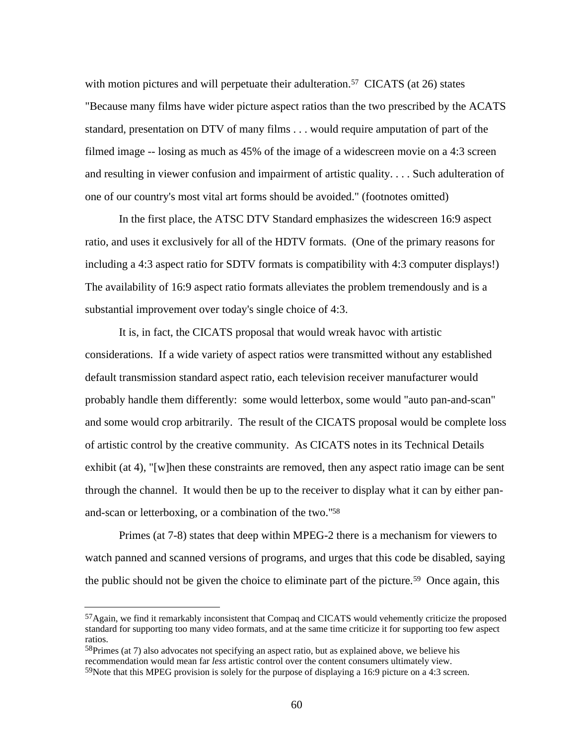with motion pictures and will perpetuate their adulteration.<sup>57</sup> CICATS (at 26) states "Because many films have wider picture aspect ratios than the two prescribed by the ACATS standard, presentation on DTV of many films . . . would require amputation of part of the filmed image -- losing as much as 45% of the image of a widescreen movie on a 4:3 screen and resulting in viewer confusion and impairment of artistic quality. . . . Such adulteration of one of our country's most vital art forms should be avoided." (footnotes omitted)

In the first place, the ATSC DTV Standard emphasizes the widescreen 16:9 aspect ratio, and uses it exclusively for all of the HDTV formats. (One of the primary reasons for including a 4:3 aspect ratio for SDTV formats is compatibility with 4:3 computer displays!) The availability of 16:9 aspect ratio formats alleviates the problem tremendously and is a substantial improvement over today's single choice of 4:3.

It is, in fact, the CICATS proposal that would wreak havoc with artistic considerations. If a wide variety of aspect ratios were transmitted without any established default transmission standard aspect ratio, each television receiver manufacturer would probably handle them differently: some would letterbox, some would "auto pan-and-scan" and some would crop arbitrarily. The result of the CICATS proposal would be complete loss of artistic control by the creative community. As CICATS notes in its Technical Details exhibit (at 4), "[w]hen these constraints are removed, then any aspect ratio image can be sent through the channel. It would then be up to the receiver to display what it can by either panand-scan or letterboxing, or a combination of the two."<sup>58</sup>

Primes (at 7-8) states that deep within MPEG-2 there is a mechanism for viewers to watch panned and scanned versions of programs, and urges that this code be disabled, saying the public should not be given the choice to eliminate part of the picture.<sup>59</sup> Once again, this

j

<sup>57</sup>Again, we find it remarkably inconsistent that Compaq and CICATS would vehemently criticize the proposed standard for supporting too many video formats, and at the same time criticize it for supporting too few aspect ratios.

<sup>&</sup>lt;sup>58</sup>Primes (at 7) also advocates not specifying an aspect ratio, but as explained above, we believe his recommendation would mean far *less* artistic control over the content consumers ultimately view.  $59$ Note that this MPEG provision is solely for the purpose of displaying a 16:9 picture on a 4:3 screen.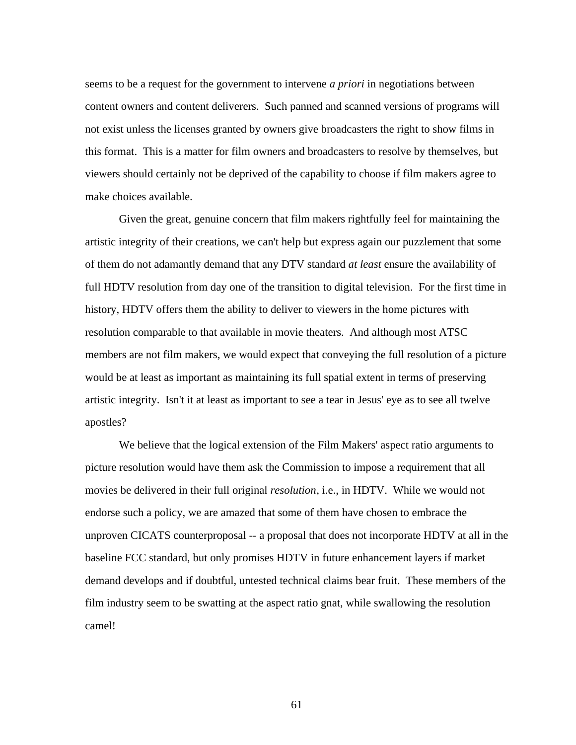seems to be a request for the government to intervene *a priori* in negotiations between content owners and content deliverers. Such panned and scanned versions of programs will not exist unless the licenses granted by owners give broadcasters the right to show films in this format. This is a matter for film owners and broadcasters to resolve by themselves, but viewers should certainly not be deprived of the capability to choose if film makers agree to make choices available.

Given the great, genuine concern that film makers rightfully feel for maintaining the artistic integrity of their creations, we can't help but express again our puzzlement that some of them do not adamantly demand that any DTV standard *at least* ensure the availability of full HDTV resolution from day one of the transition to digital television. For the first time in history, HDTV offers them the ability to deliver to viewers in the home pictures with resolution comparable to that available in movie theaters. And although most ATSC members are not film makers, we would expect that conveying the full resolution of a picture would be at least as important as maintaining its full spatial extent in terms of preserving artistic integrity. Isn't it at least as important to see a tear in Jesus' eye as to see all twelve apostles?

We believe that the logical extension of the Film Makers' aspect ratio arguments to picture resolution would have them ask the Commission to impose a requirement that all movies be delivered in their full original *resolution*, i.e., in HDTV. While we would not endorse such a policy, we are amazed that some of them have chosen to embrace the unproven CICATS counterproposal -- a proposal that does not incorporate HDTV at all in the baseline FCC standard, but only promises HDTV in future enhancement layers if market demand develops and if doubtful, untested technical claims bear fruit. These members of the film industry seem to be swatting at the aspect ratio gnat, while swallowing the resolution camel!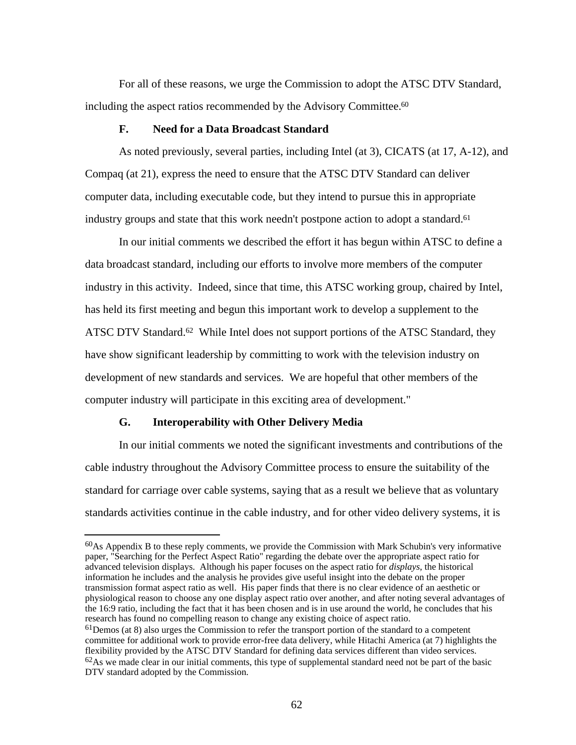For all of these reasons, we urge the Commission to adopt the ATSC DTV Standard, including the aspect ratios recommended by the Advisory Committee.<sup>60</sup>

### **F. Need for a Data Broadcast Standard**

As noted previously, several parties, including Intel (at 3), CICATS (at 17, A-12), and Compaq (at 21), express the need to ensure that the ATSC DTV Standard can deliver computer data, including executable code, but they intend to pursue this in appropriate industry groups and state that this work needn't postpone action to adopt a standard.<sup>61</sup>

In our initial comments we described the effort it has begun within ATSC to define a data broadcast standard, including our efforts to involve more members of the computer industry in this activity. Indeed, since that time, this ATSC working group, chaired by Intel, has held its first meeting and begun this important work to develop a supplement to the ATSC DTV Standard.<sup>62</sup> While Intel does not support portions of the ATSC Standard, they have show significant leadership by committing to work with the television industry on development of new standards and services. We are hopeful that other members of the computer industry will participate in this exciting area of development."

## **G. Interoperability with Other Delivery Media**

l

In our initial comments we noted the significant investments and contributions of the cable industry throughout the Advisory Committee process to ensure the suitability of the standard for carriage over cable systems, saying that as a result we believe that as voluntary standards activities continue in the cable industry, and for other video delivery systems, it is

<sup>60</sup>As Appendix B to these reply comments, we provide the Commission with Mark Schubin's very informative paper, "Searching for the Perfect Aspect Ratio" regarding the debate over the appropriate aspect ratio for advanced television displays. Although his paper focuses on the aspect ratio for *displays*, the historical information he includes and the analysis he provides give useful insight into the debate on the proper transmission format aspect ratio as well. His paper finds that there is no clear evidence of an aesthetic or physiological reason to choose any one display aspect ratio over another, and after noting several advantages of the 16:9 ratio, including the fact that it has been chosen and is in use around the world, he concludes that his research has found no compelling reason to change any existing choice of aspect ratio.  $61$  Demos (at 8) also urges the Commission to refer the transport portion of the standard to a competent committee for additional work to provide error-free data delivery, while Hitachi America (at 7) highlights the flexibility provided by the ATSC DTV Standard for defining data services different than video services.  $62$ As we made clear in our initial comments, this type of supplemental standard need not be part of the basic DTV standard adopted by the Commission.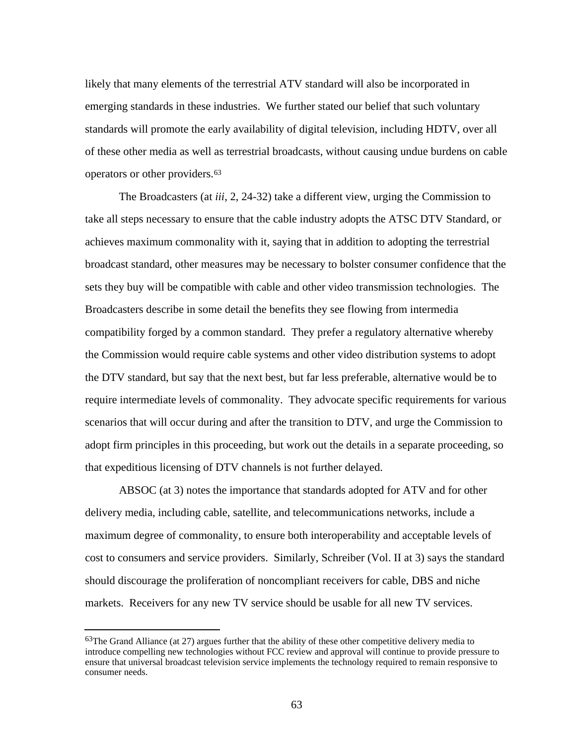likely that many elements of the terrestrial ATV standard will also be incorporated in emerging standards in these industries. We further stated our belief that such voluntary standards will promote the early availability of digital television, including HDTV, over all of these other media as well as terrestrial broadcasts, without causing undue burdens on cable operators or other providers.<sup>63</sup>

The Broadcasters (at *iii*, 2, 24-32) take a different view, urging the Commission to take all steps necessary to ensure that the cable industry adopts the ATSC DTV Standard, or achieves maximum commonality with it, saying that in addition to adopting the terrestrial broadcast standard, other measures may be necessary to bolster consumer confidence that the sets they buy will be compatible with cable and other video transmission technologies. The Broadcasters describe in some detail the benefits they see flowing from intermedia compatibility forged by a common standard. They prefer a regulatory alternative whereby the Commission would require cable systems and other video distribution systems to adopt the DTV standard, but say that the next best, but far less preferable, alternative would be to require intermediate levels of commonality. They advocate specific requirements for various scenarios that will occur during and after the transition to DTV, and urge the Commission to adopt firm principles in this proceeding, but work out the details in a separate proceeding, so that expeditious licensing of DTV channels is not further delayed.

ABSOC (at 3) notes the importance that standards adopted for ATV and for other delivery media, including cable, satellite, and telecommunications networks, include a maximum degree of commonality, to ensure both interoperability and acceptable levels of cost to consumers and service providers. Similarly, Schreiber (Vol. II at 3) says the standard should discourage the proliferation of noncompliant receivers for cable, DBS and niche markets. Receivers for any new TV service should be usable for all new TV services.

j

 $63$ The Grand Alliance (at 27) argues further that the ability of these other competitive delivery media to introduce compelling new technologies without FCC review and approval will continue to provide pressure to ensure that universal broadcast television service implements the technology required to remain responsive to consumer needs.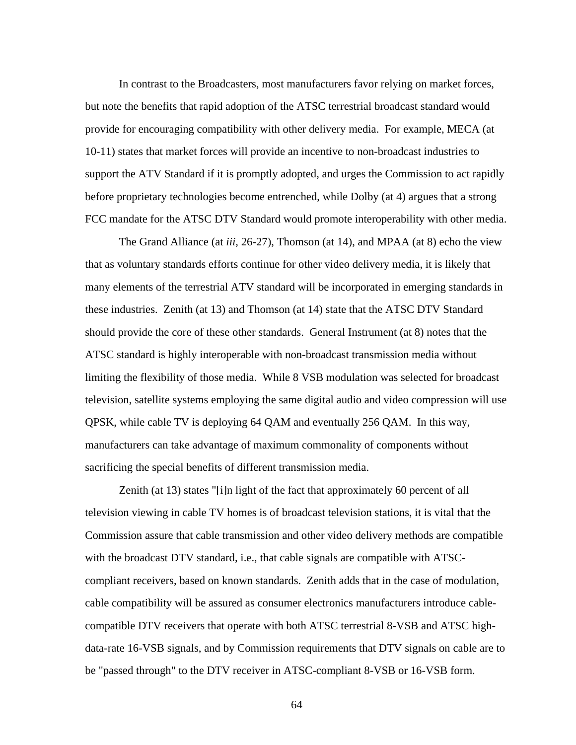In contrast to the Broadcasters, most manufacturers favor relying on market forces, but note the benefits that rapid adoption of the ATSC terrestrial broadcast standard would provide for encouraging compatibility with other delivery media. For example, MECA (at 10-11) states that market forces will provide an incentive to non-broadcast industries to support the ATV Standard if it is promptly adopted, and urges the Commission to act rapidly before proprietary technologies become entrenched, while Dolby (at 4) argues that a strong FCC mandate for the ATSC DTV Standard would promote interoperability with other media.

The Grand Alliance (at *iii*, 26-27), Thomson (at 14), and MPAA (at 8) echo the view that as voluntary standards efforts continue for other video delivery media, it is likely that many elements of the terrestrial ATV standard will be incorporated in emerging standards in these industries. Zenith (at 13) and Thomson (at 14) state that the ATSC DTV Standard should provide the core of these other standards. General Instrument (at 8) notes that the ATSC standard is highly interoperable with non-broadcast transmission media without limiting the flexibility of those media. While 8 VSB modulation was selected for broadcast television, satellite systems employing the same digital audio and video compression will use QPSK, while cable TV is deploying 64 QAM and eventually 256 QAM. In this way, manufacturers can take advantage of maximum commonality of components without sacrificing the special benefits of different transmission media.

Zenith (at 13) states "[i]n light of the fact that approximately 60 percent of all television viewing in cable TV homes is of broadcast television stations, it is vital that the Commission assure that cable transmission and other video delivery methods are compatible with the broadcast DTV standard, i.e., that cable signals are compatible with ATSCcompliant receivers, based on known standards. Zenith adds that in the case of modulation, cable compatibility will be assured as consumer electronics manufacturers introduce cablecompatible DTV receivers that operate with both ATSC terrestrial 8-VSB and ATSC highdata-rate 16-VSB signals, and by Commission requirements that DTV signals on cable are to be "passed through" to the DTV receiver in ATSC-compliant 8-VSB or 16-VSB form.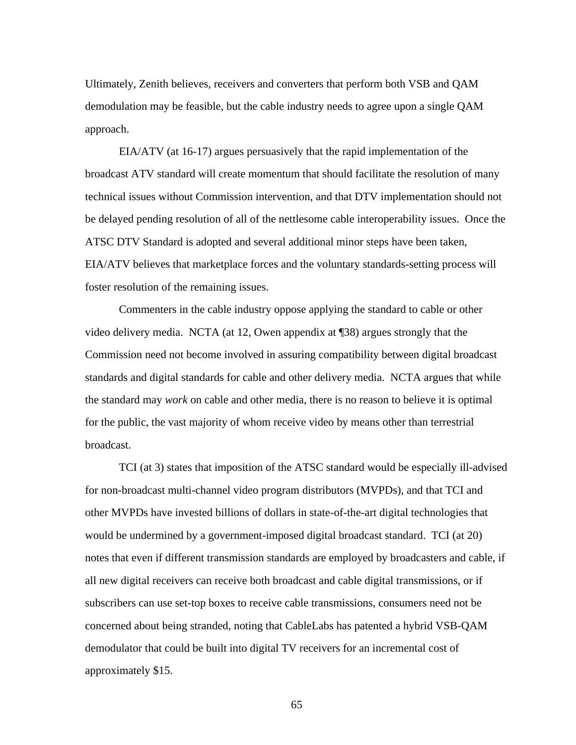Ultimately, Zenith believes, receivers and converters that perform both VSB and QAM demodulation may be feasible, but the cable industry needs to agree upon a single QAM approach.

EIA/ATV (at 16-17) argues persuasively that the rapid implementation of the broadcast ATV standard will create momentum that should facilitate the resolution of many technical issues without Commission intervention, and that DTV implementation should not be delayed pending resolution of all of the nettlesome cable interoperability issues. Once the ATSC DTV Standard is adopted and several additional minor steps have been taken, EIA/ATV believes that marketplace forces and the voluntary standards-setting process will foster resolution of the remaining issues.

Commenters in the cable industry oppose applying the standard to cable or other video delivery media. NCTA (at 12, Owen appendix at ¶38) argues strongly that the Commission need not become involved in assuring compatibility between digital broadcast standards and digital standards for cable and other delivery media. NCTA argues that while the standard may *work* on cable and other media, there is no reason to believe it is optimal for the public, the vast majority of whom receive video by means other than terrestrial broadcast.

TCI (at 3) states that imposition of the ATSC standard would be especially ill-advised for non-broadcast multi-channel video program distributors (MVPDs), and that TCI and other MVPDs have invested billions of dollars in state-of-the-art digital technologies that would be undermined by a government-imposed digital broadcast standard. TCI (at 20) notes that even if different transmission standards are employed by broadcasters and cable, if all new digital receivers can receive both broadcast and cable digital transmissions, or if subscribers can use set-top boxes to receive cable transmissions, consumers need not be concerned about being stranded, noting that CableLabs has patented a hybrid VSB-QAM demodulator that could be built into digital TV receivers for an incremental cost of approximately \$15.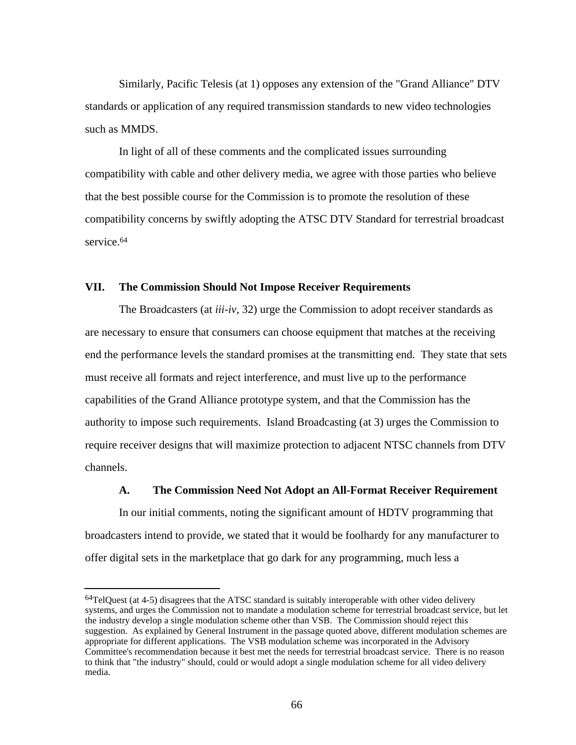Similarly, Pacific Telesis (at 1) opposes any extension of the "Grand Alliance" DTV standards or application of any required transmission standards to new video technologies such as MMDS.

In light of all of these comments and the complicated issues surrounding compatibility with cable and other delivery media, we agree with those parties who believe that the best possible course for the Commission is to promote the resolution of these compatibility concerns by swiftly adopting the ATSC DTV Standard for terrestrial broadcast service.<sup>64</sup>

### **VII. The Commission Should Not Impose Receiver Requirements**

The Broadcasters (at *iii-iv*, 32) urge the Commission to adopt receiver standards as are necessary to ensure that consumers can choose equipment that matches at the receiving end the performance levels the standard promises at the transmitting end. They state that sets must receive all formats and reject interference, and must live up to the performance capabilities of the Grand Alliance prototype system, and that the Commission has the authority to impose such requirements. Island Broadcasting (at 3) urges the Commission to require receiver designs that will maximize protection to adjacent NTSC channels from DTV channels.

#### **A. The Commission Need Not Adopt an All-Format Receiver Requirement**

In our initial comments, noting the significant amount of HDTV programming that broadcasters intend to provide, we stated that it would be foolhardy for any manufacturer to offer digital sets in the marketplace that go dark for any programming, much less a

<sup>&</sup>lt;sup>64</sup>TelQuest (at 4-5) disagrees that the ATSC standard is suitably interoperable with other video delivery systems, and urges the Commission not to mandate a modulation scheme for terrestrial broadcast service, but let the industry develop a single modulation scheme other than VSB. The Commission should reject this suggestion. As explained by General Instrument in the passage quoted above, different modulation schemes are appropriate for different applications. The VSB modulation scheme was incorporated in the Advisory Committee's recommendation because it best met the needs for terrestrial broadcast service. There is no reason to think that "the industry" should, could or would adopt a single modulation scheme for all video delivery media.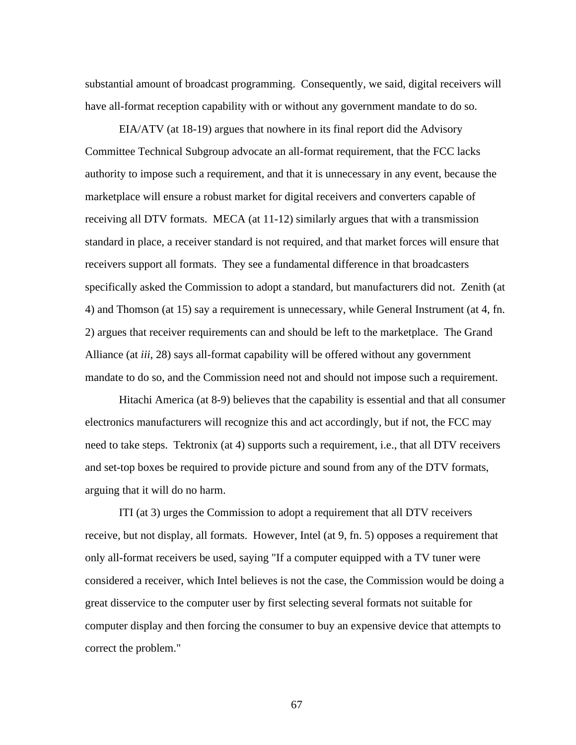substantial amount of broadcast programming. Consequently, we said, digital receivers will have all-format reception capability with or without any government mandate to do so.

EIA/ATV (at 18-19) argues that nowhere in its final report did the Advisory Committee Technical Subgroup advocate an all-format requirement, that the FCC lacks authority to impose such a requirement, and that it is unnecessary in any event, because the marketplace will ensure a robust market for digital receivers and converters capable of receiving all DTV formats. MECA (at 11-12) similarly argues that with a transmission standard in place, a receiver standard is not required, and that market forces will ensure that receivers support all formats. They see a fundamental difference in that broadcasters specifically asked the Commission to adopt a standard, but manufacturers did not. Zenith (at 4) and Thomson (at 15) say a requirement is unnecessary, while General Instrument (at 4, fn. 2) argues that receiver requirements can and should be left to the marketplace. The Grand Alliance (at *iii*, 28) says all-format capability will be offered without any government mandate to do so, and the Commission need not and should not impose such a requirement.

Hitachi America (at 8-9) believes that the capability is essential and that all consumer electronics manufacturers will recognize this and act accordingly, but if not, the FCC may need to take steps. Tektronix (at 4) supports such a requirement, i.e., that all DTV receivers and set-top boxes be required to provide picture and sound from any of the DTV formats, arguing that it will do no harm.

ITI (at 3) urges the Commission to adopt a requirement that all DTV receivers receive, but not display, all formats. However, Intel (at 9, fn. 5) opposes a requirement that only all-format receivers be used, saying "If a computer equipped with a TV tuner were considered a receiver, which Intel believes is not the case, the Commission would be doing a great disservice to the computer user by first selecting several formats not suitable for computer display and then forcing the consumer to buy an expensive device that attempts to correct the problem."

67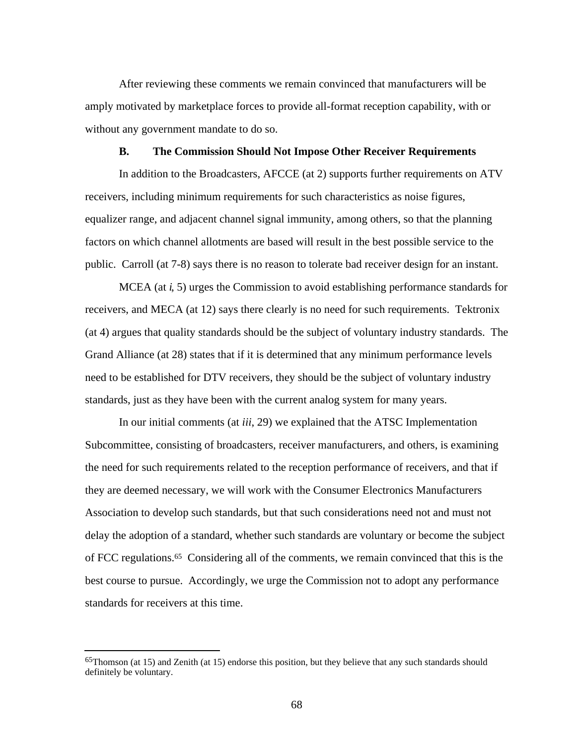After reviewing these comments we remain convinced that manufacturers will be amply motivated by marketplace forces to provide all-format reception capability, with or without any government mandate to do so.

#### **B. The Commission Should Not Impose Other Receiver Requirements**

In addition to the Broadcasters, AFCCE (at 2) supports further requirements on ATV receivers, including minimum requirements for such characteristics as noise figures, equalizer range, and adjacent channel signal immunity, among others, so that the planning factors on which channel allotments are based will result in the best possible service to the public. Carroll (at 7-8) says there is no reason to tolerate bad receiver design for an instant.

MCEA (at *i*, 5) urges the Commission to avoid establishing performance standards for receivers, and MECA (at 12) says there clearly is no need for such requirements. Tektronix (at 4) argues that quality standards should be the subject of voluntary industry standards. The Grand Alliance (at 28) states that if it is determined that any minimum performance levels need to be established for DTV receivers, they should be the subject of voluntary industry standards, just as they have been with the current analog system for many years.

In our initial comments (at *iii*, 29) we explained that the ATSC Implementation Subcommittee, consisting of broadcasters, receiver manufacturers, and others, is examining the need for such requirements related to the reception performance of receivers, and that if they are deemed necessary, we will work with the Consumer Electronics Manufacturers Association to develop such standards, but that such considerations need not and must not delay the adoption of a standard, whether such standards are voluntary or become the subject of FCC regulations.65 Considering all of the comments, we remain convinced that this is the best course to pursue. Accordingly, we urge the Commission not to adopt any performance standards for receivers at this time.

<sup>65</sup>Thomson (at 15) and Zenith (at 15) endorse this position, but they believe that any such standards should definitely be voluntary.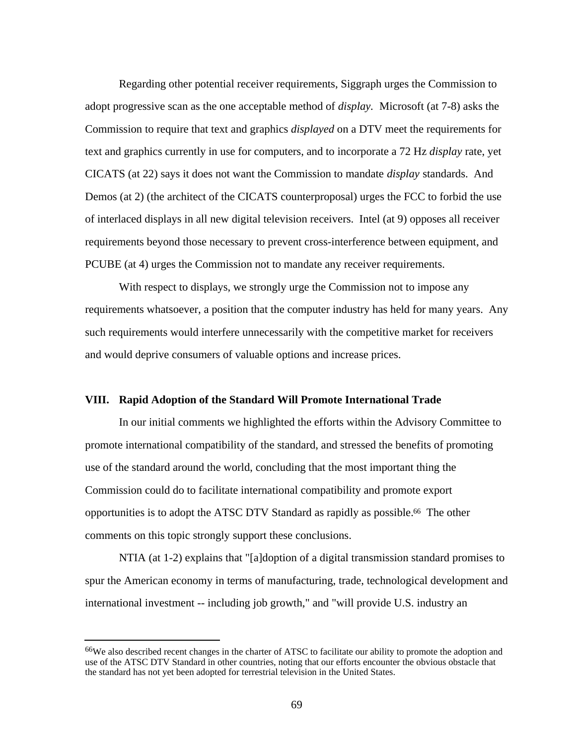Regarding other potential receiver requirements, Siggraph urges the Commission to adopt progressive scan as the one acceptable method of *display.* Microsoft (at 7-8) asks the Commission to require that text and graphics *displayed* on a DTV meet the requirements for text and graphics currently in use for computers, and to incorporate a 72 Hz *display* rate, yet CICATS (at 22) says it does not want the Commission to mandate *display* standards. And Demos (at 2) (the architect of the CICATS counterproposal) urges the FCC to forbid the use of interlaced displays in all new digital television receivers. Intel (at 9) opposes all receiver requirements beyond those necessary to prevent cross-interference between equipment, and PCUBE (at 4) urges the Commission not to mandate any receiver requirements.

With respect to displays, we strongly urge the Commission not to impose any requirements whatsoever, a position that the computer industry has held for many years. Any such requirements would interfere unnecessarily with the competitive market for receivers and would deprive consumers of valuable options and increase prices.

### **VIII. Rapid Adoption of the Standard Will Promote International Trade**

In our initial comments we highlighted the efforts within the Advisory Committee to promote international compatibility of the standard, and stressed the benefits of promoting use of the standard around the world, concluding that the most important thing the Commission could do to facilitate international compatibility and promote export opportunities is to adopt the ATSC DTV Standard as rapidly as possible.66 The other comments on this topic strongly support these conclusions.

NTIA (at 1-2) explains that "[a]doption of a digital transmission standard promises to spur the American economy in terms of manufacturing, trade, technological development and international investment -- including job growth," and "will provide U.S. industry an

<sup>66</sup>We also described recent changes in the charter of ATSC to facilitate our ability to promote the adoption and use of the ATSC DTV Standard in other countries, noting that our efforts encounter the obvious obstacle that the standard has not yet been adopted for terrestrial television in the United States.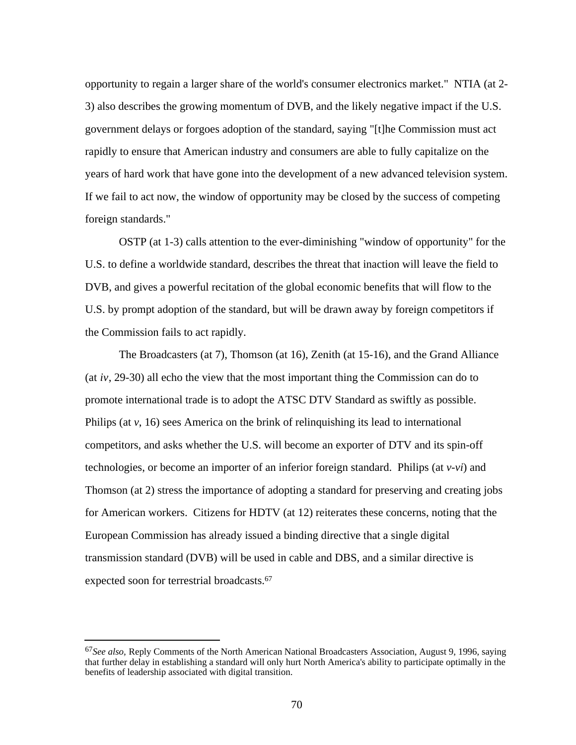opportunity to regain a larger share of the world's consumer electronics market." NTIA (at 2- 3) also describes the growing momentum of DVB, and the likely negative impact if the U.S. government delays or forgoes adoption of the standard, saying "[t]he Commission must act rapidly to ensure that American industry and consumers are able to fully capitalize on the years of hard work that have gone into the development of a new advanced television system. If we fail to act now, the window of opportunity may be closed by the success of competing foreign standards."

OSTP (at 1-3) calls attention to the ever-diminishing "window of opportunity" for the U.S. to define a worldwide standard, describes the threat that inaction will leave the field to DVB, and gives a powerful recitation of the global economic benefits that will flow to the U.S. by prompt adoption of the standard, but will be drawn away by foreign competitors if the Commission fails to act rapidly.

The Broadcasters (at 7), Thomson (at 16), Zenith (at 15-16), and the Grand Alliance (at *iv*, 29-30) all echo the view that the most important thing the Commission can do to promote international trade is to adopt the ATSC DTV Standard as swiftly as possible. Philips (at *v*, 16) sees America on the brink of relinquishing its lead to international competitors, and asks whether the U.S. will become an exporter of DTV and its spin-off technologies, or become an importer of an inferior foreign standard. Philips (at *v-vi*) and Thomson (at 2) stress the importance of adopting a standard for preserving and creating jobs for American workers. Citizens for HDTV (at 12) reiterates these concerns, noting that the European Commission has already issued a binding directive that a single digital transmission standard (DVB) will be used in cable and DBS, and a similar directive is expected soon for terrestrial broadcasts.<sup>67</sup>

<sup>67</sup>*See also,* Reply Comments of the North American National Broadcasters Association, August 9, 1996, saying that further delay in establishing a standard will only hurt North America's ability to participate optimally in the benefits of leadership associated with digital transition.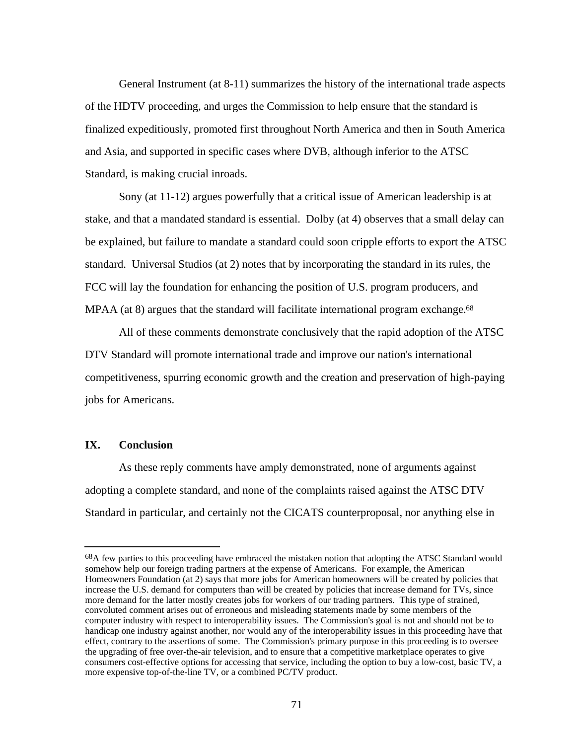General Instrument (at 8-11) summarizes the history of the international trade aspects of the HDTV proceeding, and urges the Commission to help ensure that the standard is finalized expeditiously, promoted first throughout North America and then in South America and Asia, and supported in specific cases where DVB, although inferior to the ATSC Standard, is making crucial inroads.

Sony (at 11-12) argues powerfully that a critical issue of American leadership is at stake, and that a mandated standard is essential. Dolby (at 4) observes that a small delay can be explained, but failure to mandate a standard could soon cripple efforts to export the ATSC standard. Universal Studios (at 2) notes that by incorporating the standard in its rules, the FCC will lay the foundation for enhancing the position of U.S. program producers, and  $MPAA$  (at 8) argues that the standard will facilitate international program exchange.<sup>68</sup>

All of these comments demonstrate conclusively that the rapid adoption of the ATSC DTV Standard will promote international trade and improve our nation's international competitiveness, spurring economic growth and the creation and preservation of high-paying jobs for Americans.

## **IX. Conclusion**

l

As these reply comments have amply demonstrated, none of arguments against adopting a complete standard, and none of the complaints raised against the ATSC DTV Standard in particular, and certainly not the CICATS counterproposal, nor anything else in

<sup>68</sup>A few parties to this proceeding have embraced the mistaken notion that adopting the ATSC Standard would somehow help our foreign trading partners at the expense of Americans. For example, the American Homeowners Foundation (at 2) says that more jobs for American homeowners will be created by policies that increase the U.S. demand for computers than will be created by policies that increase demand for TVs, since more demand for the latter mostly creates jobs for workers of our trading partners. This type of strained, convoluted comment arises out of erroneous and misleading statements made by some members of the computer industry with respect to interoperability issues. The Commission's goal is not and should not be to handicap one industry against another, nor would any of the interoperability issues in this proceeding have that effect, contrary to the assertions of some. The Commission's primary purpose in this proceeding is to oversee the upgrading of free over-the-air television, and to ensure that a competitive marketplace operates to give consumers cost-effective options for accessing that service, including the option to buy a low-cost, basic TV, a more expensive top-of-the-line TV, or a combined PC/TV product.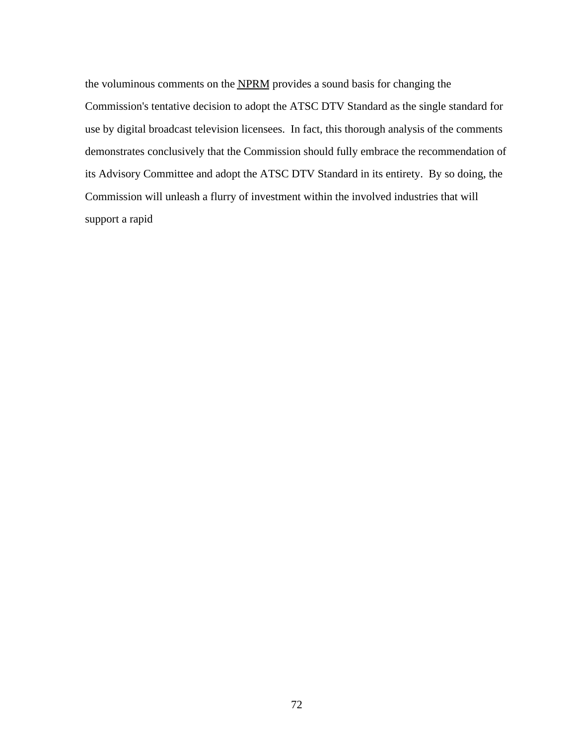the voluminous comments on the NPRM provides a sound basis for changing the Commission's tentative decision to adopt the ATSC DTV Standard as the single standard for use by digital broadcast television licensees. In fact, this thorough analysis of the comments demonstrates conclusively that the Commission should fully embrace the recommendation of its Advisory Committee and adopt the ATSC DTV Standard in its entirety. By so doing, the Commission will unleash a flurry of investment within the involved industries that will support a rapid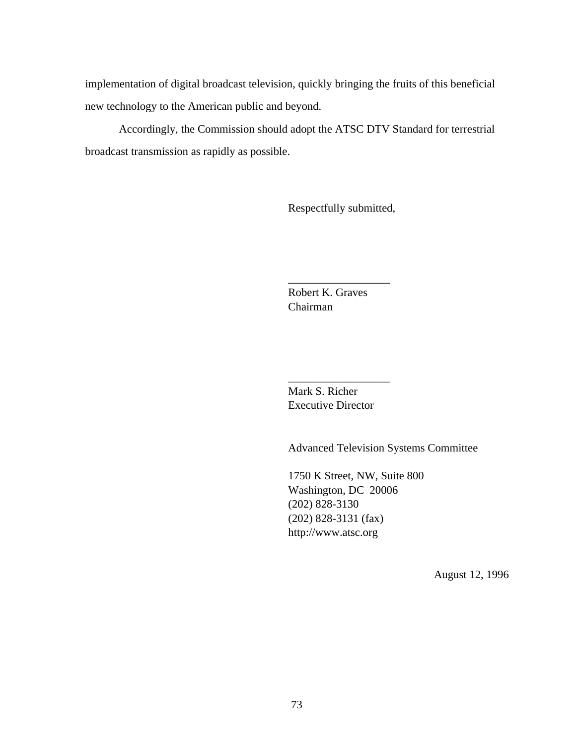implementation of digital broadcast television, quickly bringing the fruits of this beneficial new technology to the American public and beyond.

Accordingly, the Commission should adopt the ATSC DTV Standard for terrestrial broadcast transmission as rapidly as possible.

Respectfully submitted,

Robert K. Graves Chairman

\_\_\_\_\_\_\_\_\_\_\_\_\_\_\_\_\_\_

Mark S. Richer Executive Director

\_\_\_\_\_\_\_\_\_\_\_\_\_\_\_\_\_\_

Advanced Television Systems Committee

1750 K Street, NW, Suite 800 Washington, DC 20006 (202) 828-3130 (202) 828-3131 (fax) http://www.atsc.org

August 12, 1996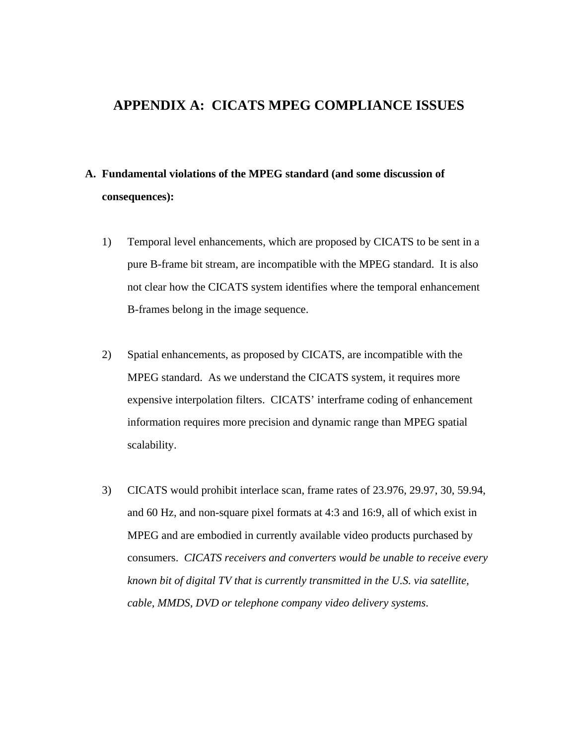# **APPENDIX A: CICATS MPEG COMPLIANCE ISSUES**

# **A. Fundamental violations of the MPEG standard (and some discussion of consequences):**

- 1) Temporal level enhancements, which are proposed by CICATS to be sent in a pure B-frame bit stream, are incompatible with the MPEG standard. It is also not clear how the CICATS system identifies where the temporal enhancement B-frames belong in the image sequence.
- 2) Spatial enhancements, as proposed by CICATS, are incompatible with the MPEG standard. As we understand the CICATS system, it requires more expensive interpolation filters. CICATS' interframe coding of enhancement information requires more precision and dynamic range than MPEG spatial scalability.
- 3) CICATS would prohibit interlace scan, frame rates of 23.976, 29.97, 30, 59.94, and 60 Hz, and non-square pixel formats at 4:3 and 16:9, all of which exist in MPEG and are embodied in currently available video products purchased by consumers. *CICATS receivers and converters would be unable to receive every known bit of digital TV that is currently transmitted in the U.S. via satellite, cable, MMDS, DVD or telephone company video delivery systems*.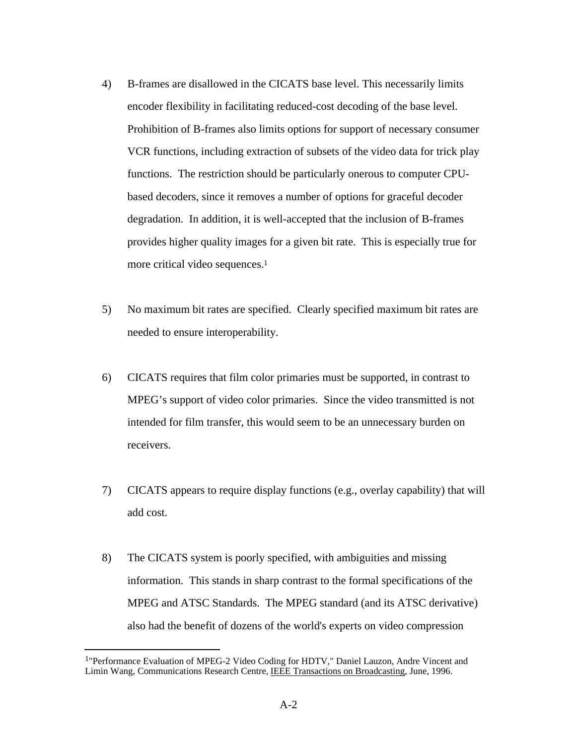- 4) B-frames are disallowed in the CICATS base level. This necessarily limits encoder flexibility in facilitating reduced-cost decoding of the base level. Prohibition of B-frames also limits options for support of necessary consumer VCR functions, including extraction of subsets of the video data for trick play functions. The restriction should be particularly onerous to computer CPUbased decoders, since it removes a number of options for graceful decoder degradation. In addition, it is well-accepted that the inclusion of B-frames provides higher quality images for a given bit rate. This is especially true for more critical video sequences.<sup>1</sup>
- 5) No maximum bit rates are specified. Clearly specified maximum bit rates are needed to ensure interoperability.
- 6) CICATS requires that film color primaries must be supported, in contrast to MPEG's support of video color primaries. Since the video transmitted is not intended for film transfer, this would seem to be an unnecessary burden on receivers.
- 7) CICATS appears to require display functions (e.g., overlay capability) that will add cost.
- 8) The CICATS system is poorly specified, with ambiguities and missing information. This stands in sharp contrast to the formal specifications of the MPEG and ATSC Standards. The MPEG standard (and its ATSC derivative) also had the benefit of dozens of the world's experts on video compression

j

<sup>1</sup>"Performance Evaluation of MPEG-2 Video Coding for HDTV," Daniel Lauzon, Andre Vincent and Limin Wang, Communications Research Centre, IEEE Transactions on Broadcasting , June, 1996.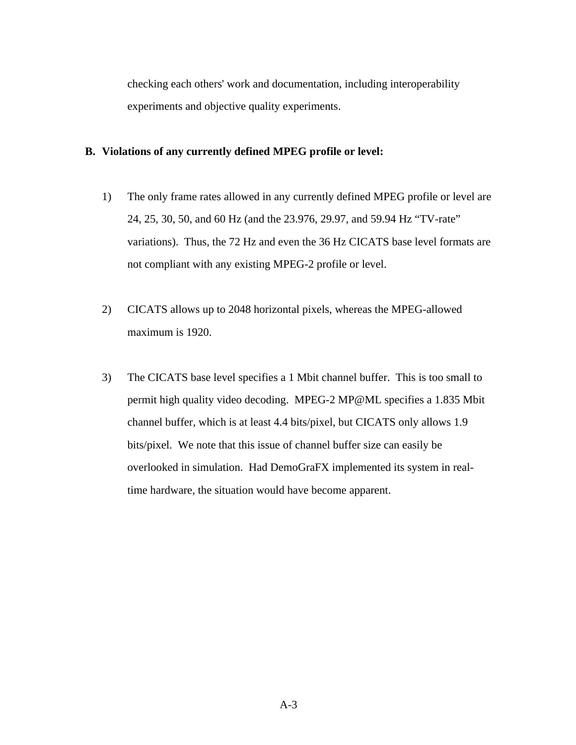checking each others' work and documentation, including interoperability experiments and objective quality experiments.

## **B. Violations of any currently defined MPEG profile or level:**

- 1) The only frame rates allowed in any currently defined MPEG profile or level are 24, 25, 30, 50, and 60 Hz (and the 23.976, 29.97, and 59.94 Hz "TV-rate" variations). Thus, the 72 Hz and even the 36 Hz CICATS base level formats are not compliant with any existing MPEG-2 profile or level.
- 2) CICATS allows up to 2048 horizontal pixels, whereas the MPEG-allowed maximum is 1920.
- 3) The CICATS base level specifies a 1 Mbit channel buffer. This is too small to permit high quality video decoding. MPEG-2 MP@ML specifies a 1.835 Mbit channel buffer, which is at least 4.4 bits/pixel, but CICATS only allows 1.9 bits/pixel. We note that this issue of channel buffer size can easily be overlooked in simulation. Had DemoGraFX implemented its system in realtime hardware, the situation would have become apparent.